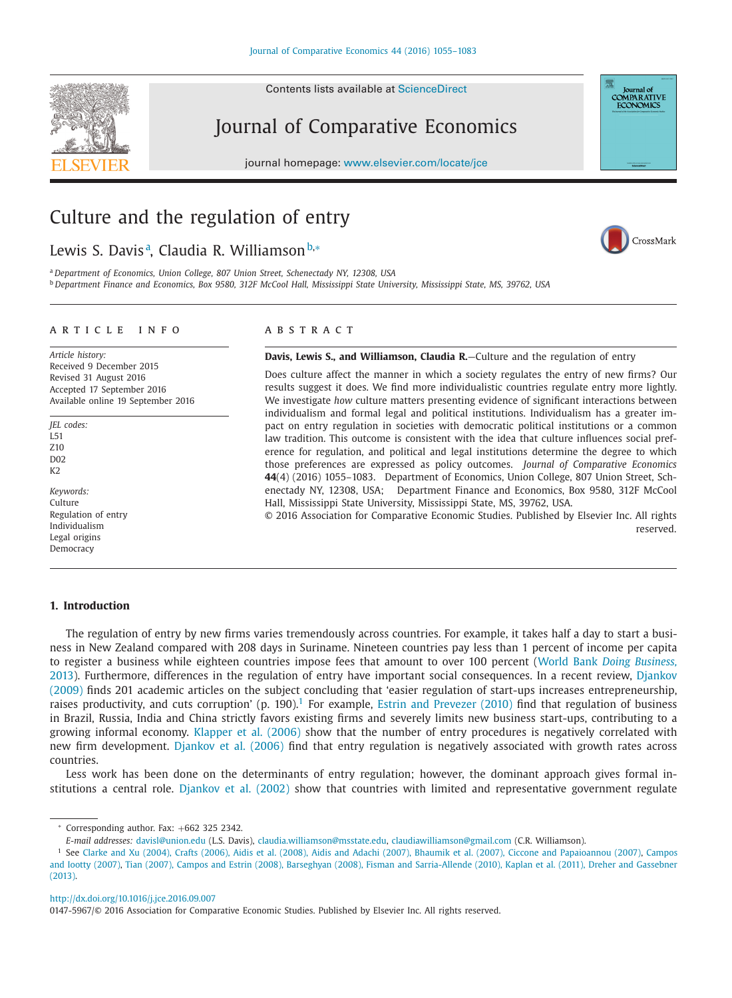Contents lists available at [ScienceDirect](http://www.ScienceDirect.com)

# Journal of Comparative Economics

journal homepage: [www.elsevier.com/locate/jce](http://www.elsevier.com/locate/jce)

# Culture and the regulation of entry

# Lewis S. Davis<sup>a</sup>, Claudia R. Williamson<sup>b,</sup>\*

<sup>a</sup> *Department of Economics, Union College, 807 Union Street, Schenectady NY, 12308, USA* <sup>b</sup> Department Finance and Economics, Box 9580, 312F McCool Hall, Mississippi State University, Mississippi State, MS, 39762, USA

# a r t i c l e i n f o

*Article history:* Received 9 December 2015 Revised 31 August 2016 Accepted 17 September 2016 Available online 19 September 2016

*JEL codes:* L51 Z10 D02  $K<sub>2</sub>$ 

*Keywords:* Culture Regulation of entry Individualism Legal origins Democracy

#### **1. Introduction**

# A B S T R A C T

**Davis, Lewis S., and Williamson, Claudia R.**—Culture and the regulation of entry

Does culture affect the manner in which a society regulates the entry of new firms? Our results suggest it does. We find more individualistic countries regulate entry more lightly. We investigate *how* culture matters presenting evidence of significant interactions between individualism and formal legal and political institutions. Individualism has a greater impact on entry regulation in societies with democratic political institutions or a common law tradition. This outcome is consistent with the idea that culture influences social preference for regulation, and political and legal institutions determine the degree to which those preferences are expressed as policy outcomes. *Journal of Comparative Economics* **44**(4) (2016) 1055–1083. Department of Economics, Union College, 807 Union Street, Schenectady NY, 12308, USA; Department Finance and Economics, Box 9580, 312F McCool Hall, Mississippi State University, Mississippi State, MS, 39762, USA.

© 2016 Association for Comparative Economic Studies. Published by Elsevier Inc. All rights reserved.

The regulation of entry by new firms varies tremendously across countries. For example, it takes half a day to start a business in New Zealand compared with 208 days in Suriname. Nineteen countries pay less than 1 percent of income per capita to register a business while eighteen countries impose fees that amount to over 100 percent (World Bank *Doing Business,* 2013). Furthermore, differences in the regulation of entry have important social [consequences.](#page-28-0) In a recent review, Djankov (2009) finds 201 academic articles on the subject concluding that 'easier regulation of start-ups increases [entrepreneurship,](#page-27-0) raises productivity, and cuts corruption' (p. 190).<sup>1</sup> For example, Estrin and [Prevezer](#page-27-0) (2010) find that regulation of business in Brazil, Russia, India and China strictly favors existing firms and severely limits new business start-ups, contributing to a growing informal economy. [Klapper](#page-27-0) et al. (2006) show that the number of entry procedures is negatively correlated with new firm development. [Djankov](#page-27-0) et al. (2006) find that entry regulation is negatively associated with growth rates across countries.

Less work has been done on the determinants of entry regulation; however, the dominant approach gives formal institutions a central role. [Djankov](#page-27-0) et al. (2002) show that countries with limited and representative government regulate

<sup>1</sup> See Clarke and Xu (2004), Crafts (2006), Aidis et al. (2008), Aidis and Adachi (2007), Bhaumik et al. (2007), Ciccone and [Papaioannou](#page-27-0) (2007), Campos and Iootty (2007), Tian (2007), Campos and Estrin (2008), Barseghyan (2008), Fisman and [Sarria-Allende](#page-27-0) (2010), Kaplan et al. (2011), Dreher and Gassebner (2013).

<http://dx.doi.org/10.1016/j.jce.2016.09.007>







<sup>∗</sup> Corresponding author. Fax: +662 325 2342.

*E-mail addresses:* [davisl@union.edu](mailto:davisl@union.edu) (L.S. Davis), [claudia.williamson@msstate.edu,](mailto:claudia.williamson@msstate.edu) [claudiawilliamson@gmail.com](mailto:claudiawilliamson@gmail.com) (C.R. Williamson).

<sup>0147-5967/© 2016</sup> Association for Comparative Economic Studies. Published by Elsevier Inc. All rights reserved.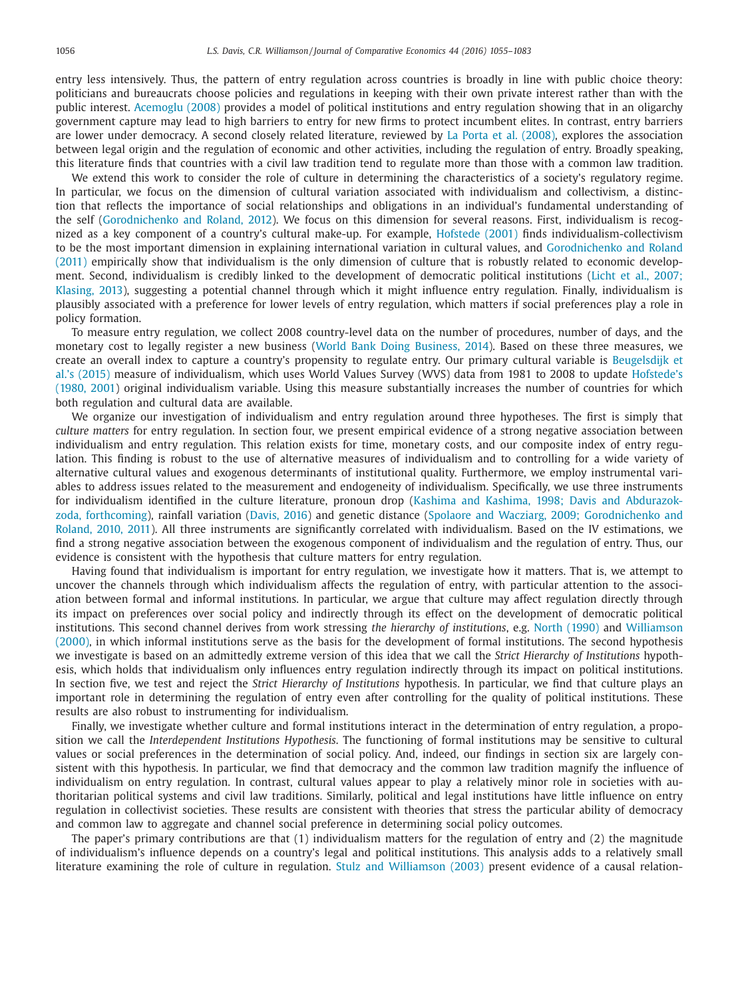entry less intensively. Thus, the pattern of entry regulation across countries is broadly in line with public choice theory: politicians and bureaucrats choose policies and regulations in keeping with their own private interest rather than with the public interest. [Acemoglu](#page-26-0) (2008) provides a model of political institutions and entry regulation showing that in an oligarchy government capture may lead to high barriers to entry for new firms to protect incumbent elites. In contrast, entry barriers are lower under democracy. A second closely related literature, reviewed by La Porta et al. [\(2008\),](#page-27-0) explores the association between legal origin and the regulation of economic and other activities, including the regulation of entry. Broadly speaking, this literature finds that countries with a civil law tradition tend to regulate more than those with a common law tradition.

We extend this work to consider the role of culture in determining the characteristics of a society's regulatory regime. In particular, we focus on the dimension of cultural variation associated with individualism and collectivism, a distinction that reflects the importance of social relationships and obligations in an individual's fundamental understanding of the self [\(Gorodnichenko](#page-27-0) and Roland, 2012). We focus on this dimension for several reasons. First, individualism is recognized as a key component of a country's cultural make-up. For example, [Hofstede](#page-27-0) (2001) finds individualism-collectivism to be the most important dimension in explaining international variation in cultural values, and [Gorodnichenko](#page-27-0) and Roland (2011) empirically show that individualism is the only dimension of culture that is robustly related to economic development. Second, [individualism](#page-27-0) is credibly linked to the development of democratic political institutions (Licht et al., 2007; Klasing, 2013), suggesting a potential channel through which it might influence entry regulation. Finally, individualism is plausibly associated with a preference for lower levels of entry regulation, which matters if social preferences play a role in policy formation.

To measure entry regulation, we collect 2008 country-level data on the number of procedures, number of days, and the monetary cost to legally register a new business (World Bank Doing [Business,](#page-28-0) 2014). Based on these three measures, we create an overall index to capture a country's propensity to regulate entry. Our primary cultural variable is Beugelsdijk et al.'s (2015) measure of [individualism,](#page-27-0) which uses World Values Survey (WVS) data from 1981 to 2008 to update Hofstede's (1980, 2001) original individualism variable. Using this measure substantially increases the number of countries for which both regulation and cultural data are available.

We organize our investigation of individualism and entry regulation around three hypotheses. The first is simply that *culture matters* for entry regulation. In section four, we present empirical evidence of a strong negative association between individualism and entry regulation. This relation exists for time, monetary costs, and our composite index of entry regulation. This finding is robust to the use of alternative measures of individualism and to controlling for a wide variety of alternative cultural values and exogenous determinants of institutional quality. Furthermore, we employ instrumental variables to address issues related to the measurement and endogeneity of individualism. Specifically, we use three instruments for individualism identified in the culture literature, pronoun drop (Kashima and Kashima, 1998; Davis and Abdurazokzoda, forthcoming), rainfall variation [\(Davis,](#page-27-0) 2016) and genetic distance (Spolaore and Wacziarg, 2009; [Gorodnichenko](#page-27-0) and Roland, 2010, 2011). All three instruments are significantly correlated with individualism. Based on the IV estimations, we find a strong negative association between the exogenous component of individualism and the regulation of entry. Thus, our evidence is consistent with the hypothesis that culture matters for entry regulation.

Having found that individualism is important for entry regulation, we investigate how it matters. That is, we attempt to uncover the channels through which individualism affects the regulation of entry, with particular attention to the association between formal and informal institutions. In particular, we argue that culture may affect regulation directly through its impact on preferences over social policy and indirectly through its effect on the development of democratic political institutions. This second channel derives from work stressing *the hierarchy of institutions*, e.g. North [\(1990\)](#page-28-0) and Williamson (2000), in which informal institutions serve as the basis for the [development](#page-28-0) of formal institutions. The second hypothesis we investigate is based on an admittedly extreme version of this idea that we call the *Strict Hierarchy of Institutions* hypothesis, which holds that individualism only influences entry regulation indirectly through its impact on political institutions. In section five, we test and reject the *Strict Hierarchy of Institutions* hypothesis. In particular, we find that culture plays an important role in determining the regulation of entry even after controlling for the quality of political institutions. These results are also robust to instrumenting for individualism.

Finally, we investigate whether culture and formal institutions interact in the determination of entry regulation, a proposition we call the *Interdependent Institutions Hypothesis*. The functioning of formal institutions may be sensitive to cultural values or social preferences in the determination of social policy. And, indeed, our findings in section six are largely consistent with this hypothesis. In particular, we find that democracy and the common law tradition magnify the influence of individualism on entry regulation. In contrast, cultural values appear to play a relatively minor role in societies with authoritarian political systems and civil law traditions. Similarly, political and legal institutions have little influence on entry regulation in collectivist societies. These results are consistent with theories that stress the particular ability of democracy and common law to aggregate and channel social preference in determining social policy outcomes.

The paper's primary contributions are that (1) individualism matters for the regulation of entry and (2) the magnitude of individualism's influence depends on a country's legal and political institutions. This analysis adds to a relatively small literature examining the role of culture in regulation. Stulz and [Williamson](#page-28-0) (2003) present evidence of a causal relation-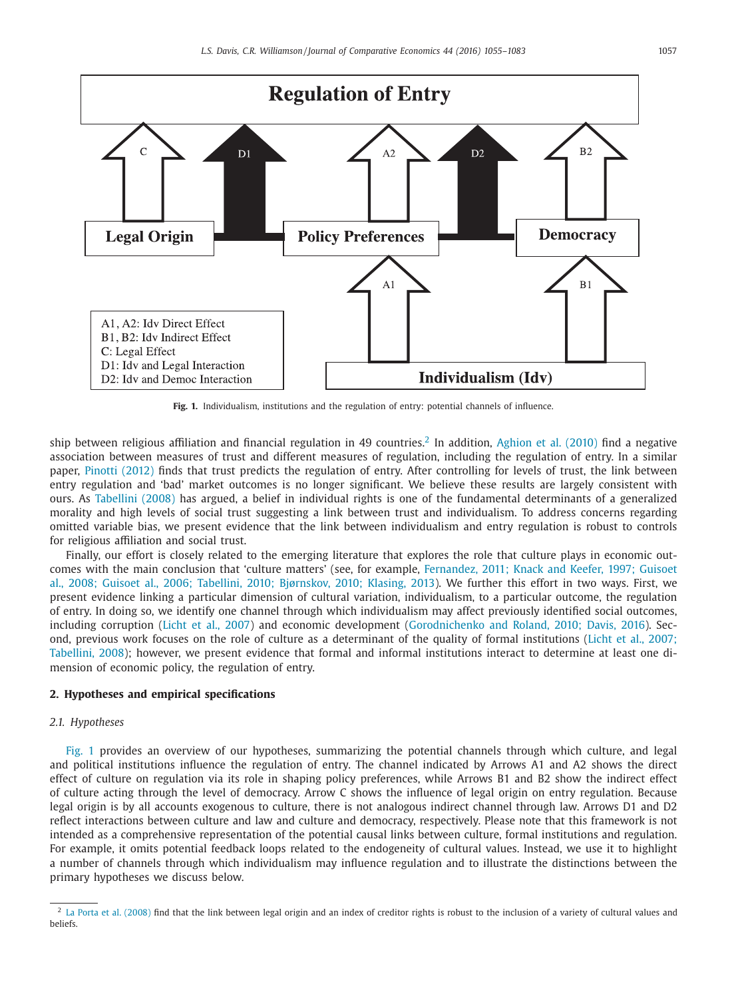<span id="page-2-0"></span>

**Fig. 1.** Individualism, institutions and the regulation of entry: potential channels of influence.

ship between religious affiliation and financial regulation in 49 countries.<sup>2</sup> In addition, [Aghion](#page-26-0) et al. (2010) find a negative association between measures of trust and different measures of regulation, including the regulation of entry. In a similar paper, [Pinotti](#page-28-0) (2012) finds that trust predicts the regulation of entry. After controlling for levels of trust, the link between entry regulation and 'bad' market outcomes is no longer significant. We believe these results are largely consistent with ours. As [Tabellini](#page-28-0) (2008) has argued, a belief in individual rights is one of the fundamental determinants of a generalized morality and high levels of social trust suggesting a link between trust and individualism. To address concerns regarding omitted variable bias, we present evidence that the link between individualism and entry regulation is robust to controls for religious affiliation and social trust.

Finally, our effort is closely related to the emerging literature that explores the role that culture plays in economic outcomes with the main conclusion that 'culture matters' (see, for example, [Fernandez,](#page-27-0) 2011; Knack and Keefer, 1997; Guisoet al., 2008; Guisoet al., 2006; Tabellini, 2010; Bjørnskov, 2010; Klasing, 2013). We further this effort in two ways. First, we present evidence linking a particular dimension of cultural variation, individualism, to a particular outcome, the regulation of entry. In doing so, we identify one channel through which individualism may affect previously identified social outcomes, including corruption (Licht et al., [2007\)](#page-27-0) and economic development [\(Gorodnichenko](#page-27-0) and Roland, 2010; Davis, 2016). Second, previous work focuses on the role of culture as a [determinant](#page-27-0) of the quality of formal institutions (Licht et al., 2007; Tabellini, 2008); however, we present evidence that formal and informal institutions interact to determine at least one dimension of economic policy, the regulation of entry.

### **2. Hypotheses and empirical specifications**

# *2.1. Hypotheses*

Fig. 1 provides an overview of our hypotheses, summarizing the potential channels through which culture, and legal and political institutions influence the regulation of entry. The channel indicated by Arrows A1 and A2 shows the direct effect of culture on regulation via its role in shaping policy preferences, while Arrows B1 and B2 show the indirect effect of culture acting through the level of democracy. Arrow C shows the influence of legal origin on entry regulation. Because legal origin is by all accounts exogenous to culture, there is not analogous indirect channel through law. Arrows D1 and D2 reflect interactions between culture and law and culture and democracy, respectively. Please note that this framework is not intended as a comprehensive representation of the potential causal links between culture, formal institutions and regulation. For example, it omits potential feedback loops related to the endogeneity of cultural values. Instead, we use it to highlight a number of channels through which individualism may influence regulation and to illustrate the distinctions between the primary hypotheses we discuss below.

<sup>&</sup>lt;sup>2</sup> La Porta et al. [\(2008\)](#page-27-0) find that the link between legal origin and an index of creditor rights is robust to the inclusion of a variety of cultural values and beliefs.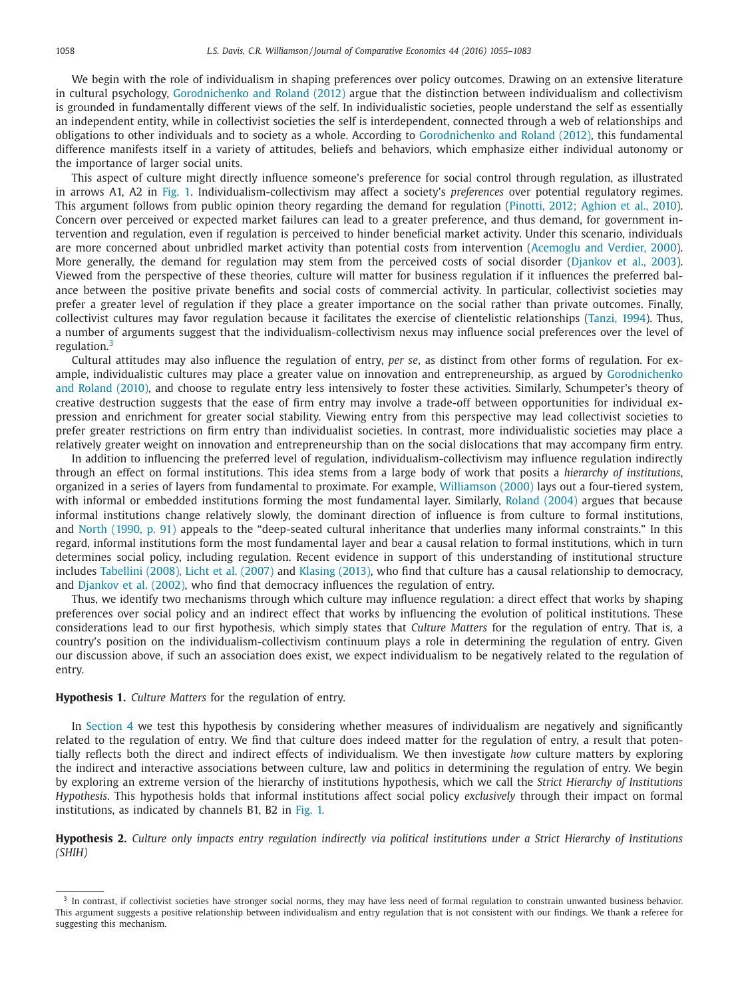We begin with the role of individualism in shaping preferences over policy outcomes. Drawing on an extensive literature in cultural psychology, [Gorodnichenko](#page-27-0) and Roland (2012) argue that the distinction between individualism and collectivism is grounded in fundamentally different views of the self. In individualistic societies, people understand the self as essentially an independent entity, while in collectivist societies the self is interdependent, connected through a web of relationships and obligations to other individuals and to society as a whole. According to [Gorodnichenko](#page-27-0) and Roland (2012), this fundamental difference manifests itself in a variety of attitudes, beliefs and behaviors, which emphasize either individual autonomy or the importance of larger social units.

This aspect of culture might directly influence someone's preference for social control through regulation, as illustrated in arrows A1, A2 in [Fig.](#page-2-0) 1. Individualism-collectivism may affect a society's *preferences* over potential regulatory regimes. This argument follows from public opinion theory regarding the demand for regulation [\(Pinotti,](#page-28-0) 2012; Aghion et al., 2010). Concern over perceived or expected market failures can lead to a greater preference, and thus demand, for government intervention and regulation, even if regulation is perceived to hinder beneficial market activity. Under this scenario, individuals are more concerned about unbridled market activity than potential costs from intervention [\(Acemoglu](#page-26-0) and Verdier, 2000). More generally, the demand for regulation may stem from the perceived costs of social disorder [\(Djankov](#page-27-0) et al., 2003). Viewed from the perspective of these theories, culture will matter for business regulation if it influences the preferred balance between the positive private benefits and social costs of commercial activity. In particular, collectivist societies may prefer a greater level of regulation if they place a greater importance on the social rather than private outcomes. Finally, collectivist cultures may favor regulation because it facilitates the exercise of clientelistic relationships [\(Tanzi,](#page-28-0) 1994). Thus, a number of arguments suggest that the individualism-collectivism nexus may influence social preferences over the level of regulation.<sup>3</sup>

Cultural attitudes may also influence the regulation of entry, *per se*, as distinct from other forms of regulation. For example, individualistic cultures may place a greater value on innovation and [entrepreneurship,](#page-27-0) as argued by Gorodnichenko and Roland (2010), and choose to regulate entry less intensively to foster these activities. Similarly, Schumpeter's theory of creative destruction suggests that the ease of firm entry may involve a trade-off between opportunities for individual expression and enrichment for greater social stability. Viewing entry from this perspective may lead collectivist societies to prefer greater restrictions on firm entry than individualist societies. In contrast, more individualistic societies may place a relatively greater weight on innovation and entrepreneurship than on the social dislocations that may accompany firm entry.

In addition to influencing the preferred level of regulation, individualism-collectivism may influence regulation indirectly through an effect on formal institutions. This idea stems from a large body of work that posits a *hierarchy of institutions*, organized in a series of layers from fundamental to proximate. For example, [Williamson](#page-28-0) (2000) lays out a four-tiered system, with informal or embedded institutions forming the most fundamental layer. Similarly, [Roland](#page-28-0) (2004) argues that because informal institutions change relatively slowly, the dominant direction of influence is from culture to formal institutions, and North [\(1990,](#page-28-0) p. 91) appeals to the "deep-seated cultural inheritance that underlies many informal constraints." In this regard, informal institutions form the most fundamental layer and bear a causal relation to formal institutions, which in turn determines social policy, including regulation. Recent evidence in support of this understanding of institutional structure includes [Tabellini](#page-28-0) (2008), Licht et al. (2007) and [Klasing](#page-27-0) (2013), who find that culture has a causal relationship to democracy, and [Djankov](#page-27-0) et al. (2002), who find that democracy influences the regulation of entry.

Thus, we identify two mechanisms through which culture may influence regulation: a direct effect that works by shaping preferences over social policy and an indirect effect that works by influencing the evolution of political institutions. These considerations lead to our first hypothesis, which simply states that *Culture Matters* for the regulation of entry. That is, a country's position on the individualism-collectivism continuum plays a role in determining the regulation of entry. Given our discussion above, if such an association does exist, we expect individualism to be negatively related to the regulation of entry.

**Hypothesis 1.** *Culture Matters* for the regulation of entry.

In [Section](#page-7-0) 4 we test this hypothesis by considering whether measures of individualism are negatively and significantly related to the regulation of entry. We find that culture does indeed matter for the regulation of entry, a result that potentially reflects both the direct and indirect effects of individualism. We then investigate *how* culture matters by exploring the indirect and interactive associations between culture, law and politics in determining the regulation of entry. We begin by exploring an extreme version of the hierarchy of institutions hypothesis, which we call the *Strict Hierarchy of Institutions Hypothesis*. This hypothesis holds that informal institutions affect social policy *exclusively* through their impact on formal institutions, as indicated by channels B1, B2 in [Fig.](#page-2-0) 1.

Hypothesis 2. Culture only impacts entry regulation indirectly via political institutions under a Strict Hierarchy of Institutions *(SHIH)*

<sup>&</sup>lt;sup>3</sup> In contrast, if collectivist societies have stronger social norms, they may have less need of formal regulation to constrain unwanted business behavior. This argument suggests a positive relationship between individualism and entry regulation that is not consistent with our findings. We thank a referee for suggesting this mechanism.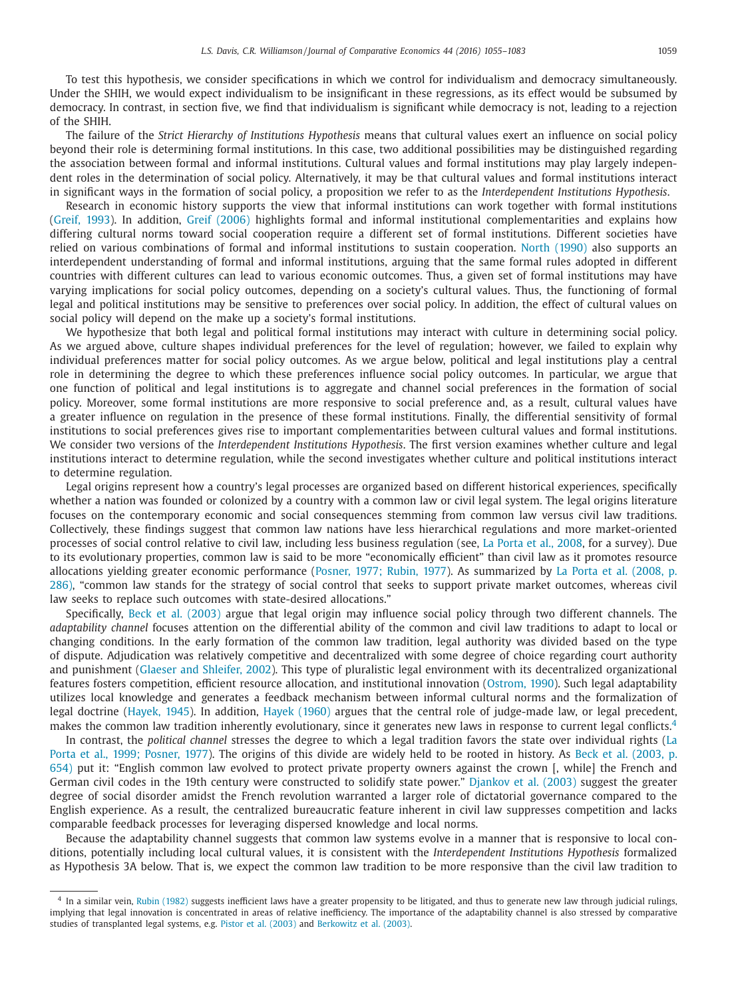To test this hypothesis, we consider specifications in which we control for individualism and democracy simultaneously. Under the SHIH, we would expect individualism to be insignificant in these regressions, as its effect would be subsumed by democracy. In contrast, in section five, we find that individualism is significant while democracy is not, leading to a rejection of the SHIH.

The failure of the *Strict Hierarchy of Institutions Hypothesis* means that cultural values exert an influence on social policy beyond their role is determining formal institutions. In this case, two additional possibilities may be distinguished regarding the association between formal and informal institutions. Cultural values and formal institutions may play largely independent roles in the determination of social policy. Alternatively, it may be that cultural values and formal institutions interact in significant ways in the formation of social policy, a proposition we refer to as the *Interdependent Institutions Hypothesis*.

Research in economic history supports the view that informal institutions can work together with formal institutions [\(Greif,](#page-27-0) 1993). In addition, Greif [\(2006\)](#page-27-0) highlights formal and informal institutional complementarities and explains how differing cultural norms toward social cooperation require a different set of formal institutions. Different societies have relied on various combinations of formal and informal institutions to sustain cooperation. North [\(1990\)](#page-28-0) also supports an interdependent understanding of formal and informal institutions, arguing that the same formal rules adopted in different countries with different cultures can lead to various economic outcomes. Thus, a given set of formal institutions may have varying implications for social policy outcomes, depending on a society's cultural values. Thus, the functioning of formal legal and political institutions may be sensitive to preferences over social policy. In addition, the effect of cultural values on social policy will depend on the make up a society's formal institutions.

We hypothesize that both legal and political formal institutions may interact with culture in determining social policy. As we argued above, culture shapes individual preferences for the level of regulation; however, we failed to explain why individual preferences matter for social policy outcomes. As we argue below, political and legal institutions play a central role in determining the degree to which these preferences influence social policy outcomes. In particular, we argue that one function of political and legal institutions is to aggregate and channel social preferences in the formation of social policy. Moreover, some formal institutions are more responsive to social preference and, as a result, cultural values have a greater influence on regulation in the presence of these formal institutions. Finally, the differential sensitivity of formal institutions to social preferences gives rise to important complementarities between cultural values and formal institutions. We consider two versions of the *Interdependent Institutions Hypothesis*. The first version examines whether culture and legal institutions interact to determine regulation, while the second investigates whether culture and political institutions interact to determine regulation.

Legal origins represent how a country's legal processes are organized based on different historical experiences, specifically whether a nation was founded or colonized by a country with a common law or civil legal system. The legal origins literature focuses on the contemporary economic and social consequences stemming from common law versus civil law traditions. Collectively, these findings suggest that common law nations have less hierarchical regulations and more market-oriented processes of social control relative to civil law, including less business regulation (see, La Porta et al., [2008,](#page-27-0) for a survey). Due to its evolutionary properties, common law is said to be more "economically efficient" than civil law as it promotes resource allocations yielding greater economic [performance](#page-27-0) [\(Posner,](#page-28-0) 1977; Rubin, 1977). As summarized by La Porta et al. (2008, p. 286), "common law stands for the strategy of social control that seeks to support private market outcomes, whereas civil law seeks to replace such outcomes with state-desired allocations."

Specifically, Beck et al. [\(2003\)](#page-26-0) argue that legal origin may influence social policy through two different channels. The *adaptability channel* focuses attention on the differential ability of the common and civil law traditions to adapt to local or changing conditions. In the early formation of the common law tradition, legal authority was divided based on the type of dispute. Adjudication was relatively competitive and decentralized with some degree of choice regarding court authority and punishment (Glaeser and [Shleifer,](#page-27-0) 2002). This type of pluralistic legal environment with its decentralized organizational features fosters competition, efficient resource allocation, and institutional innovation [\(Ostrom,](#page-28-0) 1990). Such legal adaptability utilizes local knowledge and generates a feedback mechanism between informal cultural norms and the formalization of legal doctrine [\(Hayek,](#page-27-0) 1945). In addition, Hayek [\(1960\)](#page-27-0) argues that the central role of judge-made law, or legal precedent, makes the common law tradition inherently evolutionary, since it generates new laws in response to current legal conflicts.<sup>4</sup>

In contrast, the *political channel* stresses the degree to which a legal tradition favors the state over [individual](#page-27-0) rights (La Porta et al., 1999; Posner, 1977). The origins of this divide are widely held to be rooted in history. As Beck et al. (2003, p. 654) put it: "English [common](#page-26-0) law evolved to protect private property owners against the crown [, while] the French and German civil codes in the 19th century were constructed to solidify state power." [Djankov](#page-27-0) et al. (2003) suggest the greater degree of social disorder amidst the French revolution warranted a larger role of dictatorial governance compared to the English experience. As a result, the centralized bureaucratic feature inherent in civil law suppresses competition and lacks comparable feedback processes for leveraging dispersed knowledge and local norms.

Because the adaptability channel suggests that common law systems evolve in a manner that is responsive to local conditions, potentially including local cultural values, it is consistent with the *Interdependent Institutions Hypothesis* formalized as Hypothesis 3A below. That is, we expect the common law tradition to be more responsive than the civil law tradition to

<sup>4</sup> In a similar vein, Rubin [\(1982\)](#page-28-0) suggests inefficient laws have a greater propensity to be litigated, and thus to generate new law through judicial rulings, implying that legal innovation is concentrated in areas of relative inefficiency. The importance of the adaptability channel is also stressed by comparative studies of transplanted legal systems, e.g. Pistor et al. [\(2003\)](#page-28-0) and [Berkowitz](#page-26-0) et al. (2003).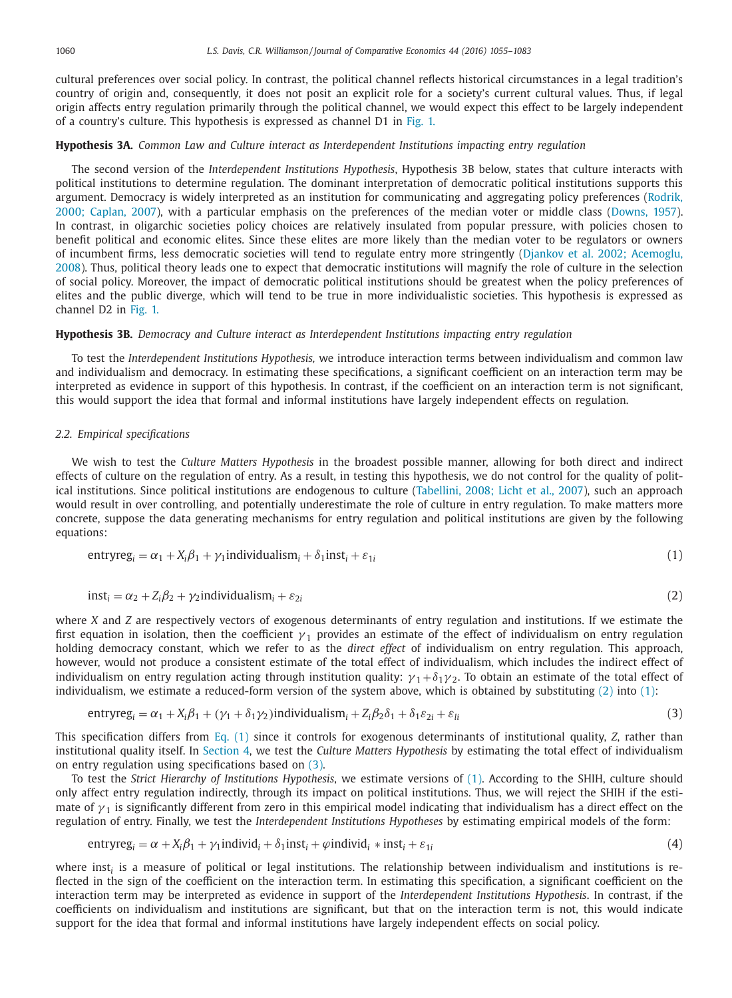cultural preferences over social policy. In contrast, the political channel reflects historical circumstances in a legal tradition's country of origin and, consequently, it does not posit an explicit role for a society's current cultural values. Thus, if legal origin affects entry regulation primarily through the political channel, we would expect this effect to be largely independent of a country's culture. This hypothesis is expressed as channel D1 in [Fig.](#page-2-0) 1.

#### **Hypothesis 3A.** *Common Law and Culture interact as Interdependent Institutions impacting entry regulation*

The second version of the *Interdependent Institutions Hypothesis*, Hypothesis 3B below, states that culture interacts with political institutions to determine regulation. The dominant interpretation of democratic political institutions supports this argument. Democracy is widely interpreted as an institution for [communicating](#page-28-0) and aggregating policy preferences (Rodrik, 2000; Caplan, 2007), with a particular emphasis on the preferences of the median voter or middle class [\(Downs,](#page-27-0) 1957). In contrast, in oligarchic societies policy choices are relatively insulated from popular pressure, with policies chosen to benefit political and economic elites. Since these elites are more likely than the median voter to be regulators or owners of incumbent firms, less democratic societies will tend to regulate entry more stringently (Djankov et al. 2002; Acemoglu, 2008). Thus, political theory leads one to expect that democratic [institutions](#page-27-0) will magnify the role of culture in the selection of social policy. Moreover, the impact of democratic political institutions should be greatest when the policy preferences of elites and the public diverge, which will tend to be true in more individualistic societies. This hypothesis is expressed as channel D2 in [Fig.](#page-2-0) 1.

#### **Hypothesis 3B.** *Democracy and Culture interact as Interdependent Institutions impacting entry regulation*

To test the *Interdependent Institutions Hypothesis,* we introduce interaction terms between individualism and common law and individualism and democracy. In estimating these specifications, a significant coefficient on an interaction term may be interpreted as evidence in support of this hypothesis. In contrast, if the coefficient on an interaction term is not significant, this would support the idea that formal and informal institutions have largely independent effects on regulation.

#### *2.2. Empirical specifications*

We wish to test the *Culture Matters Hypothesis* in the broadest possible manner, allowing for both direct and indirect effects of culture on the regulation of entry. As a result, in testing this hypothesis, we do not control for the quality of political institutions. Since political institutions are endogenous to culture [\(Tabellini,](#page-28-0) 2008; Licht et al., 2007), such an approach would result in over controlling, and potentially underestimate the role of culture in entry regulation. To make matters more concrete, suppose the data generating mechanisms for entry regulation and political institutions are given by the following equations:

$$
entryreg_i = \alpha_1 + X_i\beta_1 + \gamma_1 individualism_i + \delta_1 inst_i + \varepsilon_{1i}
$$
\n(1)

$$
inst_i = \alpha_2 + Z_i\beta_2 + \gamma_2 individualism_i + \varepsilon_{2i}
$$
\n(2)

where *X* and *Z* are respectively vectors of exogenous determinants of entry regulation and institutions. If we estimate the first equation in isolation, then the coefficient  $\gamma_1$  provides an estimate of the effect of individualism on entry regulation holding democracy constant, which we refer to as the *direct effect* of individualism on entry regulation. This approach, however, would not produce a consistent estimate of the total effect of individualism, which includes the indirect effect of individualism on entry regulation acting through institution quality:  $\gamma_1 + \delta_1 \gamma_2$ . To obtain an estimate of the total effect of individualism, we estimate a reduced-form version of the system above, which is obtained by substituting (2) into (1):

$$
entryreg_i = \alpha_1 + X_i\beta_1 + (\gamma_1 + \delta_1\gamma_2)individualism_i + Z_i\beta_2\delta_1 + \delta_1\varepsilon_{2i} + \varepsilon_{li}
$$
\n(3)

This specification differs from Eq. (1) since it controls for exogenous determinants of institutional quality, *Z*, rather than institutional quality itself. In [Section](#page-7-0) 4, we test the *Culture Matters Hypothesis* by estimating the total effect of individualism on entry regulation using specifications based on (3).

To test the *Strict Hierarchy of Institutions Hypothesis*, we estimate versions of (1). According to the SHIH, culture should only affect entry regulation indirectly, through its impact on political institutions. Thus, we will reject the SHIH if the estimate of  $\gamma_1$  is significantly different from zero in this empirical model indicating that individualism has a direct effect on the regulation of entry. Finally, we test the *Interdependent Institutions Hypotheses* by estimating empirical models of the form:

entryreg*<sup>i</sup>* <sup>=</sup> α <sup>+</sup> *Xi*β<sup>1</sup> <sup>+</sup> γ1individ*<sup>i</sup>* <sup>+</sup> δ1inst*<sup>i</sup>* <sup>+</sup> ϕindivid*<sup>i</sup>* <sup>∗</sup> inst*<sup>i</sup>* <sup>+</sup> ε1*<sup>i</sup>* (4)

where inst*<sup>i</sup>* is a measure of political or legal institutions. The relationship between individualism and institutions is reflected in the sign of the coefficient on the interaction term. In estimating this specification, a significant coefficient on the interaction term may be interpreted as evidence in support of the *Interdependent Institutions Hypothesis*. In contrast, if the coefficients on individualism and institutions are significant, but that on the interaction term is not, this would indicate support for the idea that formal and informal institutions have largely independent effects on social policy.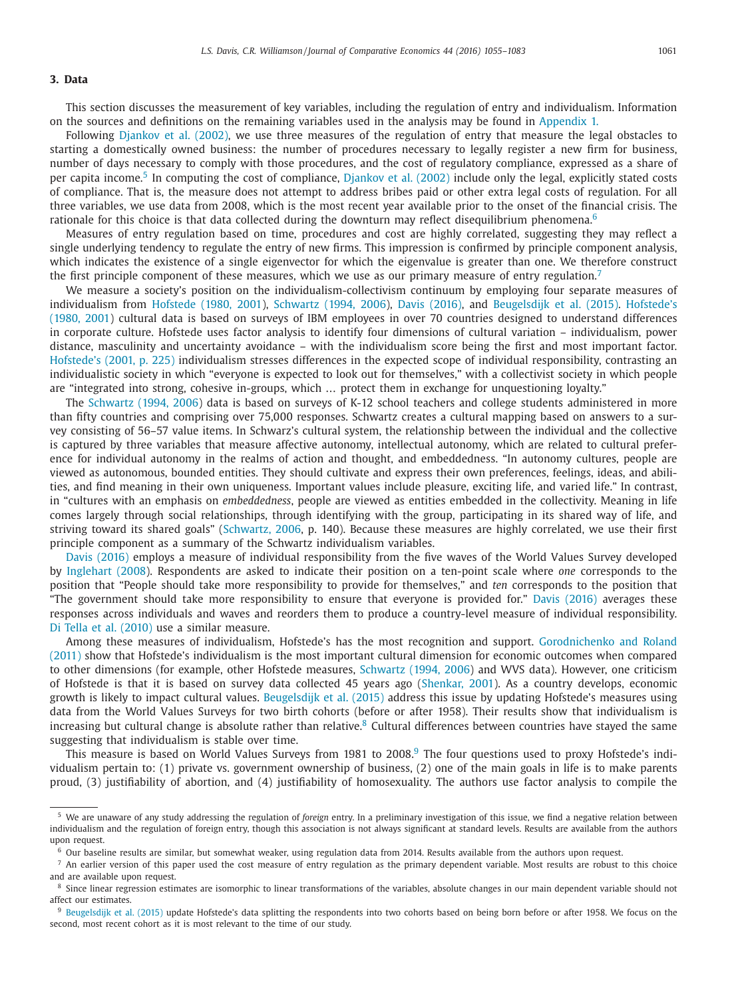#### **3. Data**

This section discusses the measurement of key variables, including the regulation of entry and individualism. Information on the sources and definitions on the remaining variables used in the analysis may be found in [Appendix](#page-25-0) 1.

Following [Djankov](#page-27-0) et al. (2002), we use three measures of the regulation of entry that measure the legal obstacles to starting a domestically owned business: the number of procedures necessary to legally register a new firm for business, number of days necessary to comply with those procedures, and the cost of regulatory compliance, expressed as a share of per capita income.<sup>5</sup> In computing the cost of compliance, [Djankov](#page-27-0) et al. (2002) include only the legal, explicitly stated costs of compliance. That is, the measure does not attempt to address bribes paid or other extra legal costs of regulation. For all three variables, we use data from 2008, which is the most recent year available prior to the onset of the financial crisis. The rationale for this choice is that data collected during the downturn may reflect disequilibrium phenomena.<sup>6</sup>

Measures of entry regulation based on time, procedures and cost are highly correlated, suggesting they may reflect a single underlying tendency to regulate the entry of new firms. This impression is confirmed by principle component analysis, which indicates the existence of a single eigenvector for which the eigenvalue is greater than one. We therefore construct the first principle component of these measures, which we use as our primary measure of entry regulation.<sup>7</sup>

We measure a society's position on the individualism-collectivism continuum by employing four separate measures of [individualism](#page-27-0) from [Hofstede](#page-27-0) (1980, 2001), [Schwartz](#page-28-0) (1994, 2006), Davis [\(2016\),](#page-27-0) and [Beugelsdijk](#page-27-0) et al. (2015). Hofstede's (1980, 2001) cultural data is based on surveys of IBM employees in over 70 countries designed to understand differences in corporate culture. Hofstede uses factor analysis to identify four dimensions of cultural variation – individualism, power distance, masculinity and uncertainty avoidance – with the individualism score being the first and most important factor. [Hofstede's](#page-27-0) (2001, p. 225) individualism stresses differences in the expected scope of individual responsibility, contrasting an individualistic society in which "everyone is expected to look out for themselves," with a collectivist society in which people are "integrated into strong, cohesive in-groups, which … protect them in exchange for unquestioning loyalty."

The [Schwartz](#page-28-0) (1994, 2006) data is based on surveys of K-12 school teachers and college students administered in more than fifty countries and comprising over 75,000 responses. Schwartz creates a cultural mapping based on answers to a survey consisting of 56–57 value items. In Schwarz's cultural system, the relationship between the individual and the collective is captured by three variables that measure affective autonomy, intellectual autonomy, which are related to cultural preference for individual autonomy in the realms of action and thought, and embeddedness. "In autonomy cultures, people are viewed as autonomous, bounded entities. They should cultivate and express their own preferences, feelings, ideas, and abilities, and find meaning in their own uniqueness. Important values include pleasure, exciting life, and varied life." In contrast, in "cultures with an emphasis on *embeddedness*, people are viewed as entities embedded in the collectivity. Meaning in life comes largely through social relationships, through identifying with the group, participating in its shared way of life, and striving toward its shared goals" [\(Schwartz,](#page-28-0) 2006, p. 140). Because these measures are highly correlated, we use their first principle component as a summary of the Schwartz individualism variables.

Davis [\(2016\)](#page-27-0) employs a measure of individual responsibility from the five waves of the World Values Survey developed by [Inglehart](#page-27-0) (2008). Respondents are asked to indicate their position on a ten-point scale where *one* corresponds to the position that "People should take more responsibility to provide for themselves," and *ten* corresponds to the position that "The government should take more responsibility to ensure that everyone is provided for." Davis [\(2016\)](#page-27-0) averages these responses across individuals and waves and reorders them to produce a country-level measure of individual responsibility. Di Tella et al. [\(2010\)](#page-27-0) use a similar measure.

Among these measures of individualism, Hofstede's has the most recognition and support. [Gorodnichenko](#page-27-0) and Roland (2011) show that Hofstede's individualism is the most important cultural dimension for economic outcomes when compared to other dimensions (for example, other Hofstede measures, [Schwartz](#page-28-0) (1994, 2006) and WVS data). However, one criticism of Hofstede is that it is based on survey data collected 45 years ago [\(Shenkar,](#page-28-0) 2001). As a country develops, economic growth is likely to impact cultural values. [Beugelsdijk](#page-27-0) et al. (2015) address this issue by updating Hofstede's measures using data from the World Values Surveys for two birth cohorts (before or after 1958). Their results show that individualism is increasing but cultural change is absolute rather than relative.<sup>8</sup> Cultural differences between countries have stayed the same suggesting that individualism is stable over time.

This measure is based on World Values Surveys from 1981 to 2008.<sup>9</sup> The four questions used to proxy Hofstede's individualism pertain to: (1) private vs. government ownership of business, (2) one of the main goals in life is to make parents proud, (3) justifiability of abortion, and (4) justifiability of homosexuality. The authors use factor analysis to compile the

<sup>5</sup> We are unaware of any study addressing the regulation of *foreign* entry. In a preliminary investigation of this issue, we find a negative relation between individualism and the regulation of foreign entry, though this association is not always significant at standard levels. Results are available from the authors upon request.

 $6$  Our baseline results are similar, but somewhat weaker, using regulation data from 2014. Results available from the authors upon request.

 $7$  An earlier version of this paper used the cost measure of entry regulation as the primary dependent variable. Most results are robust to this choice and are available upon request.

<sup>&</sup>lt;sup>8</sup> Since linear regression estimates are isomorphic to linear transformations of the variables, absolute changes in our main dependent variable should not affect our estimates.

 $9$  [Beugelsdijk](#page-27-0) et al. (2015) update Hofstede's data splitting the respondents into two cohorts based on being born before or after 1958. We focus on the second, most recent cohort as it is most relevant to the time of our study.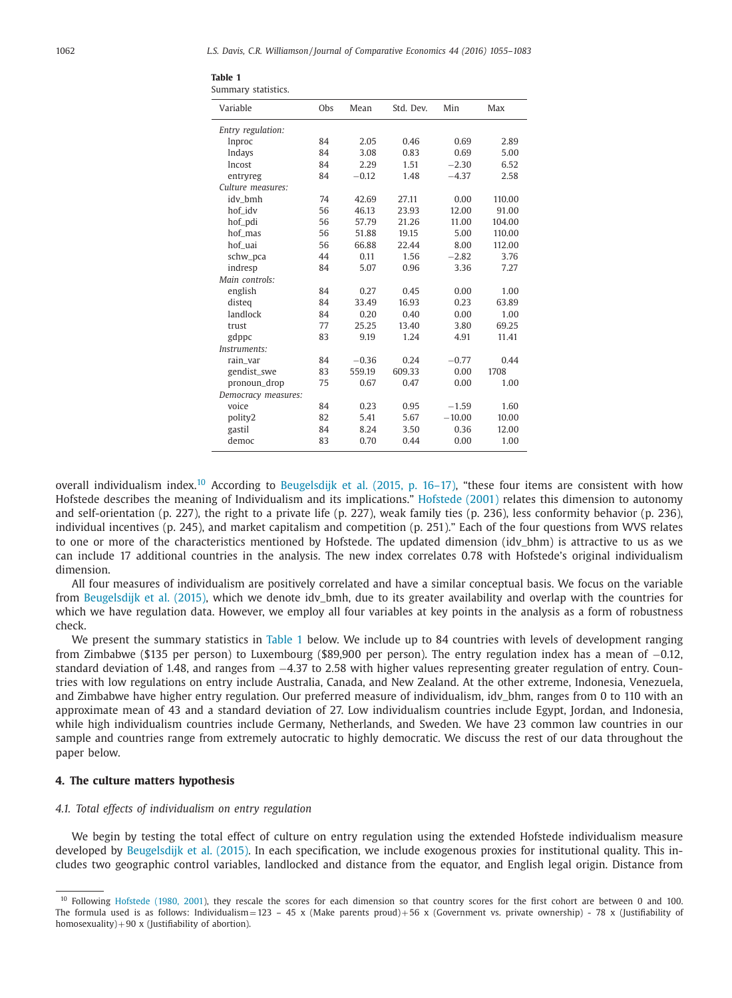| Variable            | Obs | Mean    | Std. Dev. | Min      | Max    |
|---------------------|-----|---------|-----------|----------|--------|
| Entry regulation:   |     |         |           |          |        |
| Inproc              | 84  | 2.05    | 0.46      | 0.69     | 2.89   |
| Indays              | 84  | 3.08    | 0.83      | 0.69     | 5.00   |
| Incost              | 84  | 2.29    | 1.51      | $-2.30$  | 6.52   |
| entryreg            | 84  | $-0.12$ | 1.48      | $-4.37$  | 2.58   |
| Culture measures:   |     |         |           |          |        |
| idv_bmh             | 74  | 42.69   | 27.11     | 0.00     | 110.00 |
| hof_idv             | 56  | 46.13   | 23.93     | 12.00    | 91.00  |
| hof_pdi             | 56  | 57.79   | 21.26     | 11.00    | 104.00 |
| hof_mas             | 56  | 51.88   | 19.15     | 5.00     | 110.00 |
| hof_uai             | 56  | 66.88   | 22.44     | 8.00     | 112.00 |
| schw_pca            | 44  | 0.11    | 1.56      | $-2.82$  | 3.76   |
| indresp             | 84  | 5.07    | 0.96      | 3.36     | 7.27   |
| Main controls:      |     |         |           |          |        |
| english             | 84  | 0.27    | 0.45      | 0.00     | 1.00   |
| disteg              | 84  | 33.49   | 16.93     | 0.23     | 63.89  |
| landlock            | 84  | 0.20    | 0.40      | 0.00     | 1.00   |
| trust               | 77  | 25.25   | 13.40     | 3.80     | 69.25  |
| gdppc               | 83  | 9.19    | 1.24      | 4.91     | 11.41  |
| Instruments:        |     |         |           |          |        |
| rain_var            | 84  | $-0.36$ | 0.24      | $-0.77$  | 0.44   |
| gendist_swe         | 83  | 559.19  | 609.33    | 0.00     | 1708   |
| pronoun_drop        | 75  | 0.67    | 0.47      | 0.00     | 1.00   |
| Democracy measures: |     |         |           |          |        |
| voice               | 84  | 0.23    | 0.95      | $-1.59$  | 1.60   |
| polity2             | 82  | 5.41    | 5.67      | $-10.00$ | 10.00  |
| gastil              | 84  | 8.24    | 3.50      | 0.36     | 12.00  |
| democ               | 83  | 0.70    | 0.44      | 0.00     | 1.00   |

<span id="page-7-0"></span>**Table 1** Summary statistics.

overall individualism index.<sup>10</sup> According to [Beugelsdijk](#page-27-0) et al. (2015, p. 16–17), "these four items are consistent with how Hofstede describes the meaning of Individualism and its implications." [Hofstede](#page-27-0) (2001) relates this dimension to autonomy and self-orientation (p. 227), the right to a private life (p. 227), weak family ties (p. 236), less conformity behavior (p. 236), individual incentives (p. 245), and market capitalism and competition (p. 251)." Each of the four questions from WVS relates to one or more of the characteristics mentioned by Hofstede. The updated dimension (idv\_bhm) is attractive to us as we can include 17 additional countries in the analysis. The new index correlates 0.78 with Hofstede's original individualism dimension.

All four measures of individualism are positively correlated and have a similar conceptual basis. We focus on the variable from [Beugelsdijk](#page-27-0) et al. (2015), which we denote idv\_bmh, due to its greater availability and overlap with the countries for which we have regulation data. However, we employ all four variables at key points in the analysis as a form of robustness check.

We present the summary statistics in Table 1 below. We include up to 84 countries with levels of development ranging from Zimbabwe (\$135 per person) to Luxembourg (\$89,900 per person). The entry regulation index has a mean of −0.12, standard deviation of 1.48, and ranges from −4.37 to 2.58 with higher values representing greater regulation of entry. Countries with low regulations on entry include Australia, Canada, and New Zealand. At the other extreme, Indonesia, Venezuela, and Zimbabwe have higher entry regulation. Our preferred measure of individualism, idv\_bhm, ranges from 0 to 110 with an approximate mean of 43 and a standard deviation of 27. Low individualism countries include Egypt, Jordan, and Indonesia, while high individualism countries include Germany, Netherlands, and Sweden. We have 23 common law countries in our sample and countries range from extremely autocratic to highly democratic. We discuss the rest of our data throughout the paper below.

#### **4. The culture matters hypothesis**

#### *4.1. Total effects of individualism on entry regulation*

We begin by testing the total effect of culture on entry regulation using the extended Hofstede individualism measure developed by [Beugelsdijk](#page-27-0) et al. (2015). In each specification, we include exogenous proxies for institutional quality. This includes two geographic control variables, landlocked and distance from the equator, and English legal origin. Distance from

<sup>&</sup>lt;sup>10</sup> Following [Hofstede](#page-27-0) (1980, 2001), they rescale the scores for each dimension so that country scores for the first cohort are between 0 and 100. The formula used is as follows: Individualism=123 - 45 x (Make parents proud)+56 x (Government vs. private ownership) - 78 x (Justifiability of homosexuality)+90 x (Justifiability of abortion).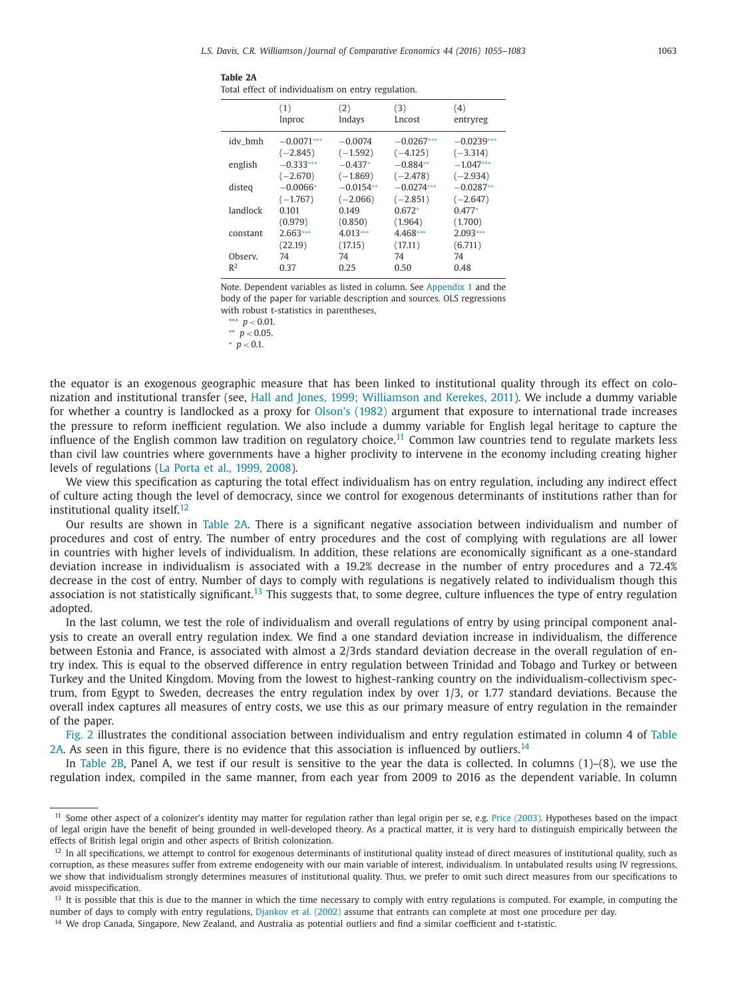**Table 2A** Total effect of individualism on entry regulation.

|          | (1)          | (2)         | (3)          | (4)          |
|----------|--------------|-------------|--------------|--------------|
|          | Inproc       | lndays      | Lncost       | entryreg     |
| idy bmh  | $-0.0071***$ | $-0.0074$   | $-0.0267***$ | $-0.0239***$ |
|          | $(-2.845)$   | $(-1.592)$  | $(-4.125)$   | $(-3.314)$   |
| english  | $-0.333***$  | $-0.437*$   | $-0.884**$   | $-1.047***$  |
| disteg   | $(-2.670)$   | $(-1.869)$  | $(-2.478)$   | $(-2.934)$   |
|          | $-0.0066*$   | $-0.0154**$ | $-0.0274***$ | $-0.0287**$  |
| landlock | $(-1.767)$   | $(-2.066)$  | $(-2.851)$   | $(-2.647)$   |
|          | 0.101        | 0.149       | $0.672*$     | $0.477*$     |
|          | (0.979)      | (0.850)     | (1.964)      | (1.700)      |
| constant | $2.663***$   | $4.013***$  | $4.468***$   | $2.093***$   |
|          | (22.19)      | (17.15)     | (17.11)      | (6.711)      |
| Observ.  | 74           | 74          | 74           | 74           |
| $R^2$    | 0.37         | 0.25        | 0.50         | 0.48         |
|          |              |             |              |              |

Note. Dependent variables as listed in column. See [Appendix](#page-25-0) 1 and the body of the paper for variable description and sources. OLS regressions with robust t-statistics in parentheses.

∗∗∗ *p* < 0.01.

∗∗ *p* < 0.05.

```
∗ p < 0.1.
```
the equator is an exogenous geographic measure that has been linked to institutional quality through its effect on colonization and institutional transfer (see, Hall and Jones, 1999; [Williamson](#page-27-0) and Kerekes, 2011). We include a dummy variable for whether a country is landlocked as a proxy for [Olson's](#page-28-0) (1982) argument that exposure to international trade increases the pressure to reform inefficient regulation. We also include a dummy variable for English legal heritage to capture the influence of the English common law tradition on regulatory choice.<sup>11</sup> Common law countries tend to regulate markets less than civil law countries where governments have a higher proclivity to intervene in the economy including creating higher levels of regulations (La Porta et al., 1999, [2008\)](#page-27-0).

We view this specification as capturing the total effect individualism has on entry regulation, including any indirect effect of culture acting though the level of democracy, since we control for exogenous determinants of institutions rather than for institutional quality itself.<sup>12</sup>

Our results are shown in Table 2A. There is a significant negative association between individualism and number of procedures and cost of entry. The number of entry procedures and the cost of complying with regulations are all lower in countries with higher levels of individualism. In addition, these relations are economically significant as a one-standard deviation increase in individualism is associated with a 19.2% decrease in the number of entry procedures and a 72.4% decrease in the cost of entry. Number of days to comply with regulations is negatively related to individualism though this association is not statistically significant.<sup>13</sup> This suggests that, to some degree, culture influences the type of entry regulation adopted.

In the last column, we test the role of individualism and overall regulations of entry by using principal component analysis to create an overall entry regulation index. We find a one standard deviation increase in individualism, the difference between Estonia and France, is associated with almost a 2/3rds standard deviation decrease in the overall regulation of entry index. This is equal to the observed difference in entry regulation between Trinidad and Tobago and Turkey or between Turkey and the United Kingdom. Moving from the lowest to highest-ranking country on the individualism-collectivism spectrum, from Egypt to Sweden, decreases the entry regulation index by over 1/3, or 1.77 standard deviations. Because the overall index captures all measures of entry costs, we use this as our primary measure of entry regulation in the remainder of the paper.

[Fig.](#page-9-0) 2 illustrates the conditional association between individualism and entry regulation estimated in column 4 of Table 2A. As seen in this figure, there is no evidence that this association is influenced by outliers.<sup>14</sup>

In [Table](#page-9-0) 2B, Panel A, we test if our result is sensitive to the year the data is collected. In columns  $(1)$ – $(8)$ , we use the regulation index, compiled in the same manner, from each year from 2009 to 2016 as the dependent variable. In column

<sup>&</sup>lt;sup>11</sup> Some other aspect of a colonizer's identity may matter for regulation rather than legal origin per se, e.g. Price [\(2003\).](#page-28-0) Hypotheses based on the impact of legal origin have the benefit of being grounded in well-developed theory. As a practical matter, it is very hard to distinguish empirically between the effects of British legal origin and other aspects of British colonization.

<sup>&</sup>lt;sup>12</sup> In all specifications, we attempt to control for exogenous determinants of institutional quality instead of direct measures of institutional quality, such as corruption, as these measures suffer from extreme endogeneity with our main variable of interest, individualism. In untabulated results using IV regressions, we show that individualism strongly determines measures of institutional quality. Thus, we prefer to omit such direct measures from our specifications to avoid misspecification.

<sup>&</sup>lt;sup>13</sup> It is possible that this is due to the manner in which the time necessary to comply with entry regulations is computed. For example, in computing the number of days to comply with entry regulations, [Djankov](#page-27-0) et al. (2002) assume that entrants can complete at most one procedure per day.

<sup>&</sup>lt;sup>14</sup> We drop Canada, Singapore, New Zealand, and Australia as potential outliers and find a similar coefficient and t-statistic.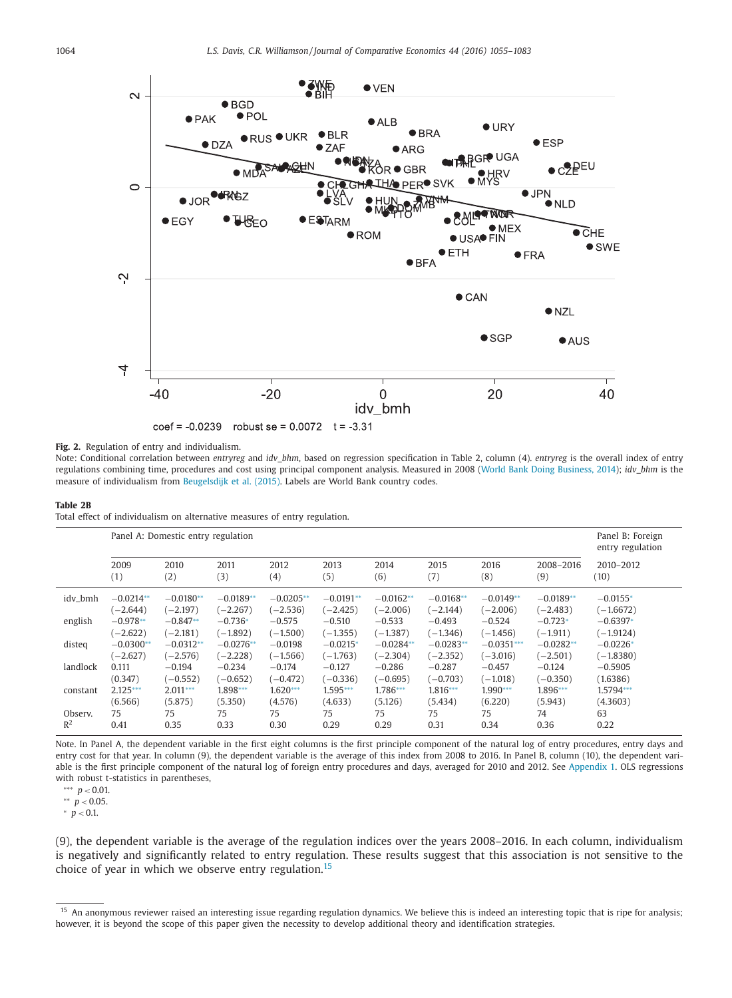<span id="page-9-0"></span>

**Fig. 2.** Regulation of entry and individualism.

Note: Conditional correlation between *entryreg* and *idv\_bhm*, based on regression specification in Table 2, column (4). *entryreg* is the overall index of entry regulations combining time, procedures and cost using principal component analysis. Measured in 2008 (World Bank Doing [Business,](#page-28-0) 2014); *idv\_bhm* is the measure of individualism from [Beugelsdijk](#page-27-0) et al. (2015). Labels are World Bank country codes.

#### **Table 2B**

|  |  | Total effect of individualism on alternative measures of entry regulation. |  |  |  |  |  |  |  |
|--|--|----------------------------------------------------------------------------|--|--|--|--|--|--|--|
|--|--|----------------------------------------------------------------------------|--|--|--|--|--|--|--|

|                |             | Panel A: Domestic entry regulation |             |             |             |             |             |              |             |             |  |  |  |
|----------------|-------------|------------------------------------|-------------|-------------|-------------|-------------|-------------|--------------|-------------|-------------|--|--|--|
|                | 2009        | 2010                               | 2011        | 2012        | 2013        | 2014        | 2015        | 2016         | 2008-2016   | 2010-2012   |  |  |  |
|                | (1)         | (2)                                | (3)         | (4)         | (5)         | (6)         | (7)         | (8)          | (9)         | (10)        |  |  |  |
| idv_bmh        | $-0.0214**$ | $-0.0180**$                        | $-0.0189**$ | $-0.0205**$ | $-0.0191**$ | $-0.0162**$ | $-0.0168**$ | $-0.0149**$  | $-0.0189**$ | $-0.0155*$  |  |  |  |
|                | $(-2.644)$  | $(-2.197)$                         | $(-2.267)$  | $(-2.536)$  | $(-2.425)$  | $(-2.006)$  | $(-2.144)$  | $(-2.006)$   | $-2.483$    | $(-1.6672)$ |  |  |  |
| english        | $-0.978**$  | $-0.847**$                         | $-0.736*$   | $-0.575$    | $-0.510$    | $-0.533$    | $-0.493$    | $-0.524$     | $-0.723*$   | $-0.6397*$  |  |  |  |
|                | $(-2.622)$  | $(-2.181)$                         | $(-1.892)$  | $(-1.500)$  | $(-1.355)$  | $(-1.387)$  | $(-1.346)$  | $(-1.456)$   | $(-1.911)$  | $(-1.9124)$ |  |  |  |
| disteg         | $-0.0300**$ | $-0.0312**$                        | $-0.0276**$ | $-0.0198$   | $-0.0215*$  | $-0.0284**$ | $-0.0283**$ | $-0.0351***$ | $-0.0282**$ | $-0.0226*$  |  |  |  |
|                | $(-2.627)$  | $(-2.576)$                         | $(-2.228)$  | $(-1.566)$  | $(-1.763)$  | $(-2.304)$  | $(-2.352)$  | $(-3.016)$   | $(-2.501)$  | $(-1.8380)$ |  |  |  |
| landlock       | 0.111       | $-0.194$                           | $-0.234$    | $-0.174$    | $-0.127$    | $-0.286$    | $-0.287$    | $-0.457$     | $-0.124$    | $-0.5905$   |  |  |  |
|                | (0.347)     | $(-0.552)$                         | $(-0.652)$  | $(-0.472)$  | $(-0.336)$  | $(-0.695)$  | $(-0.703)$  | $(-1.018)$   | $(-0.350)$  | (1.6386)    |  |  |  |
| constant       | $2.125***$  | $2.011***$                         | 1.898***    | $1.620***$  | $1.595***$  | 1.786***    | $1.816***$  | 1.990***     | 1.896***    | 1.5794***   |  |  |  |
|                | (6.566)     | (5.875)                            | (5.350)     | (4.576)     | (4.633)     | (5.126)     | (5.434)     | (6.220)      | (5.943)     | (4.3603)    |  |  |  |
| Observ.        | 75          | 75                                 | 75          | 75          | 75          | 75          | 75          | 75           | 74          | 63          |  |  |  |
| R <sup>2</sup> | 0.41        | 0.35                               | 0.33        | 0.30        | 0.29        | 0.29        | 0.31        | 0.34         | 0.36        | 0.22        |  |  |  |

Note. In Panel A, the dependent variable in the first eight columns is the first principle component of the natural log of entry procedures, entry days and entry cost for that year. In column (9), the dependent variable is the average of this index from 2008 to 2016. In Panel B, column (10), the dependent variable is the first principle component of the natural log of foreign entry procedures and days, averaged for 2010 and 2012. See [Appendix](#page-25-0) 1. OLS regressions with robust t-statistics in parentheses,

∗∗∗ *p* < 0.01.

∗∗ *p* < 0.05.

<sup>∗</sup> *p* < 0.1.

(9), the dependent variable is the average of the regulation indices over the years 2008–2016. In each column, individualism is negatively and significantly related to entry regulation. These results suggest that this association is not sensitive to the choice of year in which we observe entry regulation.<sup>15</sup>

<sup>&</sup>lt;sup>15</sup> An anonymous reviewer raised an interesting issue regarding regulation dynamics. We believe this is indeed an interesting topic that is ripe for analysis; however, it is beyond the scope of this paper given the necessity to develop additional theory and identification strategies.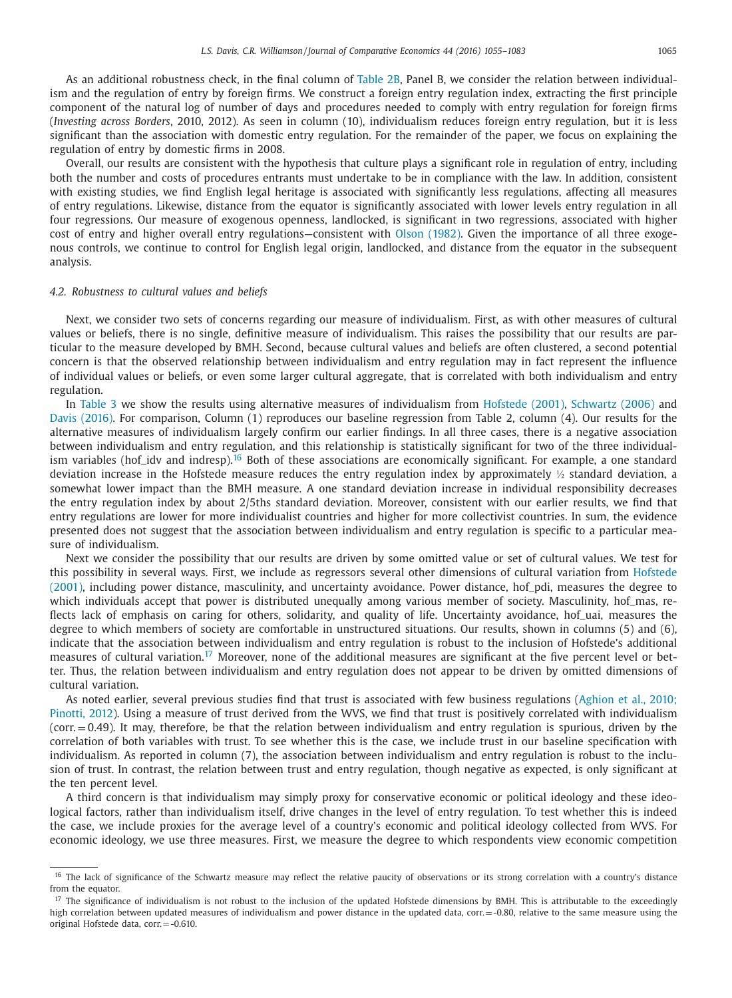As an additional robustness check, in the final column of [Table](#page-9-0) 2B, Panel B, we consider the relation between individualism and the regulation of entry by foreign firms. We construct a foreign entry regulation index, extracting the first principle component of the natural log of number of days and procedures needed to comply with entry regulation for foreign firms (*Investing across Borders*, 2010, 2012). As seen in column (10), individualism reduces foreign entry regulation, but it is less significant than the association with domestic entry regulation. For the remainder of the paper, we focus on explaining the regulation of entry by domestic firms in 2008.

Overall, our results are consistent with the hypothesis that culture plays a significant role in regulation of entry, including both the number and costs of procedures entrants must undertake to be in compliance with the law. In addition, consistent with existing studies, we find English legal heritage is associated with significantly less regulations, affecting all measures of entry regulations. Likewise, distance from the equator is significantly associated with lower levels entry regulation in all four regressions. Our measure of exogenous openness, landlocked, is significant in two regressions, associated with higher cost of entry and higher overall entry regulations—consistent with Olson [\(1982\).](#page-28-0) Given the importance of all three exogenous controls, we continue to control for English legal origin, landlocked, and distance from the equator in the subsequent analysis.

#### *4.2. Robustness to cultural values and beliefs*

Next, we consider two sets of concerns regarding our measure of individualism. First, as with other measures of cultural values or beliefs, there is no single, definitive measure of individualism. This raises the possibility that our results are particular to the measure developed by BMH. Second, because cultural values and beliefs are often clustered, a second potential concern is that the observed relationship between individualism and entry regulation may in fact represent the influence of individual values or beliefs, or even some larger cultural aggregate, that is correlated with both individualism and entry regulation.

In [Table](#page-11-0) 3 we show the results using alternative measures of individualism from [Hofstede](#page-27-0) (2001), [Schwartz](#page-28-0) (2006) and Davis [\(2016\).](#page-27-0) For comparison, Column (1) reproduces our baseline regression from Table 2, column (4). Our results for the alternative measures of individualism largely confirm our earlier findings. In all three cases, there is a negative association between individualism and entry regulation, and this relationship is statistically significant for two of the three individualism variables (hof\_idv and indresp).<sup>16</sup> Both of these associations are economically significant. For example, a one standard deviation increase in the Hofstede measure reduces the entry regulation index by approximately ½ standard deviation, a somewhat lower impact than the BMH measure. A one standard deviation increase in individual responsibility decreases the entry regulation index by about 2/5ths standard deviation. Moreover, consistent with our earlier results, we find that entry regulations are lower for more individualist countries and higher for more collectivist countries. In sum, the evidence presented does not suggest that the association between individualism and entry regulation is specific to a particular measure of individualism.

Next we consider the possibility that our results are driven by some omitted value or set of cultural values. We test for this possibility in several ways. First, we include as regressors several other dimensions of cultural variation from Hofstede (2001), including power distance, [masculinity,](#page-27-0) and uncertainty avoidance. Power distance, hof\_pdi, measures the degree to which individuals accept that power is distributed unequally among various member of society. Masculinity, hof\_mas, reflects lack of emphasis on caring for others, solidarity, and quality of life. Uncertainty avoidance, hof\_uai, measures the degree to which members of society are comfortable in unstructured situations. Our results, shown in columns (5) and (6), indicate that the association between individualism and entry regulation is robust to the inclusion of Hofstede's additional measures of cultural variation.<sup>17</sup> Moreover, none of the additional measures are significant at the five percent level or better. Thus, the relation between individualism and entry regulation does not appear to be driven by omitted dimensions of cultural variation.

As noted earlier, several previous studies find that trust is associated with few business regulations (Aghion et al., 2010; Pinotti, 2012). Using a measure of trust derived from the WVS, we find that trust is positively correlated with [individualism](#page-26-0)  $(corr, = 0.49)$ . It may, therefore, be that the relation between individualism and entry regulation is spurious, driven by the correlation of both variables with trust. To see whether this is the case, we include trust in our baseline specification with individualism. As reported in column (7), the association between individualism and entry regulation is robust to the inclusion of trust. In contrast, the relation between trust and entry regulation, though negative as expected, is only significant at the ten percent level.

A third concern is that individualism may simply proxy for conservative economic or political ideology and these ideological factors, rather than individualism itself, drive changes in the level of entry regulation. To test whether this is indeed the case, we include proxies for the average level of a country's economic and political ideology collected from WVS. For economic ideology, we use three measures. First, we measure the degree to which respondents view economic competition

<sup>&</sup>lt;sup>16</sup> The lack of significance of the Schwartz measure may reflect the relative paucity of observations or its strong correlation with a country's distance from the equator.

<sup>&</sup>lt;sup>17</sup> The significance of individualism is not robust to the inclusion of the updated Hofstede dimensions by BMH. This is attributable to the exceedingly high correlation between updated measures of individualism and power distance in the updated data, corr. = -0.80, relative to the same measure using the original Hofstede data, corr.=-0.610.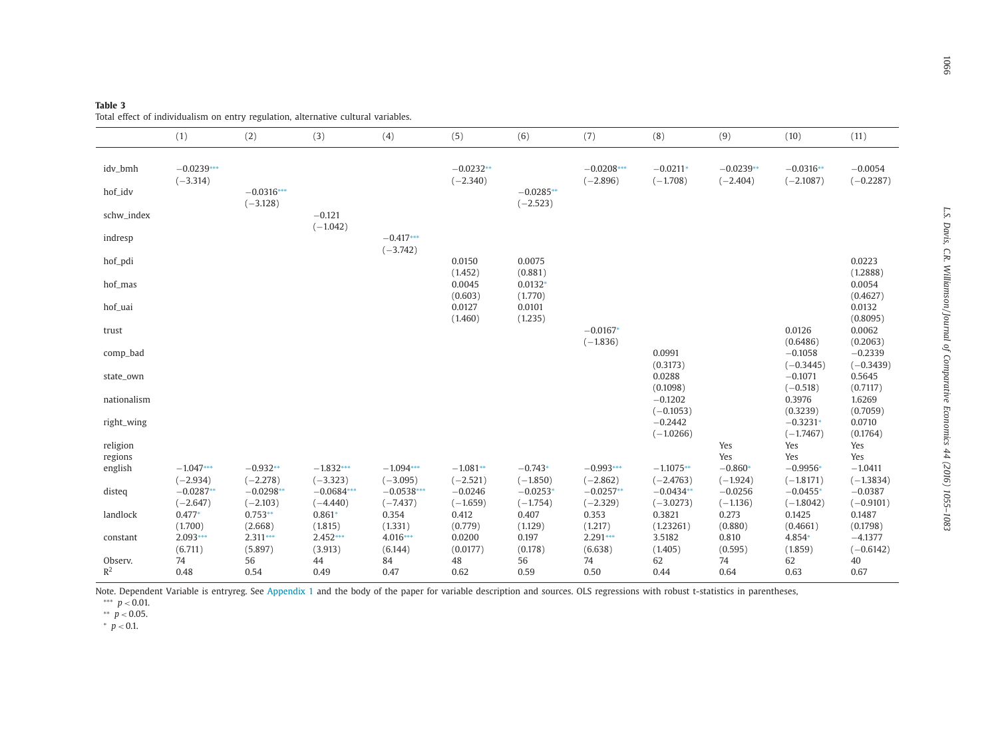<span id="page-11-0"></span>

| Table 3                                                                            |  |
|------------------------------------------------------------------------------------|--|
| Total effect of individualism on entry regulation, alternative cultural variables. |  |

|                                  | (1)                               | (2)                                | (3)                             | (4)                          | (5)                        | (6)                       | (7)                            | (8)                                     | (9)                       | (10)                                  | (11)                            |
|----------------------------------|-----------------------------------|------------------------------------|---------------------------------|------------------------------|----------------------------|---------------------------|--------------------------------|-----------------------------------------|---------------------------|---------------------------------------|---------------------------------|
| idv_bmh<br>hof_idv<br>schw_index | $-0.0239***$<br>$(-3.314)$        | $-0.0316***$<br>$(-3.128)$         | $-0.121$                        |                              | $-0.0232**$<br>$(-2.340)$  | $-0.0285**$<br>$(-2.523)$ | $-0.0208***$<br>$(-2.896)$     | $-0.0211*$<br>$(-1.708)$                | $-0.0239**$<br>$(-2.404)$ | $-0.0316**$<br>$(-2.1087)$            | $-0.0054$<br>$(-0.2287)$        |
| indresp                          |                                   |                                    | $(-1.042)$                      | $-0.417***$                  |                            |                           |                                |                                         |                           |                                       |                                 |
| hof_pdi                          |                                   |                                    |                                 | $(-3.742)$                   | 0.0150<br>(1.452)          | 0.0075<br>(0.881)         |                                |                                         |                           |                                       | 0.0223<br>(1.2888)              |
| hof_mas                          |                                   |                                    |                                 |                              | 0.0045<br>(0.603)          | $0.0132*$<br>(1.770)      |                                |                                         |                           |                                       | 0.0054<br>(0.4627)              |
| hof_uai                          |                                   |                                    |                                 |                              | 0.0127<br>(1.460)          | 0.0101<br>(1.235)         |                                |                                         |                           |                                       | 0.0132<br>(0.8095)              |
| trust<br>comp_bad                |                                   |                                    |                                 |                              |                            |                           | $-0.0167*$<br>$(-1.836)$       | 0.0991                                  |                           | 0.0126<br>(0.6486)<br>$-0.1058$       | 0.0062<br>(0.2063)<br>$-0.2339$ |
| state_own                        |                                   |                                    |                                 |                              |                            |                           |                                | (0.3173)<br>0.0288                      |                           | $(-0.3445)$<br>$-0.1071$              | $(-0.3439)$<br>0.5645           |
| nationalism                      |                                   |                                    |                                 |                              |                            |                           |                                | (0.1098)<br>$-0.1202$                   |                           | $(-0.518)$<br>0.3976                  | (0.7117)<br>1.6269              |
| right_wing                       |                                   |                                    |                                 |                              |                            |                           |                                | $(-0.1053)$<br>$-0.2442$<br>$(-1.0266)$ |                           | (0.3239)<br>$-0.3231*$<br>$(-1.7467)$ | (0.7059)<br>0.0710<br>(0.1764)  |
| religion<br>regions              |                                   |                                    |                                 |                              |                            |                           |                                |                                         | Yes<br>Yes                | Yes<br>Yes                            | Yes<br>Yes                      |
| english                          | $-1.047***$<br>$(-2.934)$         | $-0.932**$<br>$(-2.278)$           | $-1.832***$<br>$(-3.323)$       | $-1.094***$<br>$(-3.095)$    | $-1.081**$<br>$(-2.521)$   | $-0.743*$<br>$(-1.850)$   | $-0.993***$<br>$(-2.862)$      | $-1.1075**$<br>$(-2.4763)$              | $-0.860*$<br>$(-1.924)$   | $-0.9956*$<br>$(-1.8171)$             | $-1.0411$<br>$(-1.3834)$        |
| disteq                           | $-0.0287**$<br>$(-2.647)$         | $-0.0298**$<br>$(-2.103)$          | $-0.0684***$<br>$(-4.440)$      | $-0.0538***$<br>$(-7.437)$   | $-0.0246$<br>$(-1.659)$    | $-0.0253*$<br>$(-1.754)$  | $-0.0257**$<br>$(-2.329)$      | $-0.0434**$<br>$(-3.0273)$              | $-0.0256$<br>$(-1.136)$   | $-0.0455*$<br>$(-1.8042)$             | $-0.0387$<br>$(-0.9101)$        |
| landlock                         | $0.477*$<br>(1.700)<br>$2.093***$ | $0.753**$<br>(2.668)<br>$2.311***$ | $0.861*$<br>(1.815)<br>2.452*** | 0.354<br>(1.331)<br>4.016*** | 0.412<br>(0.779)<br>0.0200 | 0.407<br>(1.129)<br>0.197 | 0.353<br>(1.217)<br>$2.291***$ | 0.3821<br>(1.23261)<br>3.5182           | 0.273<br>(0.880)<br>0.810 | 0.1425<br>(0.4661)<br>4.854*          | 0.1487<br>(0.1798)<br>$-4,1377$ |
| constant<br>Observ.              | (6.711)<br>74                     | (5.897)<br>56                      | (3.913)<br>44                   | (6.144)<br>84                | (0.0177)<br>48             | (0.178)<br>56             | (6.638)<br>74                  | (1.405)<br>62                           | (0.595)<br>74             | (1.859)<br>62                         | $(-0.6142)$<br>40               |
| $R^2$                            | 0.48                              | 0.54                               | 0.49                            | 0.47                         | 0.62                       | 0.59                      | 0.50                           | 0.44                                    | 0.64                      | 0.63                                  | 0.67                            |

Note. Dependent Variable is entryreg. See [Appendix](#page-25-0) 1 and the body of the paper for variable description and sources. OLS regressions with robust t-statistics in parentheses,

∗∗∗ *p* <sup>&</sup>lt; 0.01.

∗∗ *p* <sup>&</sup>lt; 0.05.

∗ *p* <sup>&</sup>lt; 0.1.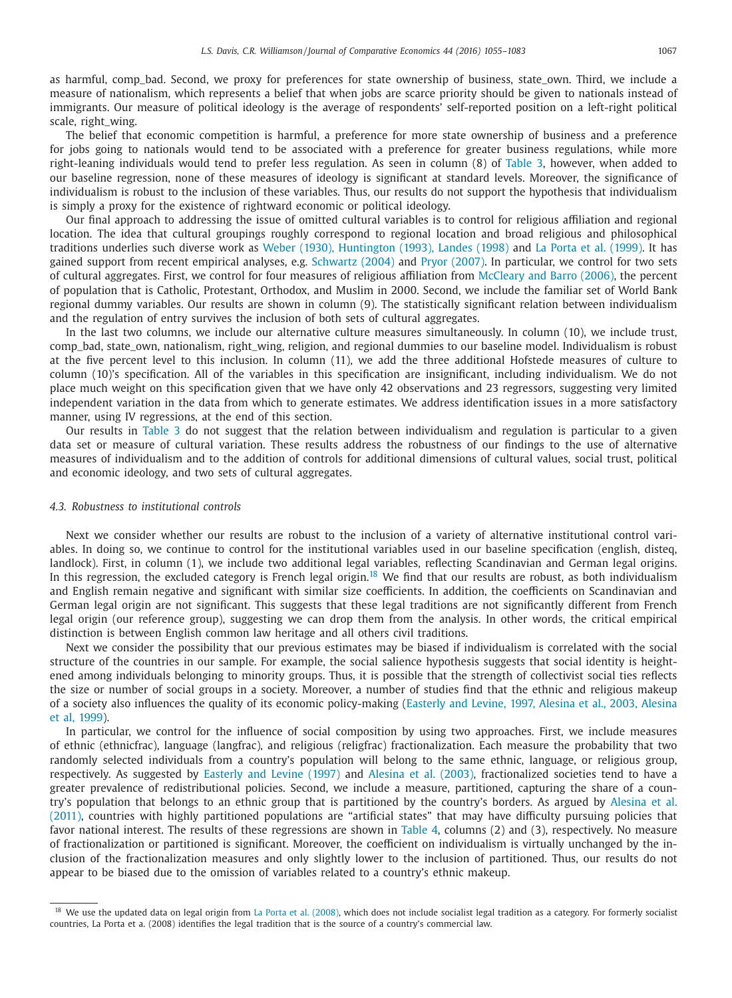as harmful, comp\_bad. Second, we proxy for preferences for state ownership of business, state\_own. Third, we include a measure of nationalism, which represents a belief that when jobs are scarce priority should be given to nationals instead of immigrants. Our measure of political ideology is the average of respondents' self-reported position on a left-right political scale, right\_wing.

The belief that economic competition is harmful, a preference for more state ownership of business and a preference for jobs going to nationals would tend to be associated with a preference for greater business regulations, while more right-leaning individuals would tend to prefer less regulation. As seen in column (8) of [Table](#page-11-0) 3, however, when added to our baseline regression, none of these measures of ideology is significant at standard levels. Moreover, the significance of individualism is robust to the inclusion of these variables. Thus, our results do not support the hypothesis that individualism is simply a proxy for the existence of rightward economic or political ideology.

Our final approach to addressing the issue of omitted cultural variables is to control for religious affiliation and regional location. The idea that cultural groupings roughly correspond to regional location and broad religious and philosophical traditions underlies such diverse work as Weber (1930), [Huntington](#page-28-0) (1993), Landes (1998) and La Porta et al. [\(1999\).](#page-27-0) It has gained support from recent empirical analyses, e.g. [Schwartz](#page-28-0) (2004) and Pryor [\(2007\).](#page-28-0) In particular, we control for two sets of cultural aggregates. First, we control for four measures of religious affiliation from [McCleary](#page-27-0) and Barro (2006), the percent of population that is Catholic, Protestant, Orthodox, and Muslim in 2000. Second, we include the familiar set of World Bank regional dummy variables. Our results are shown in column (9). The statistically significant relation between individualism and the regulation of entry survives the inclusion of both sets of cultural aggregates.

In the last two columns, we include our alternative culture measures simultaneously. In column (10), we include trust, comp\_bad, state\_own, nationalism, right\_wing, religion, and regional dummies to our baseline model. Individualism is robust at the five percent level to this inclusion. In column (11), we add the three additional Hofstede measures of culture to column (10)'s specification. All of the variables in this specification are insignificant, including individualism. We do not place much weight on this specification given that we have only 42 observations and 23 regressors, suggesting very limited independent variation in the data from which to generate estimates. We address identification issues in a more satisfactory manner, using IV regressions, at the end of this section.

Our results in [Table](#page-11-0) 3 do not suggest that the relation between individualism and regulation is particular to a given data set or measure of cultural variation. These results address the robustness of our findings to the use of alternative measures of individualism and to the addition of controls for additional dimensions of cultural values, social trust, political and economic ideology, and two sets of cultural aggregates.

# *4.3. Robustness to institutional controls*

Next we consider whether our results are robust to the inclusion of a variety of alternative institutional control variables. In doing so, we continue to control for the institutional variables used in our baseline specification (english, disteq, landlock). First, in column (1), we include two additional legal variables, reflecting Scandinavian and German legal origins. In this regression, the excluded category is French legal origin.<sup>18</sup> We find that our results are robust, as both individualism and English remain negative and significant with similar size coefficients. In addition, the coefficients on Scandinavian and German legal origin are not significant. This suggests that these legal traditions are not significantly different from French legal origin (our reference group), suggesting we can drop them from the analysis. In other words, the critical empirical distinction is between English common law heritage and all others civil traditions.

Next we consider the possibility that our previous estimates may be biased if individualism is correlated with the social structure of the countries in our sample. For example, the social salience hypothesis suggests that social identity is heightened among individuals belonging to minority groups. Thus, it is possible that the strength of collectivist social ties reflects the size or number of social groups in a society. Moreover, a number of studies find that the ethnic and religious makeup of a society also influences the quality of its economic [policy-making](#page-27-0) (Easterly and Levine, 1997, Alesina et al., 2003, Alesina et al, 1999).

In particular, we control for the influence of social composition by using two approaches. First, we include measures of ethnic (ethnicfrac), language (langfrac), and religious (religfrac) fractionalization. Each measure the probability that two randomly selected individuals from a country's population will belong to the same ethnic, language, or religious group, respectively. As suggested by [Easterly](#page-27-0) and Levine (1997) and [Alesina](#page-26-0) et al. (2003), fractionalized societies tend to have a greater prevalence of redistributional policies. Second, we include a measure, partitioned, capturing the share of a country's population that belongs to an ethnic group that is partitioned by the country's borders. As argued by Alesina et al. (2011), countries with highly partitioned [populations](#page-26-0) are "artificial states" that may have difficulty pursuing policies that favor national interest. The results of these regressions are shown in [Table](#page-13-0) 4, columns (2) and (3), respectively. No measure of fractionalization or partitioned is significant. Moreover, the coefficient on individualism is virtually unchanged by the inclusion of the fractionalization measures and only slightly lower to the inclusion of partitioned. Thus, our results do not appear to be biased due to the omission of variables related to a country's ethnic makeup.

<sup>&</sup>lt;sup>18</sup> We use the updated data on legal origin from La Porta et al. [\(2008\),](#page-27-0) which does not include socialist legal tradition as a category. For formerly socialist countries, La Porta et a. (2008) identifies the legal tradition that is the source of a country's commercial law.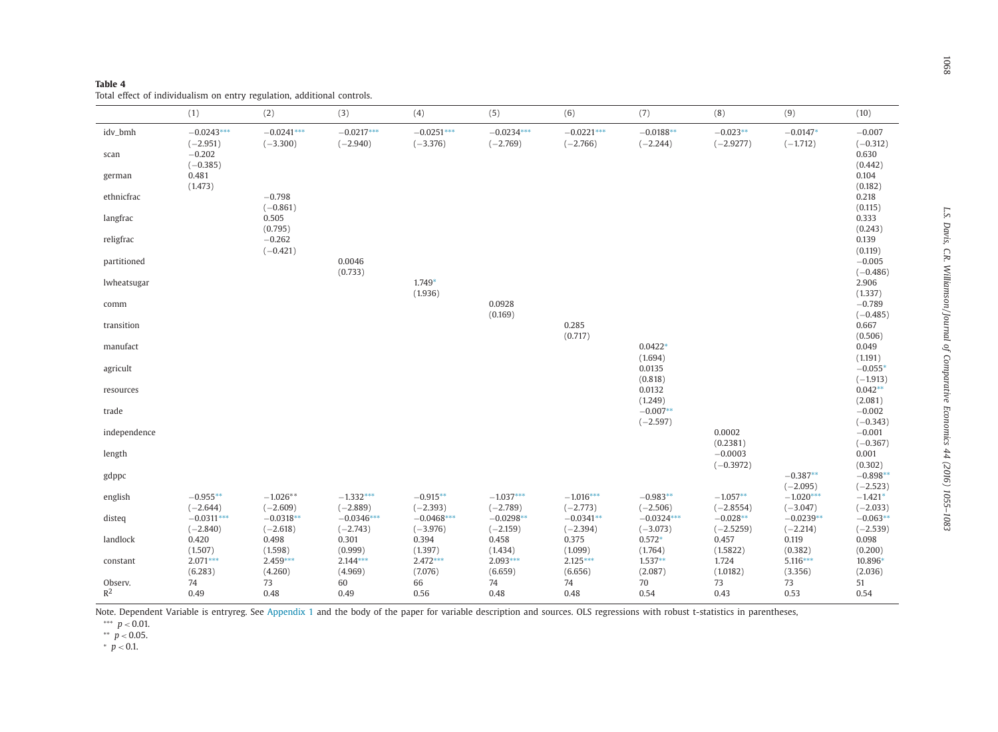<span id="page-13-0"></span>

| Table 4 |                                                                         |  |
|---------|-------------------------------------------------------------------------|--|
|         | Total effect of individualism on entry regulation, additional controls. |  |

|              | (1)                        | (2)                       | (3)                        | (4)                        | (5)                       | (6)                       | (7)                        | (8)                       | (9)                       | (10)                     |
|--------------|----------------------------|---------------------------|----------------------------|----------------------------|---------------------------|---------------------------|----------------------------|---------------------------|---------------------------|--------------------------|
| idv_bmh      | $-0.0243***$               | $-0.0241***$              | $-0.0217***$               | $-0.0251***$               | $-0.0234***$              | $-0.0221***$              | $-0.0188**$                | $-0.023**$                | $-0.0147*$                | $-0.007$                 |
| scan         | $(-2.951)$<br>$-0.202$     | $(-3.300)$                | $(-2.940)$                 | $(-3.376)$                 | $(-2.769)$                | $(-2.766)$                | $(-2.244)$                 | $(-2.9277)$               | $(-1.712)$                | $(-0.312)$<br>0.630      |
| german       | $(-0.385)$<br>0.481        |                           |                            |                            |                           |                           |                            |                           |                           | (0.442)<br>0.104         |
| ethnicfrac   | (1.473)                    | $-0.798$                  |                            |                            |                           |                           |                            |                           |                           | (0.182)<br>0.218         |
| langfrac     |                            | $(-0.861)$<br>0.505       |                            |                            |                           |                           |                            |                           |                           | (0.115)<br>0.333         |
| religfrac    |                            | (0.795)<br>$-0.262$       |                            |                            |                           |                           |                            |                           |                           | (0.243)<br>0.139         |
| partitioned  |                            | $(-0.421)$                | 0.0046                     |                            |                           |                           |                            |                           |                           | (0.119)<br>$-0.005$      |
| lwheatsugar  |                            |                           | (0.733)                    | $1.749*$                   |                           |                           |                            |                           |                           | $(-0.486)$<br>2.906      |
| comm         |                            |                           |                            | (1.936)                    | 0.0928                    |                           |                            |                           |                           | (1.337)<br>$-0.789$      |
| transition   |                            |                           |                            |                            | (0.169)                   | 0.285                     |                            |                           |                           | $(-0.485)$<br>0.667      |
| manufact     |                            |                           |                            |                            |                           | (0.717)                   | $0.0422*$                  |                           |                           | (0.506)<br>0.049         |
| agricult     |                            |                           |                            |                            |                           |                           | (1.694)<br>0.0135          |                           |                           | (1.191)<br>$-0.055*$     |
| resources    |                            |                           |                            |                            |                           |                           | (0.818)<br>0.0132          |                           |                           | $(-1.913)$<br>$0.042**$  |
| trade        |                            |                           |                            |                            |                           |                           | (1.249)<br>$-0.007**$      |                           |                           | (2.081)<br>$-0.002$      |
| independence |                            |                           |                            |                            |                           |                           | $(-2.597)$                 | 0.0002                    |                           | $(-0.343)$<br>$-0.001$   |
| length       |                            |                           |                            |                            |                           |                           |                            | (0.2381)<br>$-0.0003$     |                           | $(-0.367)$<br>0.001      |
| gdppc        |                            |                           |                            |                            |                           |                           |                            | $(-0.3972)$               | $-0.387**$                | (0.302)<br>$-0.898**$    |
| english      | $-0.955**$                 | $-1.026**$                | $-1.332***$                | $-0.915**$                 | $-1.037***$               | $-1.016***$               | $-0.983**$                 | $-1.057**$                | $(-2.095)$<br>$-1.020***$ | $(-2.523)$<br>$-1.421*$  |
| disteq       | $(-2.644)$<br>$-0.0311***$ | $(-2.609)$<br>$-0.0318**$ | $(-2.889)$<br>$-0.0346***$ | $(-2.393)$<br>$-0.0468***$ | $(-2.789)$<br>$-0.0298**$ | $(-2.773)$<br>$-0.0341**$ | $(-2.506)$<br>$-0.0324***$ | $(-2.8554)$<br>$-0.028**$ | $(-3.047)$<br>$-0.0239**$ | $(-2.033)$<br>$-0.063**$ |
| landlock     | $(-2.840)$<br>0.420        | $(-2.618)$<br>0.498       | $(-2.743)$<br>0.301        | $(-3.976)$<br>0.394        | $(-2.159)$<br>0.458       | $(-2.394)$<br>0.375       | $(-3.073)$<br>$0.572*$     | $(-2.5259)$<br>0.457      | $(-2.214)$<br>0.119       | $(-2.539)$<br>0.098      |
| constant     | (1.507)<br>$2.071***$      | (1.598)<br>2.459***       | (0.999)<br>$2.144***$      | (1.397)<br>$2.472***$      | (1.434)<br>2.093***       | (1.099)<br>$2.125***$     | (1.764)<br>$1.537**$       | (1.5822)<br>1.724         | (0.382)<br>5.116***       | (0.200)<br>10.896*       |
| Observ.      | (6.283)<br>74              | (4.260)<br>73             | (4.969)<br>60              | (7.076)<br>66              | (6.659)<br>74             | (6.656)<br>74             | (2.087)<br>70              | (1.0182)<br>73            | (3.356)<br>73             | (2.036)<br>51            |
| $R^2$        | 0.49                       | 0.48                      | 0.49                       | 0.56                       | 0.48                      | 0.48                      | 0.54                       | 0.43                      | 0.53                      | 0.54                     |

Note. Dependent Variable is entryreg. See [Appendix](#page-25-0) 1 and the body of the paper for variable description and sources. OLS regressions with robust t-statistics in parentheses,

∗∗∗ *p* <sup>&</sup>lt; 0.01.

∗∗ *p* <sup>&</sup>lt; 0.05.

∗ *p* <sup>&</sup>lt; 0.1.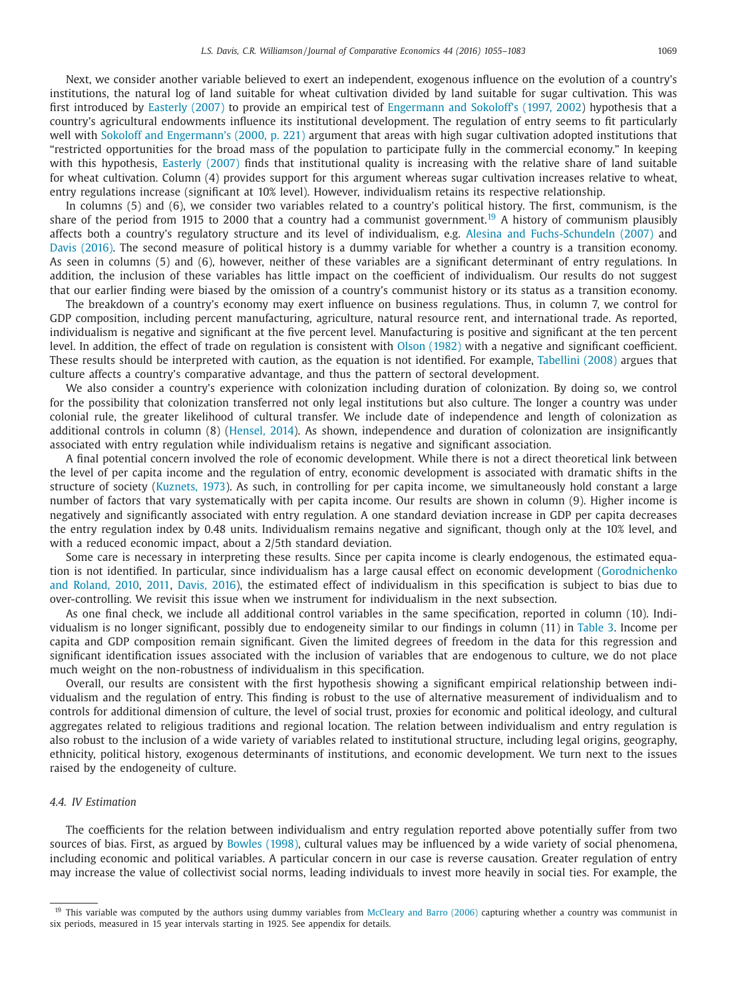Next, we consider another variable believed to exert an independent, exogenous influence on the evolution of a country's institutions, the natural log of land suitable for wheat cultivation divided by land suitable for sugar cultivation. This was first introduced by [Easterly](#page-27-0) (2007) to provide an empirical test of Engermann [and Sokoloff's \(1997,](#page-27-0) 2002) hypothesis that a country's agricultural endowments influence its institutional development. The regulation of entry seems to fit particularly well with Sokoloff and [Engermann's](#page-28-0) (2000, p. 221) argument that areas with high sugar cultivation adopted institutions that "restricted opportunities for the broad mass of the population to participate fully in the commercial economy." In keeping with this hypothesis, [Easterly](#page-27-0) (2007) finds that institutional quality is increasing with the relative share of land suitable for wheat cultivation. Column (4) provides support for this argument whereas sugar cultivation increases relative to wheat, entry regulations increase (significant at 10% level). However, individualism retains its respective relationship.

In columns (5) and (6), we consider two variables related to a country's political history. The first, communism, is the share of the period from 1915 to 2000 that a country had a communist government.<sup>19</sup> A history of communism plausibly affects both a country's regulatory structure and its level of individualism, e.g. Alesina and [Fuchs-Schundeln](#page-26-0) (2007) and Davis [\(2016\).](#page-27-0) The second measure of political history is a dummy variable for whether a country is a transition economy. As seen in columns (5) and (6), however, neither of these variables are a significant determinant of entry regulations. In addition, the inclusion of these variables has little impact on the coefficient of individualism. Our results do not suggest that our earlier finding were biased by the omission of a country's communist history or its status as a transition economy.

The breakdown of a country's economy may exert influence on business regulations. Thus, in column 7, we control for GDP composition, including percent manufacturing, agriculture, natural resource rent, and international trade. As reported, individualism is negative and significant at the five percent level. Manufacturing is positive and significant at the ten percent level. In addition, the effect of trade on regulation is consistent with Olson [\(1982\)](#page-28-0) with a negative and significant coefficient. These results should be interpreted with caution, as the equation is not identified. For example, [Tabellini](#page-28-0) (2008) argues that culture affects a country's comparative advantage, and thus the pattern of sectoral development.

We also consider a country's experience with colonization including duration of colonization. By doing so, we control for the possibility that colonization transferred not only legal institutions but also culture. The longer a country was under colonial rule, the greater likelihood of cultural transfer. We include date of independence and length of colonization as additional controls in column (8) [\(Hensel,](#page-27-0) 2014). As shown, independence and duration of colonization are insignificantly associated with entry regulation while individualism retains is negative and significant association.

A final potential concern involved the role of economic development. While there is not a direct theoretical link between the level of per capita income and the regulation of entry, economic development is associated with dramatic shifts in the structure of society [\(Kuznets,](#page-27-0) 1973). As such, in controlling for per capita income, we simultaneously hold constant a large number of factors that vary systematically with per capita income. Our results are shown in column (9). Higher income is negatively and significantly associated with entry regulation. A one standard deviation increase in GDP per capita decreases the entry regulation index by 0.48 units. Individualism remains negative and significant, though only at the 10% level, and with a reduced economic impact, about a 2/5th standard deviation.

Some care is necessary in interpreting these results. Since per capita income is clearly endogenous, the estimated equation is not identified. In particular, since individualism has a large causal effect on economic development [\(Gorodnichenko](#page-27-0) and Roland, 2010, [2011,](#page-27-0) [Davis,](#page-27-0) 2016), the estimated effect of individualism in this specification is subject to bias due to over-controlling. We revisit this issue when we instrument for individualism in the next subsection.

As one final check, we include all additional control variables in the same specification, reported in column (10). Individualism is no longer significant, possibly due to endogeneity similar to our findings in column (11) in [Table](#page-11-0) 3. Income per capita and GDP composition remain significant. Given the limited degrees of freedom in the data for this regression and significant identification issues associated with the inclusion of variables that are endogenous to culture, we do not place much weight on the non-robustness of individualism in this specification.

Overall, our results are consistent with the first hypothesis showing a significant empirical relationship between individualism and the regulation of entry. This finding is robust to the use of alternative measurement of individualism and to controls for additional dimension of culture, the level of social trust, proxies for economic and political ideology, and cultural aggregates related to religious traditions and regional location. The relation between individualism and entry regulation is also robust to the inclusion of a wide variety of variables related to institutional structure, including legal origins, geography, ethnicity, political history, exogenous determinants of institutions, and economic development. We turn next to the issues raised by the endogeneity of culture.

#### *4.4. IV Estimation*

The coefficients for the relation between individualism and entry regulation reported above potentially suffer from two sources of bias. First, as argued by [Bowles](#page-27-0) (1998), cultural values may be influenced by a wide variety of social phenomena, including economic and political variables. A particular concern in our case is reverse causation. Greater regulation of entry may increase the value of collectivist social norms, leading individuals to invest more heavily in social ties. For example, the

<sup>&</sup>lt;sup>19</sup> This variable was computed by the authors using dummy variables from [McCleary](#page-27-0) and Barro (2006) capturing whether a country was communist in six periods, measured in 15 year intervals starting in 1925. See appendix for details.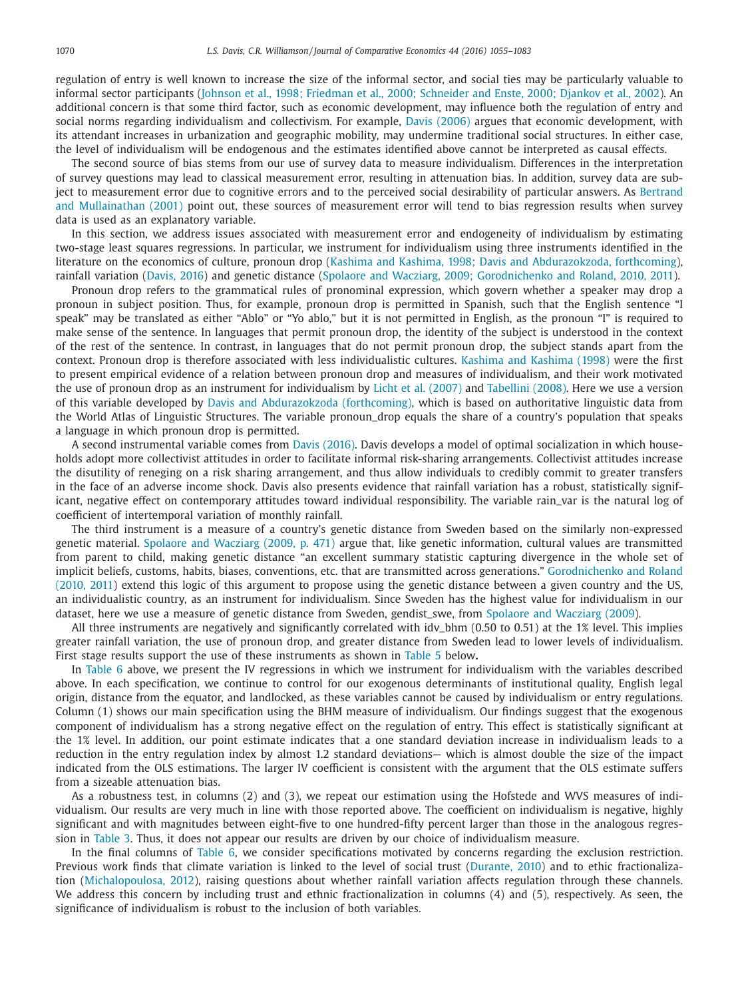regulation of entry is well known to increase the size of the informal sector, and social ties may be particularly valuable to informal sector participants (Johnson et al., 1998; Friedman et al., 2000; [Schneider](#page-27-0) and Enste, 2000; Djankov et al., 2002). An additional concern is that some third factor, such as economic development, may influence both the regulation of entry and social norms regarding individualism and collectivism. For example, Davis [\(2006\)](#page-27-0) argues that economic development, with its attendant increases in urbanization and geographic mobility, may undermine traditional social structures. In either case, the level of individualism will be endogenous and the estimates identified above cannot be interpreted as causal effects.

The second source of bias stems from our use of survey data to measure individualism. Differences in the interpretation of survey questions may lead to classical measurement error, resulting in attenuation bias. In addition, survey data are subject to [measurement](#page-26-0) error due to cognitive errors and to the perceived social desirability of particular answers. As Bertrand and Mullainathan (2001) point out, these sources of measurement error will tend to bias regression results when survey data is used as an explanatory variable.

In this section, we address issues associated with measurement error and endogeneity of individualism by estimating two-stage least squares regressions. In particular, we instrument for individualism using three instruments identified in the literature on the economics of culture, pronoun drop (Kashima and Kashima, 1998; Davis and [Abdurazokzoda,](#page-27-0) forthcoming), rainfall variation [\(Davis,](#page-27-0) 2016) and genetic distance (Spolaore and Wacziarg, 2009; [Gorodnichenko](#page-28-0) and Roland, 2010, 2011).

Pronoun drop refers to the grammatical rules of pronominal expression, which govern whether a speaker may drop a pronoun in subject position. Thus, for example, pronoun drop is permitted in Spanish, such that the English sentence "I speak" may be translated as either "Ablo" or "Yo ablo," but it is not permitted in English, as the pronoun "I" is required to make sense of the sentence. In languages that permit pronoun drop, the identity of the subject is understood in the context of the rest of the sentence. In contrast, in languages that do not permit pronoun drop, the subject stands apart from the context. Pronoun drop is therefore associated with less individualistic cultures. [Kashima](#page-27-0) and Kashima (1998) were the first to present empirical evidence of a relation between pronoun drop and measures of individualism, and their work motivated the use of pronoun drop as an instrument for individualism by Licht et al. [\(2007\)](#page-27-0) and [Tabellini](#page-28-0) (2008). Here we use a version of this variable developed by Davis and [Abdurazokzoda](#page-27-0) (forthcoming), which is based on authoritative linguistic data from the World Atlas of Linguistic Structures. The variable pronoun\_drop equals the share of a country's population that speaks a language in which pronoun drop is permitted.

A second instrumental variable comes from Davis [\(2016\).](#page-27-0) Davis develops a model of optimal socialization in which households adopt more collectivist attitudes in order to facilitate informal risk-sharing arrangements. Collectivist attitudes increase the disutility of reneging on a risk sharing arrangement, and thus allow individuals to credibly commit to greater transfers in the face of an adverse income shock. Davis also presents evidence that rainfall variation has a robust, statistically significant, negative effect on contemporary attitudes toward individual responsibility. The variable rain\_var is the natural log of coefficient of intertemporal variation of monthly rainfall.

The third instrument is a measure of a country's genetic distance from Sweden based on the similarly non-expressed genetic material. Spolaore and [Wacziarg](#page-28-0) (2009, p. 471) argue that, like genetic information, cultural values are transmitted from parent to child, making genetic distance "an excellent summary statistic capturing divergence in the whole set of implicit beliefs, customs, habits, biases, conventions, etc. that are transmitted across generations." [Gorodnichenko](#page-27-0) and Roland (2010, 2011) extend this logic of this argument to propose using the genetic distance between a given country and the US, an individualistic country, as an instrument for individualism. Since Sweden has the highest value for individualism in our dataset, here we use a measure of genetic distance from Sweden, gendist\_swe, from Spolaore and [Wacziarg](#page-28-0) (2009).

All three instruments are negatively and significantly correlated with idv\_bhm (0.50 to 0.51) at the 1% level. This implies greater rainfall variation, the use of pronoun drop, and greater distance from Sweden lead to lower levels of individualism. First stage results support the use of these instruments as shown in [Table](#page-16-0) 5 below**.**

In [Table](#page-16-0) 6 above, we present the IV regressions in which we instrument for individualism with the variables described above. In each specification, we continue to control for our exogenous determinants of institutional quality, English legal origin, distance from the equator, and landlocked, as these variables cannot be caused by individualism or entry regulations. Column (1) shows our main specification using the BHM measure of individualism. Our findings suggest that the exogenous component of individualism has a strong negative effect on the regulation of entry. This effect is statistically significant at the 1% level. In addition, our point estimate indicates that a one standard deviation increase in individualism leads to a reduction in the entry regulation index by almost 1.2 standard deviations— which is almost double the size of the impact indicated from the OLS estimations. The larger IV coefficient is consistent with the argument that the OLS estimate suffers from a sizeable attenuation bias.

As a robustness test, in columns (2) and (3), we repeat our estimation using the Hofstede and WVS measures of individualism. Our results are very much in line with those reported above. The coefficient on individualism is negative, highly significant and with magnitudes between eight-five to one hundred-fifty percent larger than those in the analogous regression in [Table](#page-11-0) 3. Thus, it does not appear our results are driven by our choice of individualism measure.

In the final columns of [Table](#page-16-0) 6, we consider specifications motivated by concerns regarding the exclusion restriction. Previous work finds that climate variation is linked to the level of social trust [\(Durante,](#page-27-0) 2010) and to ethic fractionalization [\(Michalopoulosa,](#page-27-0) 2012), raising questions about whether rainfall variation affects regulation through these channels. We address this concern by including trust and ethnic fractionalization in columns (4) and (5), respectively. As seen, the significance of individualism is robust to the inclusion of both variables.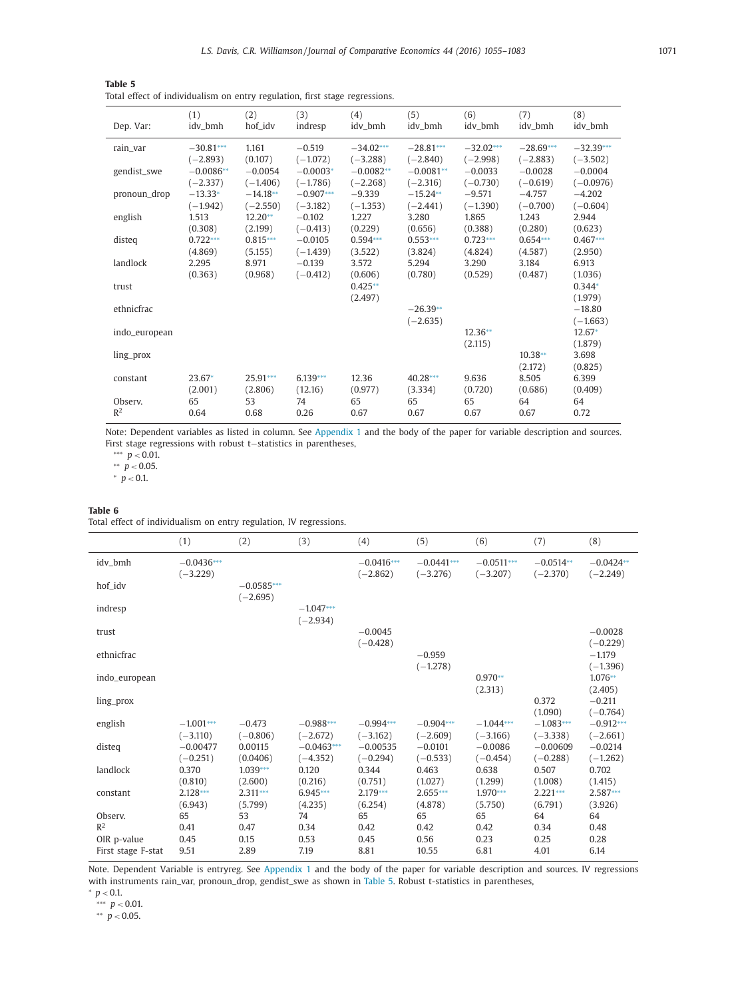<span id="page-16-0"></span>**Table 5** Total effect of individualism on entry regulation, first stage regressions.

| Dep. Var:      | (1)<br>idv_bmh          | (2)<br>hof_idv           | (3)<br>indresp           | (4)<br>idv_bmh         | (5)<br>idv_bmh           | (6)<br>idv_bmh         | (7)<br>idv_bmh         | (8)<br>idv_bmh          |
|----------------|-------------------------|--------------------------|--------------------------|------------------------|--------------------------|------------------------|------------------------|-------------------------|
| rain_var       | $-30.81***$             | 1.161                    | $-0.519$                 | $-34.02***$            | $-28.81***$              | $-32.02***$            | $-28.69***$            | $-32.39***$             |
|                | $(-2.893)$              | (0.107)                  | $(-1.072)$               | $(-3.288)$             | $(-2.840)$               | $(-2.998)$             | $(-2.883)$             | $(-3.502)$              |
| gendist_swe    | $-0.0086**$             | $-0.0054$                | $-0.0003*$<br>$(-1.786)$ | $-0.0082**$            | $-0.0081**$              | $-0.0033$              | $-0.0028$              | $-0.0004$               |
| pronoun_drop   | $(-2.337)$<br>$-13.33*$ | $(-1.406)$<br>$-14.18**$ | $-0.907***$              | $(-2.268)$<br>$-9.339$ | $(-2.316)$<br>$-15.24**$ | $(-0.730)$<br>$-9.571$ | $(-0.619)$<br>$-4.757$ | $(-0.0976)$<br>$-4.202$ |
|                | $(-1.942)$              | $(-2.550)$               | $(-3.182)$               | $(-1.353)$             | $(-2.441)$               | $(-1.390)$             | $(-0.700)$             | $(-0.604)$              |
| english        | 1.513                   | $12.20**$                | $-0.102$                 | 1.227                  | 3.280                    | 1.865                  | 1.243                  | 2.944                   |
|                | (0.308)                 | (2.199)                  | $(-0.413)$               | (0.229)                | (0.656)                  | (0.388)                | (0.280)                | (0.623)                 |
| disteg         | $0.722***$              | $0.815***$               | $-0.0105$                | $0.594***$             | $0.553***$               | $0.723***$             | $0.654***$             | $0.467***$              |
|                | (4.869)                 | (5.155)                  | $(-1.439)$               | (3.522)                | (3.824)                  | (4.824)                | (4.587)                | (2.950)                 |
| landlock       | 2.295                   | 8.971                    | $-0.139$                 | 3.572                  | 5.294                    | 3.290                  | 3.184                  | 6.913                   |
|                | (0.363)                 | (0.968)                  | $(-0.412)$               | (0.606)                | (0.780)                  | (0.529)                | (0.487)                | (1.036)                 |
| trust          |                         |                          |                          | $0.425**$              |                          |                        |                        | $0.344*$                |
|                |                         |                          |                          | (2.497)                | $-26.39**$               |                        |                        | (1.979)                 |
| ethnicfrac     |                         |                          |                          |                        | $(-2.635)$               |                        |                        | $-18.80$<br>$(-1.663)$  |
| indo_european  |                         |                          |                          |                        |                          | 12.36**                |                        | $12.67*$                |
|                |                         |                          |                          |                        |                          | (2.115)                |                        | (1.879)                 |
| ling_prox      |                         |                          |                          |                        |                          |                        | $10.38**$              | 3.698                   |
|                |                         |                          |                          |                        |                          |                        | (2.172)                | (0.825)                 |
| constant       | $23.67*$                | $25.91***$               | $6.139***$               | 12.36                  | $40.28***$               | 9.636                  | 8.505                  | 6.399                   |
|                | (2.001)                 | (2.806)                  | (12.16)                  | (0.977)                | (3.334)                  | (0.720)                | (0.686)                | (0.409)                 |
| Observ.        | 65                      | 53                       | 74                       | 65                     | 65                       | 65                     | 64                     | 64                      |
| R <sup>2</sup> | 0.64                    | 0.68                     | 0.26                     | 0.67                   | 0.67                     | 0.67                   | 0.67                   | 0.72                    |

Note: Dependent variables as listed in column. See [Appendix](#page-25-0) 1 and the body of the paper for variable description and sources. First stage regressions with robust t−statistics in parentheses,

∗∗∗ *p* < 0.01.

∗∗ *p* < 0.05.

<sup>∗</sup> *p* < 0.1.

#### **Table 6**

Total effect of individualism on entry regulation, IV regressions.

|                    | (1)                        | (2)                        | (3)                        | (4)                        | (5)                        | (6)                        | (7)                       | (8)                       |
|--------------------|----------------------------|----------------------------|----------------------------|----------------------------|----------------------------|----------------------------|---------------------------|---------------------------|
| idv_bmh            | $-0.0436***$<br>$(-3.229)$ |                            |                            | $-0.0416***$<br>$(-2.862)$ | $-0.0441***$<br>$(-3.276)$ | $-0.0511***$<br>$(-3.207)$ | $-0.0514**$<br>$(-2.370)$ | $-0.0424**$<br>$(-2.249)$ |
| hof_idv            |                            | $-0.0585***$<br>$(-2.695)$ |                            |                            |                            |                            |                           |                           |
| indresp            |                            |                            | $-1.047***$<br>$(-2.934)$  |                            |                            |                            |                           |                           |
| trust              |                            |                            |                            | $-0.0045$<br>$(-0.428)$    |                            |                            |                           | $-0.0028$<br>$(-0.229)$   |
| ethnicfrac         |                            |                            |                            |                            | $-0.959$<br>$(-1.278)$     |                            |                           | $-1.179$<br>$(-1.396)$    |
| indo_european      |                            |                            |                            |                            |                            | $0.970**$<br>(2.313)       |                           | $1.076**$<br>(2.405)      |
| ling_prox          |                            |                            |                            |                            |                            |                            | 0.372<br>(1.090)          | $-0.211$<br>$(-0.764)$    |
| english            | $-1.001***$<br>$(-3.110)$  | $-0.473$<br>$(-0.806)$     | $-0.988***$<br>$(-2.672)$  | $-0.994***$<br>$(-3.162)$  | $-0.904***$<br>$(-2.609)$  | $-1.044***$<br>$(-3.166)$  | $-1.083***$<br>$(-3.338)$ | $-0.912***$<br>$(-2.661)$ |
| disteg             | $-0.00477$<br>$(-0.251)$   | 0.00115<br>(0.0406)        | $-0.0463***$<br>$(-4.352)$ | $-0.00535$<br>$(-0.294)$   | $-0.0101$<br>$(-0.533)$    | $-0.0086$<br>$(-0.454)$    | $-0.00609$<br>$(-0.288)$  | $-0.0214$<br>$(-1.262)$   |
| landlock           | 0.370<br>(0.810)           | $1.039***$<br>(2.600)      | 0.120<br>(0.216)           | 0.344<br>(0.751)           | 0.463<br>(1.027)           | 0.638<br>(1.299)           | 0.507<br>(1.008)          | 0.702<br>(1.415)          |
| constant           | 2.128***<br>(6.943)        | $2.311***$<br>(5.799)      | $6.945***$<br>(4.235)      | 2.179***<br>(6.254)        | $2.655***$<br>(4.878)      | $1.970***$<br>(5.750)      | $2.221***$<br>(6.791)     | 2.587***<br>(3.926)       |
| Observ.            | 65                         | 53                         | 74                         | 65                         | 65                         | 65                         | 64                        | 64                        |
| $R^2$              | 0.41                       | 0.47                       | 0.34                       | 0.42                       | 0.42                       | 0.42                       | 0.34                      | 0.48                      |
| OIR p-value        | 0.45                       | 0.15                       | 0.53                       | 0.45                       | 0.56                       | 0.23                       | 0.25                      | 0.28                      |
| First stage F-stat | 9.51                       | 2.89                       | 7.19                       | 8.81                       | 10.55                      | 6.81                       | 4.01                      | 6.14                      |

Note. Dependent Variable is entryreg. See [Appendix](#page-25-0) 1 and the body of the paper for variable description and sources. IV regressions with instruments rain\_var, pronoun\_drop, gendist\_swe as shown in Table 5. Robust t-statistics in parentheses,

<sup>∗</sup> *p* < 0.1.

∗∗∗ *p* < 0.01.

∗∗ *p* < 0.05.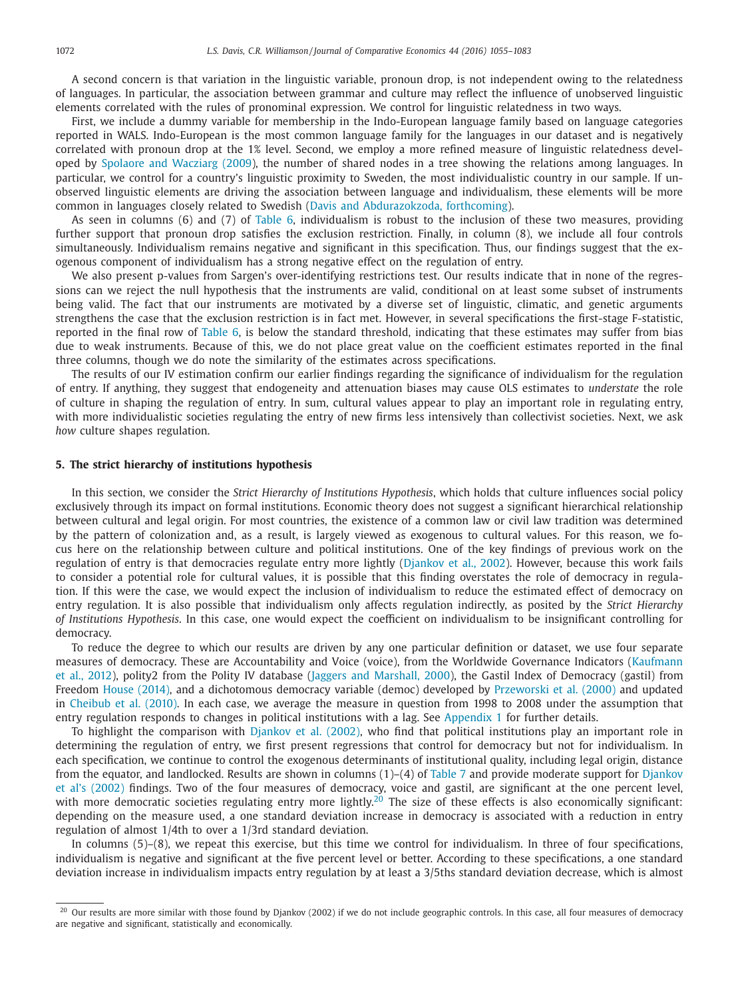A second concern is that variation in the linguistic variable, pronoun drop, is not independent owing to the relatedness of languages. In particular, the association between grammar and culture may reflect the influence of unobserved linguistic elements correlated with the rules of pronominal expression. We control for linguistic relatedness in two ways.

First, we include a dummy variable for membership in the Indo-European language family based on language categories reported in WALS. Indo-European is the most common language family for the languages in our dataset and is negatively correlated with pronoun drop at the 1% level. Second, we employ a more refined measure of linguistic relatedness developed by Spolaore and [Wacziarg](#page-28-0) (2009), the number of shared nodes in a tree showing the relations among languages. In particular, we control for a country's linguistic proximity to Sweden, the most individualistic country in our sample. If unobserved linguistic elements are driving the association between language and individualism, these elements will be more common in languages closely related to Swedish (Davis and [Abdurazokzoda,](#page-27-0) forthcoming).

As seen in columns (6) and (7) of [Table](#page-16-0) 6, individualism is robust to the inclusion of these two measures, providing further support that pronoun drop satisfies the exclusion restriction. Finally, in column (8), we include all four controls simultaneously. Individualism remains negative and significant in this specification. Thus, our findings suggest that the exogenous component of individualism has a strong negative effect on the regulation of entry.

We also present p-values from Sargen's over-identifying restrictions test. Our results indicate that in none of the regressions can we reject the null hypothesis that the instruments are valid, conditional on at least some subset of instruments being valid. The fact that our instruments are motivated by a diverse set of linguistic, climatic, and genetic arguments strengthens the case that the exclusion restriction is in fact met. However, in several specifications the first-stage F-statistic, reported in the final row of [Table](#page-16-0) 6, is below the standard threshold, indicating that these estimates may suffer from bias due to weak instruments. Because of this, we do not place great value on the coefficient estimates reported in the final three columns, though we do note the similarity of the estimates across specifications.

The results of our IV estimation confirm our earlier findings regarding the significance of individualism for the regulation of entry. If anything, they suggest that endogeneity and attenuation biases may cause OLS estimates to *understate* the role of culture in shaping the regulation of entry. In sum, cultural values appear to play an important role in regulating entry, with more individualistic societies regulating the entry of new firms less intensively than collectivist societies. Next, we ask *how* culture shapes regulation.

#### **5. The strict hierarchy of institutions hypothesis**

In this section, we consider the *Strict Hierarchy of Institutions Hypothesis*, which holds that culture influences social policy exclusively through its impact on formal institutions. Economic theory does not suggest a significant hierarchical relationship between cultural and legal origin. For most countries, the existence of a common law or civil law tradition was determined by the pattern of colonization and, as a result, is largely viewed as exogenous to cultural values. For this reason, we focus here on the relationship between culture and political institutions. One of the key findings of previous work on the regulation of entry is that democracies regulate entry more lightly [\(Djankov](#page-27-0) et al., 2002). However, because this work fails to consider a potential role for cultural values, it is possible that this finding overstates the role of democracy in regulation. If this were the case, we would expect the inclusion of individualism to reduce the estimated effect of democracy on entry regulation. It is also possible that individualism only affects regulation indirectly, as posited by the *Strict Hierarchy of Institutions Hypothesis*. In this case, one would expect the coefficient on individualism to be insignificant controlling for democracy.

To reduce the degree to which our results are driven by any one particular definition or dataset, we use four separate measures of democracy. These are [Accountability](#page-27-0) and Voice (voice), from the Worldwide Governance Indicators (Kaufmann et al., 2012), polity2 from the Polity IV database (Jaggers and [Marshall,](#page-27-0) 2000), the Gastil Index of Democracy (gastil) from Freedom House [\(2014\),](#page-27-0) and a dichotomous democracy variable (democ) developed by [Przeworski](#page-28-0) et al. (2000) and updated in [Cheibub](#page-27-0) et al. (2010). In each case, we average the measure in question from 1998 to 2008 under the assumption that entry regulation responds to changes in political institutions with a lag. See [Appendix](#page-25-0) 1 for further details.

To highlight the comparison with [Djankov](#page-27-0) et al. (2002), who find that political institutions play an important role in determining the regulation of entry, we first present regressions that control for democracy but not for individualism. In each specification, we continue to control the exogenous determinants of institutional quality, including legal origin, distance from the equator, and [landlocked.](#page-27-0) Results are shown in columns (1)–(4) of [Table](#page-18-0) 7 and provide moderate support for Djankov et al's (2002) findings. Two of the four measures of democracy, voice and gastil, are significant at the one percent level, with more democratic societies regulating entry more lightly.<sup>20</sup> The size of these effects is also economically significant: depending on the measure used, a one standard deviation increase in democracy is associated with a reduction in entry regulation of almost 1/4th to over a 1/3rd standard deviation.

In columns (5)–(8), we repeat this exercise, but this time we control for individualism. In three of four specifications, individualism is negative and significant at the five percent level or better. According to these specifications, a one standard deviation increase in individualism impacts entry regulation by at least a 3/5ths standard deviation decrease, which is almost

 $^{20}$  Our results are more similar with those found by Djankov (2002) if we do not include geographic controls. In this case, all four measures of democracy are negative and significant, statistically and economically.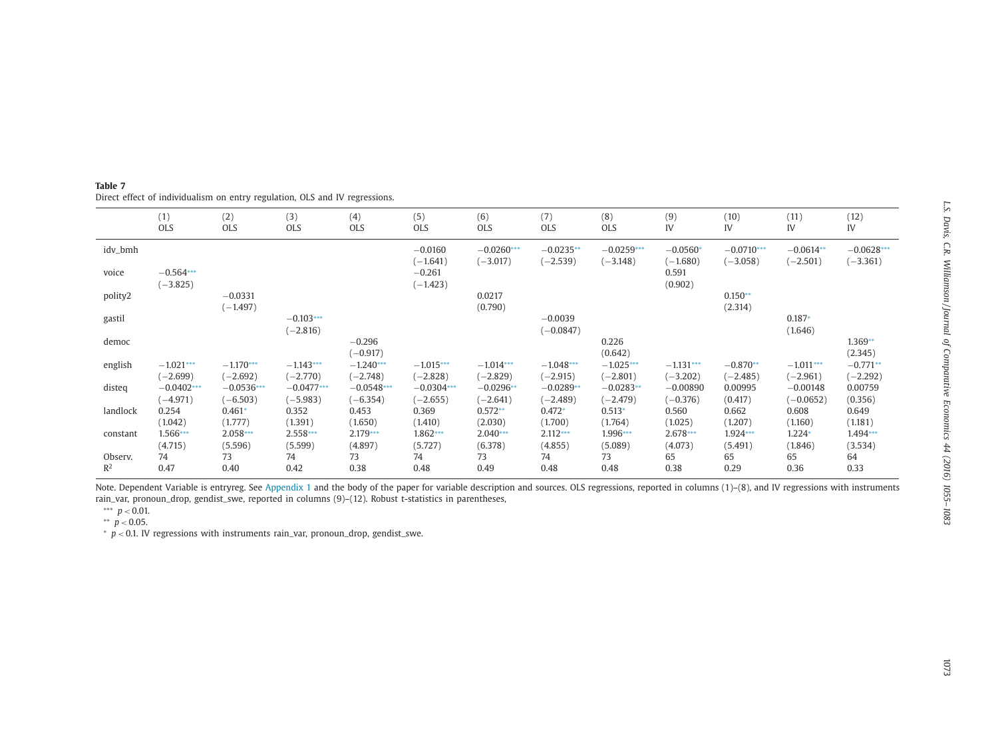<span id="page-18-0"></span>

| Table 7                                                                     |  |
|-----------------------------------------------------------------------------|--|
| Direct effect of individualism on entry regulation, OLS and IV regressions. |  |

|          | (1)                       | (2)                     | (3)                       | (4)                    | (5)                     | (6)                        | (7)                       | (8)                        | (9)                      | (10)                       | (11)                      | (12)                       |
|----------|---------------------------|-------------------------|---------------------------|------------------------|-------------------------|----------------------------|---------------------------|----------------------------|--------------------------|----------------------------|---------------------------|----------------------------|
|          | <b>OLS</b>                | <b>OLS</b>              | <b>OLS</b>                | OLS                    | OLS                     | OLS                        | OLS                       | <b>OLS</b>                 | IV                       | IV                         | IV                        | IV                         |
| idv_bmh  |                           |                         |                           |                        | $-0.0160$<br>$(-1.641)$ | $-0.0260***$<br>$(-3.017)$ | $-0.0235**$<br>$(-2.539)$ | $-0.0259***$<br>$(-3.148)$ | $-0.0560*$<br>$(-1.680)$ | $-0.0710***$<br>$(-3.058)$ | $-0.0614**$<br>$(-2.501)$ | $-0.0628***$<br>$(-3.361)$ |
| voice    | $-0.564***$<br>$(-3.825)$ |                         |                           |                        | $-0.261$<br>$(-1.423)$  |                            |                           |                            | 0.591<br>(0.902)         |                            |                           |                            |
| polity2  |                           | $-0.0331$<br>$(-1.497)$ |                           |                        |                         | 0.0217<br>(0.790)          |                           |                            |                          | $0.150**$<br>(2.314)       |                           |                            |
| gastil   |                           |                         | $-0.103***$<br>$(-2.816)$ |                        |                         |                            | $-0.0039$<br>$(-0.0847)$  |                            |                          |                            | $0.187*$<br>(1.646)       |                            |
| democ    |                           |                         |                           | $-0.296$<br>$(-0.917)$ |                         |                            |                           | 0.226<br>(0.642)           |                          |                            |                           | $1.369**$<br>(2.345)       |
| english  | $-1.021***$               | $-1.170***$             | $-1.143***$               | $-1.240***$            | $-1.015***$             | $-1.014***$                | $-1.048***$               | $-1.025***$                | $-1.131***$              | $-0.870**$                 | $-1.011***$               | $-0.771**$                 |
|          | $(-2.699)$                | $(-2.692)$              | $(-2.770)$                | $(-2.748)$             | $(-2.828)$              | $(-2.829)$                 | $(-2.915)$                | $(-2.801)$                 | $(-3.202)$               | $(-2.485)$                 | $(-2.961)$                | $(-2.292)$                 |
| disteq   | $-0.0402***$              | $-0.0536***$            | $-0.0477***$              | $-0.0548***$           | $-0.0304***$            | $-0.0296**$                | $-0.0289**$               | $-0.0283**$                | $-0.00890$               | 0.00995                    | $-0.00148$                | 0.00759                    |
|          | $(-4.971)$                | $(-6.503)$              | $(-5.983)$                | $(-6.354)$             | $(-2.655)$              | $(-2.641)$                 | $(-2.489)$                | $(-2.479)$                 | $(-0.376)$               | (0.417)                    | $(-0.0652)$               | (0.356)                    |
| landlock | 0.254                     | $0.461*$                | 0.352                     | 0.453                  | 0.369                   | $0.572**$                  | $0.472*$                  | $0.513*$                   | 0.560                    | 0.662                      | 0.608                     | 0.649                      |
|          | (1.042)                   | (1.777)                 | (1.391)                   | (1.650)                | (1.410)                 | (2.030)                    | (1.700)                   | (1.764)                    | (1.025)                  | (1.207)                    | (1.160)                   | (1.181)                    |
| constant | 1.566***                  | $2.058***$              | $2.558***$                | 2.179***               | 1.862***                | $2.040***$                 | $2.112***$                | 1.996***                   | 2.678***                 | $1.924***$                 | $1.224*$                  | 1.494***                   |
|          | (4.715)                   | (5.596)                 | (5.599)                   | (4.897)                | (5.727)                 | (6.378)                    | (4.855)                   | (5.089)                    | (4.073)                  | (5.491)                    | (1.846)                   | (3.534)                    |
| Observ.  | 74                        | 73                      | 74                        | 73                     | 74                      | 73                         | 74                        | 73                         | 65                       | 65                         | 65                        | 64                         |
| $R^2$    | 0.47                      | 0.40                    | 0.42                      | 0.38                   | 0.48                    | 0.49                       | 0.48                      | 0.48                       | 0.38                     | 0.29                       | 0.36                      | 0.33                       |

Note. Dependent Variable is entryreg. See [Appendix](#page-25-0) 1 and the body of the paper for variable description and sources. OLS regressions, reported in columns (1)–(8), and IV regressions with instruments rain\_var, pronoun\_drop, gendist\_swe, reported in columns (9)–(12). Robust t-statistics in parentheses,

∗∗∗ *p* <sup>&</sup>lt; 0.01.

∗∗ *p* <sup>&</sup>lt; 0.05.

∗ *p* <sup>&</sup>lt; 0.1. IV regressions with instruments rain\_var, pronoun\_drop, gendist\_swe.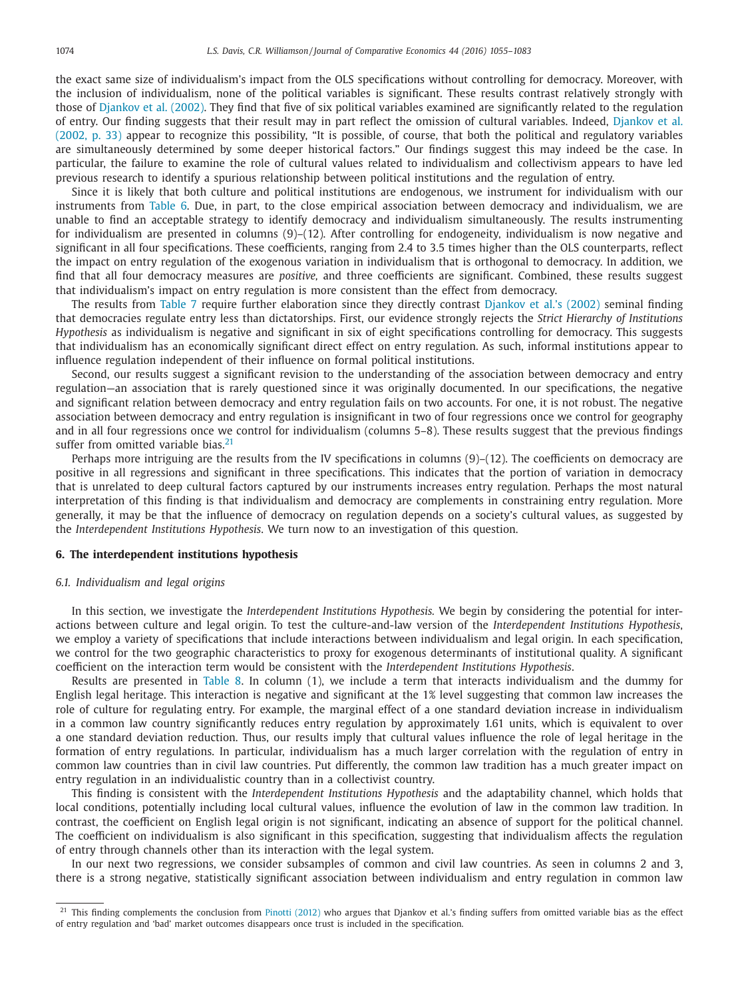the exact same size of individualism's impact from the OLS specifications without controlling for democracy. Moreover, with the inclusion of individualism, none of the political variables is significant. These results contrast relatively strongly with those of [Djankov](#page-27-0) et al. (2002). They find that five of six political variables examined are significantly related to the regulation of entry. Our finding suggests that their result may in part reflect the omission of cultural variables. Indeed, Djankov et al. (2002, p. 33) appear to recognize this [possibility,](#page-27-0) "It is possible, of course, that both the political and regulatory variables are simultaneously determined by some deeper historical factors." Our findings suggest this may indeed be the case. In particular, the failure to examine the role of cultural values related to individualism and collectivism appears to have led previous research to identify a spurious relationship between political institutions and the regulation of entry.

Since it is likely that both culture and political institutions are endogenous, we instrument for individualism with our instruments from [Table](#page-16-0) 6. Due, in part, to the close empirical association between democracy and individualism, we are unable to find an acceptable strategy to identify democracy and individualism simultaneously. The results instrumenting for individualism are presented in columns (9)–(12). After controlling for endogeneity, individualism is now negative and significant in all four specifications. These coefficients, ranging from 2.4 to 3.5 times higher than the OLS counterparts, reflect the impact on entry regulation of the exogenous variation in individualism that is orthogonal to democracy. In addition, we find that all four democracy measures are *positive,* and three coefficients are significant. Combined, these results suggest that individualism's impact on entry regulation is more consistent than the effect from democracy.

The results from [Table](#page-18-0) 7 require further elaboration since they directly contrast [Djankov](#page-27-0) et al.'s (2002) seminal finding that democracies regulate entry less than dictatorships. First, our evidence strongly rejects the *Strict Hierarchy of Institutions Hypothesis* as individualism is negative and significant in six of eight specifications controlling for democracy. This suggests that individualism has an economically significant direct effect on entry regulation. As such, informal institutions appear to influence regulation independent of their influence on formal political institutions.

Second, our results suggest a significant revision to the understanding of the association between democracy and entry regulation—an association that is rarely questioned since it was originally documented. In our specifications, the negative and significant relation between democracy and entry regulation fails on two accounts. For one, it is not robust. The negative association between democracy and entry regulation is insignificant in two of four regressions once we control for geography and in all four regressions once we control for individualism (columns 5–8). These results suggest that the previous findings suffer from omitted variable bias. $21$ 

Perhaps more intriguing are the results from the IV specifications in columns (9)–(12). The coefficients on democracy are positive in all regressions and significant in three specifications. This indicates that the portion of variation in democracy that is unrelated to deep cultural factors captured by our instruments increases entry regulation. Perhaps the most natural interpretation of this finding is that individualism and democracy are complements in constraining entry regulation. More generally, it may be that the influence of democracy on regulation depends on a society's cultural values, as suggested by the *Interdependent Institutions Hypothesis*. We turn now to an investigation of this question.

#### **6. The interdependent institutions hypothesis**

# *6.1. Individualism and legal origins*

In this section, we investigate the *Interdependent Institutions Hypothesis.* We begin by considering the potential for interactions between culture and legal origin. To test the culture-and-law version of the *Interdependent Institutions Hypothesis*, we employ a variety of specifications that include interactions between individualism and legal origin. In each specification, we control for the two geographic characteristics to proxy for exogenous determinants of institutional quality. A significant coefficient on the interaction term would be consistent with the *Interdependent Institutions Hypothesis*.

Results are presented in [Table](#page-20-0) 8. In column (1), we include a term that interacts individualism and the dummy for English legal heritage. This interaction is negative and significant at the 1% level suggesting that common law increases the role of culture for regulating entry. For example, the marginal effect of a one standard deviation increase in individualism in a common law country significantly reduces entry regulation by approximately 1.61 units, which is equivalent to over a one standard deviation reduction. Thus, our results imply that cultural values influence the role of legal heritage in the formation of entry regulations. In particular, individualism has a much larger correlation with the regulation of entry in common law countries than in civil law countries. Put differently, the common law tradition has a much greater impact on entry regulation in an individualistic country than in a collectivist country.

This finding is consistent with the *Interdependent Institutions Hypothesis* and the adaptability channel, which holds that local conditions, potentially including local cultural values, influence the evolution of law in the common law tradition. In contrast, the coefficient on English legal origin is not significant, indicating an absence of support for the political channel. The coefficient on individualism is also significant in this specification, suggesting that individualism affects the regulation of entry through channels other than its interaction with the legal system.

In our next two regressions, we consider subsamples of common and civil law countries. As seen in columns 2 and 3, there is a strong negative, statistically significant association between individualism and entry regulation in common law

<sup>&</sup>lt;sup>21</sup> This finding complements the conclusion from [Pinotti](#page-28-0) (2012) who argues that Djankov et al.'s finding suffers from omitted variable bias as the effect of entry regulation and 'bad' market outcomes disappears once trust is included in the specification.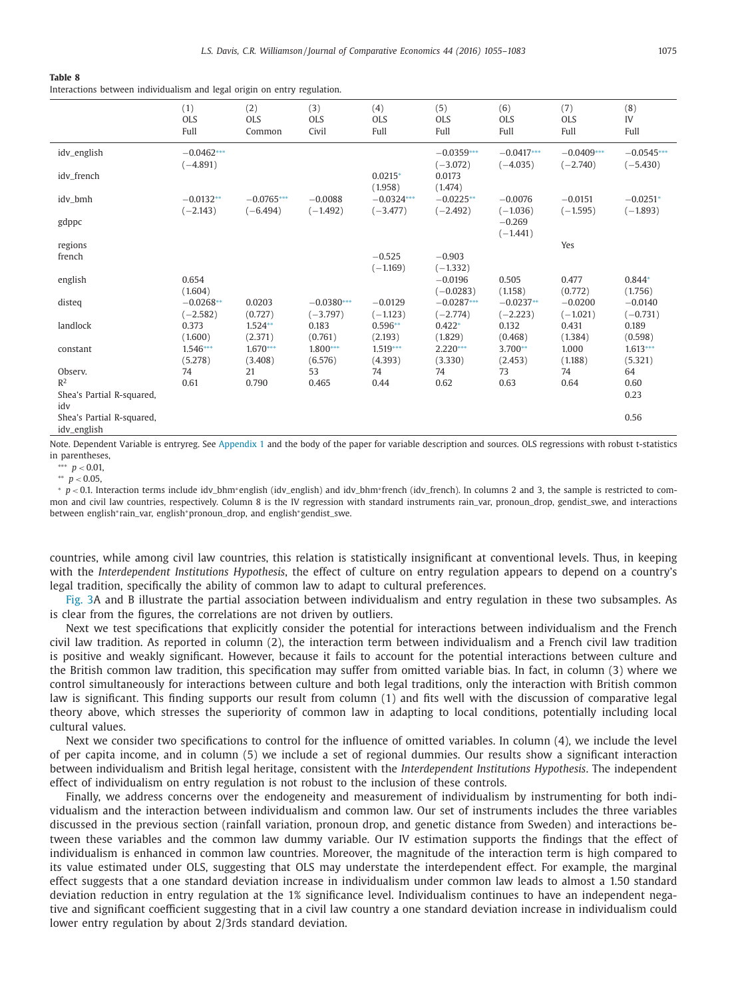#### <span id="page-20-0"></span>**Table 8**

Interactions between individualism and legal origin on entry regulation.

|                                          | (1)<br><b>OLS</b>          | (2)<br><b>OLS</b>          | (3)<br><b>OLS</b>          | (4)<br><b>OLS</b>          | (5)<br><b>OLS</b>          | (6)<br><b>OLS</b>          | (7)<br><b>OLS</b>          | (8)<br>IV                  |
|------------------------------------------|----------------------------|----------------------------|----------------------------|----------------------------|----------------------------|----------------------------|----------------------------|----------------------------|
|                                          | Full                       | Common                     | Civil                      | Full                       | Full                       | Full                       | Full                       | Full                       |
| idv_english                              | $-0.0462***$<br>$(-4.891)$ |                            |                            |                            | $-0.0359***$<br>$(-3.072)$ | $-0.0417***$<br>$(-4.035)$ | $-0.0409***$<br>$(-2.740)$ | $-0.0545***$<br>$(-5.430)$ |
| idv_french                               |                            |                            |                            | $0.0215*$<br>(1.958)       | 0.0173<br>(1.474)          |                            |                            |                            |
| idv_bmh                                  | $-0.0132**$<br>$(-2.143)$  | $-0.0765***$<br>$(-6.494)$ | $-0.0088$<br>$(-1.492)$    | $-0.0324***$<br>$(-3.477)$ | $-0.0225**$<br>$(-2.492)$  | $-0.0076$<br>$(-1.036)$    | $-0.0151$<br>$(-1.595)$    | $-0.0251*$<br>$(-1.893)$   |
| gdppc                                    |                            |                            |                            |                            |                            | $-0.269$<br>$(-1.441)$     |                            |                            |
| regions                                  |                            |                            |                            |                            |                            |                            | Yes                        |                            |
| french                                   |                            |                            |                            | $-0.525$<br>$(-1.169)$     | $-0.903$<br>$(-1.332)$     |                            |                            |                            |
| english                                  | 0.654<br>(1.604)           |                            |                            |                            | $-0.0196$<br>$(-0.0283)$   | 0.505<br>(1.158)           | 0.477<br>(0.772)           | $0.844*$<br>(1.756)        |
| disteq                                   | $-0.0268**$<br>$(-2.582)$  | 0.0203<br>(0.727)          | $-0.0380***$<br>$(-3.797)$ | $-0.0129$<br>$(-1.123)$    | $-0.0287***$<br>$(-2.774)$ | $-0.0237**$<br>$(-2.223)$  | $-0.0200$<br>$(-1.021)$    | $-0.0140$<br>$(-0.731)$    |
| landlock                                 | 0.373<br>(1,600)           | $1.524**$<br>(2.371)       | 0.183<br>(0.761)           | $0.596**$<br>(2.193)       | $0.422*$<br>(1.829)        | 0.132<br>(0.468)           | 0.431<br>(1.384)           | 0.189<br>(0.598)           |
| constant                                 | $1.546***$<br>(5.278)      | $1.670***$<br>(3.408)      | $1.800***$<br>(6.576)      | $1.519***$<br>(4.393)      | $2.220***$<br>(3.330)      | 3.700**<br>(2.453)         | 1.000<br>(1.188)           | $1.613***$<br>(5.321)      |
| Observ.                                  | 74                         | 21                         | 53                         | 74                         | 74                         | 73                         | 74                         | 64                         |
| $R^2$                                    | 0.61                       | 0.790                      | 0.465                      | 0.44                       | 0.62                       | 0.63                       | 0.64                       | 0.60                       |
| Shea's Partial R-squared,<br>idv         |                            |                            |                            |                            |                            |                            |                            | 0.23                       |
| Shea's Partial R-squared,<br>idv_english |                            |                            |                            |                            |                            |                            |                            | 0.56                       |

Note. Dependent Variable is entryreg. See [Appendix](#page-25-0) 1 and the body of the paper for variable description and sources. OLS regressions with robust t-statistics in parentheses,

∗∗∗ *p* < 0.01,

∗∗ *p* < 0.05,

<sup>∗</sup> *p* < 0.1. Interaction terms include idv\_bhm∗english (idv\_english) and idv\_bhm∗french (idv\_french). In columns 2 and 3, the sample is restricted to common and civil law countries, respectively. Column 8 is the IV regression with standard instruments rain\_var, pronoun\_drop, gendist\_swe, and interactions between english∗rain\_var, english∗pronoun\_drop, and english∗gendist\_swe.

countries, while among civil law countries, this relation is statistically insignificant at conventional levels. Thus, in keeping with the *Interdependent Institutions Hypothesis*, the effect of culture on entry regulation appears to depend on a country's legal tradition, specifically the ability of common law to adapt to cultural preferences.

[Fig.](#page-21-0) 3A and B illustrate the partial association between individualism and entry regulation in these two subsamples. As is clear from the figures, the correlations are not driven by outliers.

Next we test specifications that explicitly consider the potential for interactions between individualism and the French civil law tradition. As reported in column (2), the interaction term between individualism and a French civil law tradition is positive and weakly significant. However, because it fails to account for the potential interactions between culture and the British common law tradition, this specification may suffer from omitted variable bias. In fact, in column (3) where we control simultaneously for interactions between culture and both legal traditions, only the interaction with British common law is significant. This finding supports our result from column (1) and fits well with the discussion of comparative legal theory above, which stresses the superiority of common law in adapting to local conditions, potentially including local cultural values.

Next we consider two specifications to control for the influence of omitted variables. In column (4), we include the level of per capita income, and in column (5) we include a set of regional dummies. Our results show a significant interaction between individualism and British legal heritage, consistent with the *Interdependent Institutions Hypothesis*. The independent effect of individualism on entry regulation is not robust to the inclusion of these controls.

Finally, we address concerns over the endogeneity and measurement of individualism by instrumenting for both individualism and the interaction between individualism and common law. Our set of instruments includes the three variables discussed in the previous section (rainfall variation, pronoun drop, and genetic distance from Sweden) and interactions between these variables and the common law dummy variable. Our IV estimation supports the findings that the effect of individualism is enhanced in common law countries. Moreover, the magnitude of the interaction term is high compared to its value estimated under OLS, suggesting that OLS may understate the interdependent effect. For example, the marginal effect suggests that a one standard deviation increase in individualism under common law leads to almost a 1.50 standard deviation reduction in entry regulation at the 1% significance level. Individualism continues to have an independent negative and significant coefficient suggesting that in a civil law country a one standard deviation increase in individualism could lower entry regulation by about 2/3rds standard deviation.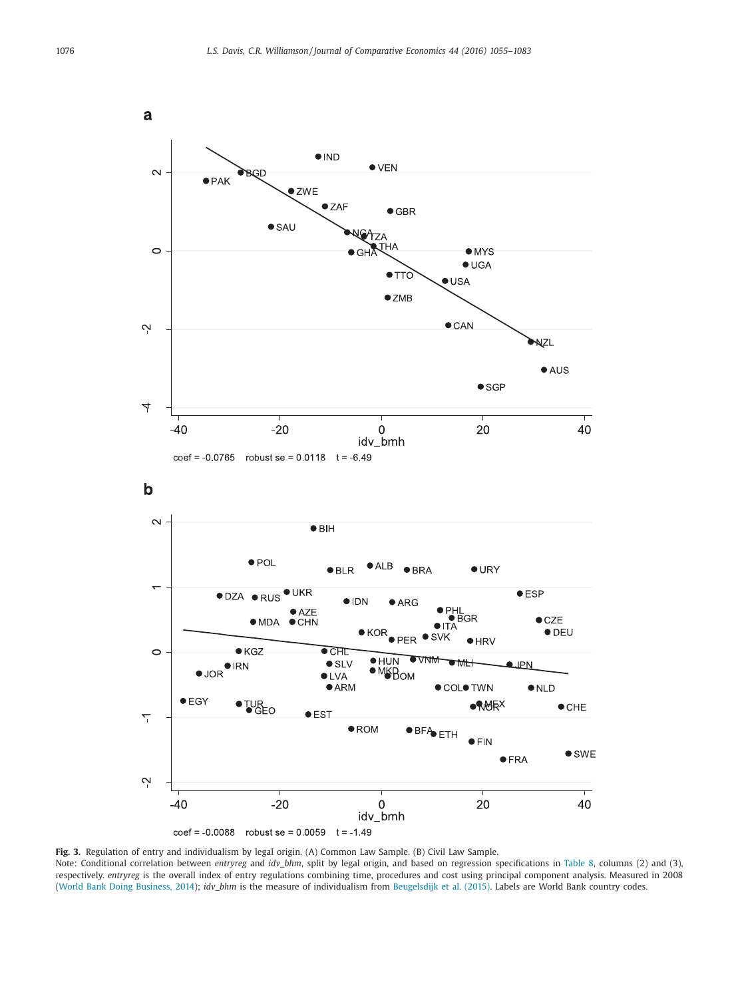<span id="page-21-0"></span>

 $\text{coef} = -0.0088$  robust se = 0.0059 t = -1.49

**Fig. 3.** Regulation of entry and individualism by legal origin. (A) Common Law Sample. (B) Civil Law Sample. Note: Conditional correlation between *entryreg* and *idv\_bhm*, split by legal origin, and based on regression specifications in [Table](#page-20-0) 8, columns (2) and (3), respectively. *entryreg* is the overall index of entry regulations combining time, procedures and cost using principal component analysis. Measured in 2008 (World Bank Doing [Business,](#page-28-0) 2014); *idv\_bhm* is the measure of individualism from [Beugelsdijk](#page-27-0) et al. (2015). Labels are World Bank country codes.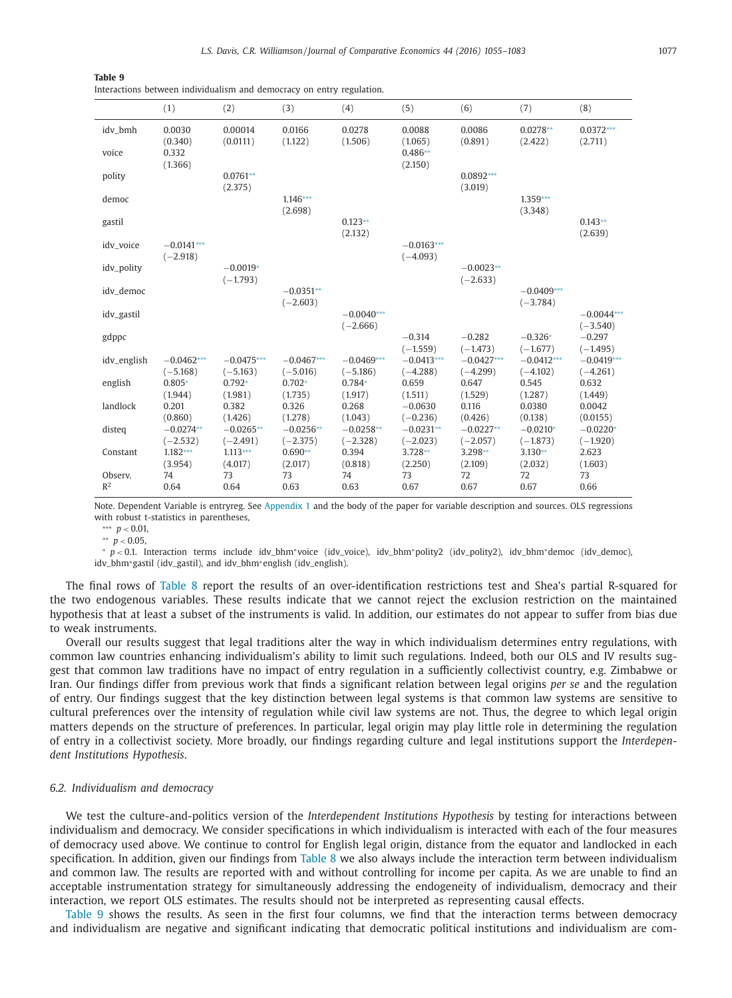<span id="page-22-0"></span>

|                           | (1)                        | (2)                        | (3)                        | (4)                        | (5)                            | (6)                        | (7)                        | (8)                        |
|---------------------------|----------------------------|----------------------------|----------------------------|----------------------------|--------------------------------|----------------------------|----------------------------|----------------------------|
| idv_bmh<br>voice          | 0.0030<br>(0.340)<br>0.332 | 0.00014<br>(0.0111)        | 0.0166<br>(1.122)          | 0.0278<br>(1.506)          | 0.0088<br>(1.065)<br>$0.486**$ | 0.0086<br>(0.891)          | $0.0278**$<br>(2.422)      | $0.0372***$<br>(2.711)     |
| polity                    | (1.366)                    | $0.0761**$<br>(2.375)      |                            |                            | (2.150)                        | $0.0892***$<br>(3.019)     |                            |                            |
| democ                     |                            |                            | $1.146***$<br>(2.698)      |                            |                                |                            | $1.359***$<br>(3.348)      |                            |
| gastil                    |                            |                            |                            | $0.123**$<br>(2.132)       |                                |                            |                            | $0.143**$<br>(2.639)       |
| idv_voice                 | $-0.0141***$<br>$(-2.918)$ |                            |                            |                            | $-0.0163***$<br>$(-4.093)$     |                            |                            |                            |
| idv_polity                |                            | $-0.0019*$<br>$(-1.793)$   |                            |                            |                                | $-0.0023**$<br>$(-2.633)$  |                            |                            |
| idv_democ                 |                            |                            | $-0.0351**$<br>$(-2.603)$  |                            |                                |                            | $-0.0409***$<br>$(-3.784)$ |                            |
| idv_gastil                |                            |                            |                            | $-0.0040***$<br>$(-2.666)$ |                                |                            |                            | $-0.0044***$<br>$(-3.540)$ |
| gdppc                     |                            |                            |                            |                            | $-0.314$<br>$(-1.559)$         | $-0.282$<br>$(-1.473)$     | $-0.326*$<br>$(-1.677)$    | $-0.297$<br>$(-1.495)$     |
| idv_english               | $-0.0462***$<br>$(-5.168)$ | $-0.0475***$<br>$(-5.163)$ | $-0.0467***$<br>$(-5.016)$ | $-0.0469***$<br>$(-5.186)$ | $-0.0413***$<br>$(-4.288)$     | $-0.0427***$<br>$(-4.299)$ | $-0.0412***$<br>$(-4.102)$ | $-0.0419***$<br>$(-4.261)$ |
| english                   | $0.805*$<br>(1.944)        | $0.792*$<br>(1.981)        | $0.702*$<br>(1.735)        | $0.784*$<br>(1.917)        | 0.659<br>(1.511)               | 0.647<br>(1.529)           | 0.545<br>(1.287)           | 0.632<br>(1.449)           |
| landlock                  | 0.201<br>(0.860)           | 0.382<br>(1.426)           | 0.326<br>(1.278)           | 0.268<br>(1.043)           | $-0.0630$<br>$(-0.236)$        | 0.116<br>(0.426)           | 0.0380<br>(0.138)          | 0.0042<br>(0.0155)         |
| disteq                    | $-0.0274**$<br>$(-2.532)$  | $-0.0265**$<br>$(-2.491)$  | $-0.0256**$<br>$(-2.375)$  | $-0.0258**$<br>$(-2.328)$  | $-0.0231**$<br>$(-2.023)$      | $-0.0227**$<br>$(-2.057)$  | $-0.0210*$<br>$(-1.873)$   | $-0.0220*$<br>$(-1.920)$   |
| Constant                  | $1.182***$<br>(3.954)      | $1.113***$<br>(4.017)      | $0.690**$<br>(2.017)       | 0.394<br>(0.818)           | $3.728**$<br>(2.250)           | 3.298**<br>(2.109)         | $3.130**$<br>(2.032)       | 2.623<br>(1.603)           |
| Observ.<br>R <sup>2</sup> | 74<br>0.64                 | 73<br>0.64                 | 73<br>0.63                 | 74<br>0.63                 | 73<br>0.67                     | 72<br>0.67                 | 72<br>0.67                 | 73<br>0.66                 |

Note. Dependent Variable is entryreg. See [Appendix](#page-25-0) 1 and the body of the paper for variable description and sources. OLS regressions with robust t-statistics in parentheses,

∗∗∗ *p* < 0.01,

∗∗ *p* < 0.05,

<sup>∗</sup> *p* < 0.1. Interaction terms include idv\_bhm∗voice (idv\_voice), idv\_bhm∗polity2 (idv\_polity2), idv\_bhm∗democ (idv\_democ), idv\_bhm∗gastil (idv\_gastil), and idv\_bhm∗english (idv\_english).

The final rows of [Table](#page-20-0) 8 report the results of an over-identification restrictions test and Shea's partial R-squared for the two endogenous variables. These results indicate that we cannot reject the exclusion restriction on the maintained hypothesis that at least a subset of the instruments is valid. In addition, our estimates do not appear to suffer from bias due to weak instruments.

Overall our results suggest that legal traditions alter the way in which individualism determines entry regulations, with common law countries enhancing individualism's ability to limit such regulations. Indeed, both our OLS and IV results suggest that common law traditions have no impact of entry regulation in a sufficiently collectivist country, e.g. Zimbabwe or Iran. Our findings differ from previous work that finds a significant relation between legal origins *per se* and the regulation of entry. Our findings suggest that the key distinction between legal systems is that common law systems are sensitive to cultural preferences over the intensity of regulation while civil law systems are not. Thus, the degree to which legal origin matters depends on the structure of preferences. In particular, legal origin may play little role in determining the regulation of entry in a collectivist society. More broadly, our findings regarding culture and legal institutions support the *Interdependent Institutions Hypothesis*.

# *6.2. Individualism and democracy*

We test the culture-and-politics version of the *Interdependent Institutions Hypothesis* by testing for interactions between individualism and democracy. We consider specifications in which individualism is interacted with each of the four measures of democracy used above. We continue to control for English legal origin, distance from the equator and landlocked in each specification. In addition, given our findings from [Table](#page-20-0) 8 we also always include the interaction term between individualism and common law. The results are reported with and without controlling for income per capita. As we are unable to find an acceptable instrumentation strategy for simultaneously addressing the endogeneity of individualism, democracy and their interaction, we report OLS estimates. The results should not be interpreted as representing causal effects.

Table 9 shows the results. As seen in the first four columns, we find that the interaction terms between democracy and individualism are negative and significant indicating that democratic political institutions and individualism are com-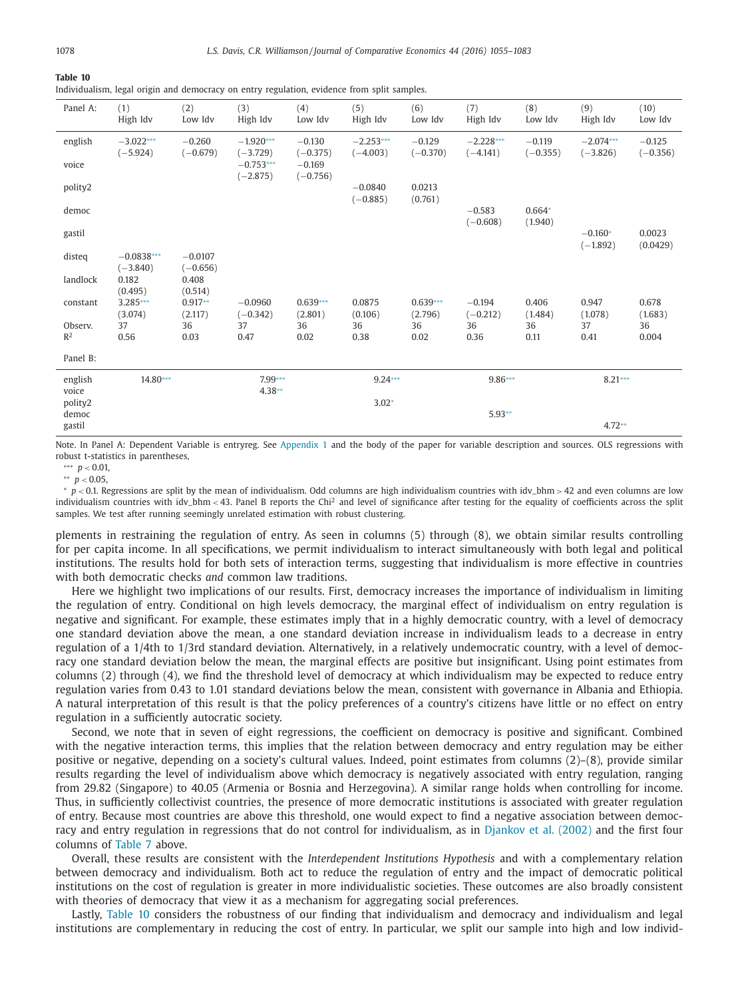| Individualism, legal origin and democracy on entry regulation, evidence from split samples. |  |  |  |
|---------------------------------------------------------------------------------------------|--|--|--|
|                                                                                             |  |  |  |
|                                                                                             |  |  |  |

| Panel A:         | (1)<br>High Idv            | (2)<br>Low Idv          | (3)<br>High Idv           | (4)<br>Low Idv         | (5)<br>High Idv           | (6)<br>Low Idv         | (7)<br>High Idv           | (8)<br>Low Idv         | (9)<br>High Idv           | (10)<br>Low Idv        |
|------------------|----------------------------|-------------------------|---------------------------|------------------------|---------------------------|------------------------|---------------------------|------------------------|---------------------------|------------------------|
| english          | $-3.022***$<br>$(-5.924)$  | $-0.260$<br>$(-0.679)$  | $-1.920***$<br>$(-3.729)$ | $-0.130$<br>$(-0.375)$ | $-2.253***$<br>$(-4.003)$ | $-0.129$<br>$(-0.370)$ | $-2.228***$<br>$(-4.141)$ | $-0.119$<br>$(-0.355)$ | $-2.074***$<br>$(-3.826)$ | $-0.125$<br>$(-0.356)$ |
| voice            |                            |                         | $-0.753***$<br>$(-2.875)$ | $-0.169$<br>$(-0.756)$ |                           |                        |                           |                        |                           |                        |
| polity2          |                            |                         |                           |                        | $-0.0840$<br>$(-0.885)$   | 0.0213<br>(0.761)      |                           |                        |                           |                        |
| democ            |                            |                         |                           |                        |                           |                        | $-0.583$<br>$(-0.608)$    | $0.664*$<br>(1.940)    |                           |                        |
| gastil           |                            |                         |                           |                        |                           |                        |                           |                        | $-0.160*$<br>$(-1.892)$   | 0.0023<br>(0.0429)     |
| disteg           | $-0.0838***$<br>$(-3.840)$ | $-0.0107$<br>$(-0.656)$ |                           |                        |                           |                        |                           |                        |                           |                        |
| landlock         | 0.182<br>(0.495)           | 0.408<br>(0.514)        |                           |                        |                           |                        |                           |                        |                           |                        |
| constant         | 3.285***<br>(3.074)        | $0.917**$<br>(2.117)    | $-0.0960$<br>$(-0.342)$   | $0.639***$<br>(2.801)  | 0.0875<br>(0.106)         | $0.639***$<br>(2.796)  | $-0.194$<br>$(-0.212)$    | 0.406<br>(1.484)       | 0.947<br>(1.078)          | 0.678<br>(1.683)       |
| Observ.          | 37                         | 36                      | 37                        | 36                     | 36                        | 36                     | 36                        | 36                     | 37                        | 36                     |
| $R^2$            | 0.56                       | 0.03                    | 0.47                      | 0.02                   | 0.38                      | 0.02                   | 0.36                      | 0.11                   | 0.41                      | 0.004                  |
| Panel B:         |                            |                         |                           |                        |                           |                        |                           |                        |                           |                        |
| english<br>voice | 14.80***                   |                         | 7.99***<br>$4.38**$       |                        | $9.24***$                 |                        | $9.86***$                 |                        | $8.21***$                 |                        |
| polity2<br>democ |                            |                         |                           |                        | $3.02*$                   |                        | $5.93**$                  |                        |                           |                        |
| gastil           |                            |                         |                           |                        |                           |                        |                           |                        | $4.72**$                  |                        |

Note. In Panel A: Dependent Variable is entryreg. See [Appendix](#page-25-0) 1 and the body of the paper for variable description and sources. OLS regressions with robust t-statistics in parentheses,

∗∗∗ *p* < 0.01,

∗∗ *p* < 0.05,

*p* < 0.1. Regressions are split by the mean of individualism. Odd columns are high individualism countries with idv\_bhm > 42 and even columns are low individualism countries with idv\_bhm < 43. Panel B reports the Chi<sup>2</sup> and level of significance after testing for the equality of coefficients across the split samples. We test after running seemingly unrelated estimation with robust clustering.

plements in restraining the regulation of entry. As seen in columns (5) through (8), we obtain similar results controlling for per capita income. In all specifications, we permit individualism to interact simultaneously with both legal and political institutions. The results hold for both sets of interaction terms, suggesting that individualism is more effective in countries with both democratic checks *and* common law traditions.

Here we highlight two implications of our results. First, democracy increases the importance of individualism in limiting the regulation of entry. Conditional on high levels democracy, the marginal effect of individualism on entry regulation is negative and significant. For example, these estimates imply that in a highly democratic country, with a level of democracy one standard deviation above the mean, a one standard deviation increase in individualism leads to a decrease in entry regulation of a 1/4th to 1/3rd standard deviation. Alternatively, in a relatively undemocratic country, with a level of democracy one standard deviation below the mean, the marginal effects are positive but insignificant. Using point estimates from columns (2) through (4), we find the threshold level of democracy at which individualism may be expected to reduce entry regulation varies from 0.43 to 1.01 standard deviations below the mean, consistent with governance in Albania and Ethiopia. A natural interpretation of this result is that the policy preferences of a country's citizens have little or no effect on entry regulation in a sufficiently autocratic society.

Second, we note that in seven of eight regressions, the coefficient on democracy is positive and significant. Combined with the negative interaction terms, this implies that the relation between democracy and entry regulation may be either positive or negative, depending on a society's cultural values. Indeed, point estimates from columns (2)–(8), provide similar results regarding the level of individualism above which democracy is negatively associated with entry regulation, ranging from 29.82 (Singapore) to 40.05 (Armenia or Bosnia and Herzegovina). A similar range holds when controlling for income. Thus, in sufficiently collectivist countries, the presence of more democratic institutions is associated with greater regulation of entry. Because most countries are above this threshold, one would expect to find a negative association between democracy and entry regulation in regressions that do not control for individualism, as in [Djankov](#page-27-0) et al. (2002) and the first four columns of [Table](#page-18-0) 7 above.

Overall, these results are consistent with the *Interdependent Institutions Hypothesis* and with a complementary relation between democracy and individualism. Both act to reduce the regulation of entry and the impact of democratic political institutions on the cost of regulation is greater in more individualistic societies. These outcomes are also broadly consistent with theories of democracy that view it as a mechanism for aggregating social preferences.

Lastly, Table 10 considers the robustness of our finding that individualism and democracy and individualism and legal institutions are complementary in reducing the cost of entry. In particular, we split our sample into high and low individ-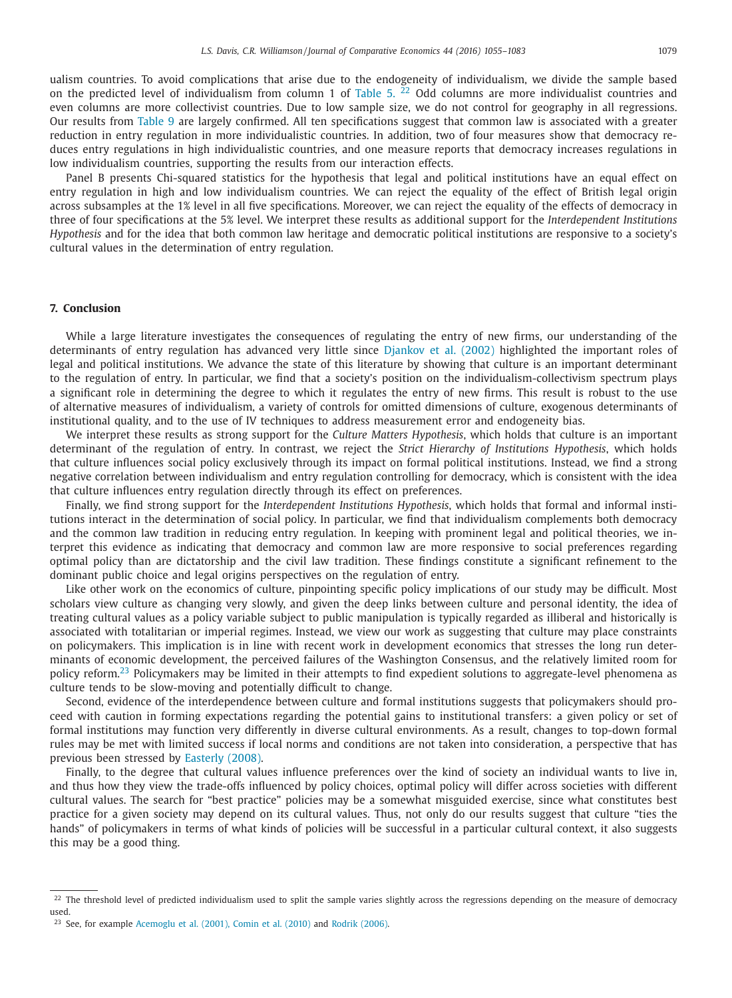ualism countries. To avoid complications that arise due to the endogeneity of individualism, we divide the sample based on the predicted level of individualism from column 1 of [Table](#page-16-0) 5.  $^{22}$  Odd columns are more individualist countries and even columns are more collectivist countries. Due to low sample size, we do not control for geography in all regressions. Our results from [Table](#page-22-0) 9 are largely confirmed. All ten specifications suggest that common law is associated with a greater reduction in entry regulation in more individualistic countries. In addition, two of four measures show that democracy reduces entry regulations in high individualistic countries, and one measure reports that democracy increases regulations in low individualism countries, supporting the results from our interaction effects.

Panel B presents Chi-squared statistics for the hypothesis that legal and political institutions have an equal effect on entry regulation in high and low individualism countries. We can reject the equality of the effect of British legal origin across subsamples at the 1% level in all five specifications. Moreover, we can reject the equality of the effects of democracy in three of four specifications at the 5% level. We interpret these results as additional support for the *Interdependent Institutions Hypothesis* and for the idea that both common law heritage and democratic political institutions are responsive to a society's cultural values in the determination of entry regulation.

#### **7. Conclusion**

While a large literature investigates the consequences of regulating the entry of new firms, our understanding of the determinants of entry regulation has advanced very little since [Djankov](#page-27-0) et al. (2002) highlighted the important roles of legal and political institutions. We advance the state of this literature by showing that culture is an important determinant to the regulation of entry. In particular, we find that a society's position on the individualism-collectivism spectrum plays a significant role in determining the degree to which it regulates the entry of new firms. This result is robust to the use of alternative measures of individualism, a variety of controls for omitted dimensions of culture, exogenous determinants of institutional quality, and to the use of IV techniques to address measurement error and endogeneity bias.

We interpret these results as strong support for the *Culture Matters Hypothesis*, which holds that culture is an important determinant of the regulation of entry. In contrast, we reject the *Strict Hierarchy of Institutions Hypothesis*, which holds that culture influences social policy exclusively through its impact on formal political institutions. Instead, we find a strong negative correlation between individualism and entry regulation controlling for democracy, which is consistent with the idea that culture influences entry regulation directly through its effect on preferences.

Finally, we find strong support for the *Interdependent Institutions Hypothesis*, which holds that formal and informal institutions interact in the determination of social policy. In particular, we find that individualism complements both democracy and the common law tradition in reducing entry regulation. In keeping with prominent legal and political theories, we interpret this evidence as indicating that democracy and common law are more responsive to social preferences regarding optimal policy than are dictatorship and the civil law tradition. These findings constitute a significant refinement to the dominant public choice and legal origins perspectives on the regulation of entry.

Like other work on the economics of culture, pinpointing specific policy implications of our study may be difficult. Most scholars view culture as changing very slowly, and given the deep links between culture and personal identity, the idea of treating cultural values as a policy variable subject to public manipulation is typically regarded as illiberal and historically is associated with totalitarian or imperial regimes. Instead, we view our work as suggesting that culture may place constraints on policymakers. This implication is in line with recent work in development economics that stresses the long run determinants of economic development, the perceived failures of the Washington Consensus, and the relatively limited room for policy reform.<sup>23</sup> Policymakers may be limited in their attempts to find expedient solutions to aggregate-level phenomena as culture tends to be slow-moving and potentially difficult to change.

Second, evidence of the interdependence between culture and formal institutions suggests that policymakers should proceed with caution in forming expectations regarding the potential gains to institutional transfers: a given policy or set of formal institutions may function very differently in diverse cultural environments. As a result, changes to top-down formal rules may be met with limited success if local norms and conditions are not taken into consideration, a perspective that has previous been stressed by [Easterly](#page-27-0) (2008).

Finally, to the degree that cultural values influence preferences over the kind of society an individual wants to live in, and thus how they view the trade-offs influenced by policy choices, optimal policy will differ across societies with different cultural values. The search for "best practice" policies may be a somewhat misguided exercise, since what constitutes best practice for a given society may depend on its cultural values. Thus, not only do our results suggest that culture "ties the hands" of policymakers in terms of what kinds of policies will be successful in a particular cultural context, it also suggests this may be a good thing.

<sup>&</sup>lt;sup>22</sup> The threshold level of predicted individualism used to split the sample varies slightly across the regressions depending on the measure of democracy used.

<sup>&</sup>lt;sup>23</sup> See, for example [Acemoglu](#page-26-0) et al. (2001), Comin et al. (2010) and Rodrik [\(2006\).](#page-28-0)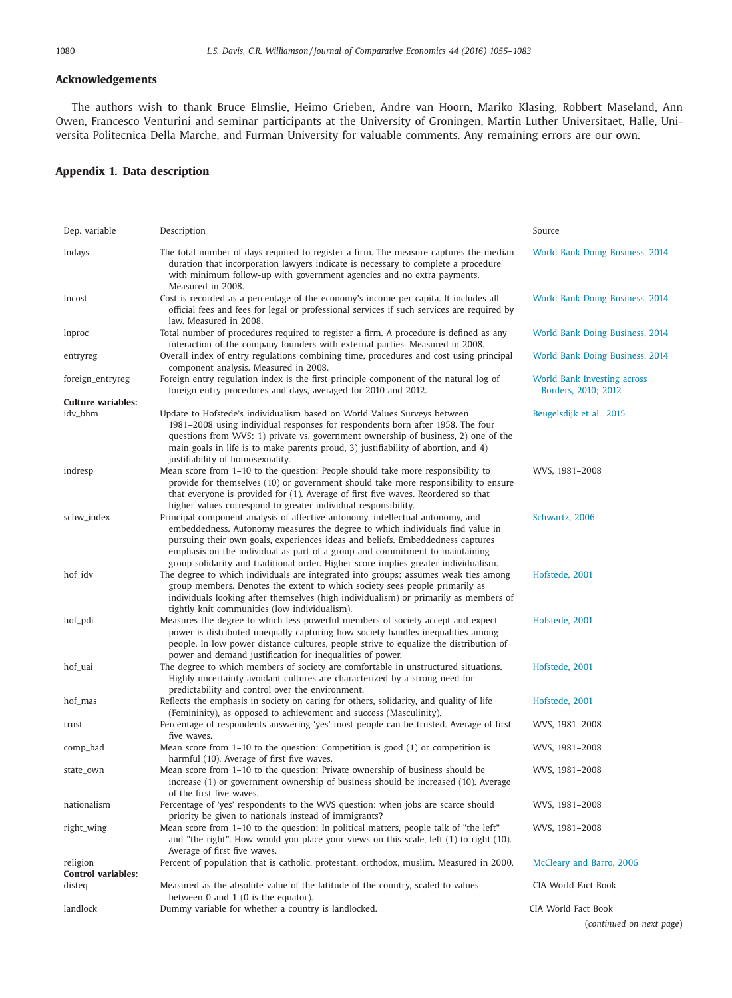# <span id="page-25-0"></span>**Acknowledgements**

The authors wish to thank Bruce Elmslie, Heimo Grieben, Andre van Hoorn, Mariko Klasing, Robbert Maseland, Ann Owen, Francesco Venturini and seminar participants at the University of Groningen, Martin Luther Universitaet, Halle, Universita Politecnica Della Marche, and Furman University for valuable comments. Any remaining errors are our own.

# **Appendix 1. Data description**

| Dep. variable                         | Description                                                                                                                                                                                                                                                                                                                                                                                                             | Source                                             |
|---------------------------------------|-------------------------------------------------------------------------------------------------------------------------------------------------------------------------------------------------------------------------------------------------------------------------------------------------------------------------------------------------------------------------------------------------------------------------|----------------------------------------------------|
| lndays                                | The total number of days required to register a firm. The measure captures the median<br>duration that incorporation lawyers indicate is necessary to complete a procedure<br>with minimum follow-up with government agencies and no extra payments.<br>Measured in 2008.                                                                                                                                               | World Bank Doing Business, 2014                    |
| Incost                                | Cost is recorded as a percentage of the economy's income per capita. It includes all<br>official fees and fees for legal or professional services if such services are required by<br>law. Measured in 2008.                                                                                                                                                                                                            | World Bank Doing Business, 2014                    |
| Inproc                                | Total number of procedures required to register a firm. A procedure is defined as any<br>interaction of the company founders with external parties. Measured in 2008.                                                                                                                                                                                                                                                   | World Bank Doing Business, 2014                    |
| entryreg                              | Overall index of entry regulations combining time, procedures and cost using principal<br>component analysis. Measured in 2008.                                                                                                                                                                                                                                                                                         | World Bank Doing Business, 2014                    |
| foreign_entryreg                      | Foreign entry regulation index is the first principle component of the natural log of<br>foreign entry procedures and days, averaged for 2010 and 2012.                                                                                                                                                                                                                                                                 | World Bank Investing across<br>Borders, 2010; 2012 |
| <b>Culture variables:</b>             |                                                                                                                                                                                                                                                                                                                                                                                                                         |                                                    |
| idv_bhm                               | Update to Hofstede's individualism based on World Values Surveys between<br>1981–2008 using individual responses for respondents born after 1958. The four<br>questions from WVS: 1) private vs. government ownership of business, 2) one of the<br>main goals in life is to make parents proud, 3) justifiability of abortion, and 4)<br>justifiability of homosexuality.                                              | Beugelsdijk et al., 2015                           |
| indresp                               | Mean score from 1–10 to the question: People should take more responsibility to<br>provide for themselves (10) or government should take more responsibility to ensure<br>that everyone is provided for (1). Average of first five waves. Reordered so that<br>higher values correspond to greater individual responsibility.                                                                                           | WVS, 1981-2008                                     |
| schw_index                            | Principal component analysis of affective autonomy, intellectual autonomy, and<br>embeddedness. Autonomy measures the degree to which individuals find value in<br>pursuing their own goals, experiences ideas and beliefs. Embeddedness captures<br>emphasis on the individual as part of a group and commitment to maintaining<br>group solidarity and traditional order. Higher score implies greater individualism. | Schwartz, 2006                                     |
| hof_idv                               | The degree to which individuals are integrated into groups; assumes weak ties among<br>group members. Denotes the extent to which society sees people primarily as<br>individuals looking after themselves (high individualism) or primarily as members of<br>tightly knit communities (low individualism).                                                                                                             | Hofstede, 2001                                     |
| hof_pdi                               | Measures the degree to which less powerful members of society accept and expect<br>power is distributed unequally capturing how society handles inequalities among<br>people. In low power distance cultures, people strive to equalize the distribution of<br>power and demand justification for inequalities of power.                                                                                                | Hofstede, 2001                                     |
| hof_uai                               | The degree to which members of society are comfortable in unstructured situations.<br>Highly uncertainty avoidant cultures are characterized by a strong need for<br>predictability and control over the environment.                                                                                                                                                                                                   | Hofstede, 2001                                     |
| hof_mas                               | Reflects the emphasis in society on caring for others, solidarity, and quality of life<br>(Femininity), as opposed to achievement and success (Masculinity).                                                                                                                                                                                                                                                            | Hofstede, 2001                                     |
| trust                                 | Percentage of respondents answering 'yes' most people can be trusted. Average of first<br>five waves.                                                                                                                                                                                                                                                                                                                   | WVS, 1981-2008                                     |
| comp_bad                              | Mean score from $1-10$ to the question: Competition is good $(1)$ or competition is<br>harmful (10). Average of first five waves.                                                                                                                                                                                                                                                                                       | WVS, 1981-2008                                     |
| state_own                             | Mean score from 1–10 to the question: Private ownership of business should be<br>increase (1) or government ownership of business should be increased (10). Average<br>of the first five waves.                                                                                                                                                                                                                         | WVS, 1981-2008                                     |
| nationalism                           | Percentage of 'yes' respondents to the WVS question: when jobs are scarce should<br>priority be given to nationals instead of immigrants?                                                                                                                                                                                                                                                                               | WVS, 1981-2008                                     |
| right_wing                            | Mean score from 1-10 to the question: In political matters, people talk of "the left"<br>and "the right". How would you place your views on this scale, left $(1)$ to right $(10)$ .<br>Average of first five waves.                                                                                                                                                                                                    | WVS, 1981-2008                                     |
| religion<br><b>Control variables:</b> | Percent of population that is catholic, protestant, orthodox, muslim. Measured in 2000.                                                                                                                                                                                                                                                                                                                                 | McCleary and Barro, 2006                           |
| disteq                                | Measured as the absolute value of the latitude of the country, scaled to values<br>between $0$ and $1$ ( $0$ is the equator).                                                                                                                                                                                                                                                                                           | CIA World Fact Book                                |
| landlock                              | Dummy variable for whether a country is landlocked.                                                                                                                                                                                                                                                                                                                                                                     | CIA World Fact Book                                |
|                                       |                                                                                                                                                                                                                                                                                                                                                                                                                         | (continued on next page)                           |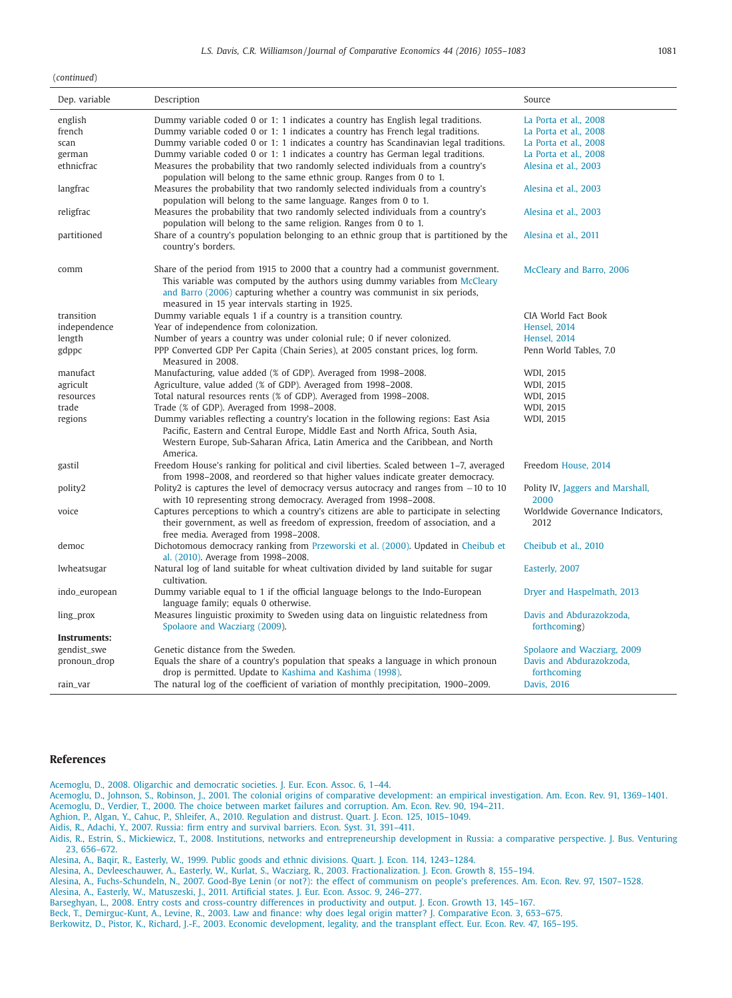<span id="page-26-0"></span>(*continued*)

| Dep. variable       | Description                                                                                                                                                                                                                                                                                        | Source                                   |
|---------------------|----------------------------------------------------------------------------------------------------------------------------------------------------------------------------------------------------------------------------------------------------------------------------------------------------|------------------------------------------|
| english             | Dummy variable coded 0 or 1: 1 indicates a country has English legal traditions.                                                                                                                                                                                                                   | La Porta et al., 2008                    |
| french              | Dummy variable coded 0 or 1: 1 indicates a country has French legal traditions.                                                                                                                                                                                                                    | La Porta et al., 2008                    |
| scan                | Dummy variable coded 0 or 1: 1 indicates a country has Scandinavian legal traditions.                                                                                                                                                                                                              | La Porta et al., 2008                    |
| german              | Dummy variable coded 0 or 1: 1 indicates a country has German legal traditions.                                                                                                                                                                                                                    | La Porta et al., 2008                    |
| ethnicfrac          | Measures the probability that two randomly selected individuals from a country's<br>population will belong to the same ethnic group. Ranges from 0 to 1.                                                                                                                                           | Alesina et al., 2003                     |
| langfrac            | Measures the probability that two randomly selected individuals from a country's                                                                                                                                                                                                                   | Alesina et al., 2003                     |
|                     | population will belong to the same language. Ranges from 0 to 1.                                                                                                                                                                                                                                   |                                          |
| religfrac           | Measures the probability that two randomly selected individuals from a country's<br>population will belong to the same religion. Ranges from 0 to 1.                                                                                                                                               | Alesina et al., 2003                     |
| partitioned         | Share of a country's population belonging to an ethnic group that is partitioned by the<br>country's borders.                                                                                                                                                                                      | Alesina et al., 2011                     |
| comm                | Share of the period from 1915 to 2000 that a country had a communist government.<br>This variable was computed by the authors using dummy variables from McCleary<br>and Barro (2006) capturing whether a country was communist in six periods,<br>measured in 15 year intervals starting in 1925. | McCleary and Barro, 2006                 |
| transition          | Dummy variable equals 1 if a country is a transition country.                                                                                                                                                                                                                                      | CIA World Fact Book                      |
| independence        | Year of independence from colonization.                                                                                                                                                                                                                                                            | <b>Hensel</b> , 2014                     |
| length              | Number of years a country was under colonial rule; 0 if never colonized.                                                                                                                                                                                                                           | <b>Hensel</b> , 2014                     |
| gdppc               | PPP Converted GDP Per Capita (Chain Series), at 2005 constant prices, log form.                                                                                                                                                                                                                    | Penn World Tables, 7.0                   |
|                     | Measured in 2008.                                                                                                                                                                                                                                                                                  |                                          |
| manufact            | Manufacturing, value added (% of GDP). Averaged from 1998–2008.                                                                                                                                                                                                                                    | WDI, 2015                                |
| agricult            | Agriculture, value added (% of GDP). Averaged from 1998-2008.                                                                                                                                                                                                                                      | WDI, 2015                                |
| resources           | Total natural resources rents (% of GDP). Averaged from 1998-2008.                                                                                                                                                                                                                                 | WDI, 2015                                |
| trade               | Trade (% of GDP). Averaged from 1998-2008.                                                                                                                                                                                                                                                         | WDI, 2015                                |
| regions             | Dummy variables reflecting a country's location in the following regions: East Asia<br>Pacific, Eastern and Central Europe, Middle East and North Africa, South Asia,                                                                                                                              | WDI, 2015                                |
|                     | Western Europe, Sub-Saharan Africa, Latin America and the Caribbean, and North<br>America.                                                                                                                                                                                                         |                                          |
| gastil              | Freedom House's ranking for political and civil liberties. Scaled between 1–7, averaged<br>from 1998–2008, and reordered so that higher values indicate greater democracy.                                                                                                                         | Freedom House, 2014                      |
| polity2             | Polity2 is captures the level of democracy versus autocracy and ranges from $-10$ to 10<br>with 10 representing strong democracy. Averaged from 1998-2008.                                                                                                                                         | Polity IV, Jaggers and Marshall,<br>2000 |
| voice               | Captures perceptions to which a country's citizens are able to participate in selecting<br>their government, as well as freedom of expression, freedom of association, and a<br>free media. Averaged from 1998-2008.                                                                               | Worldwide Governance Indicators,<br>2012 |
| democ               | Dichotomous democracy ranking from Przeworski et al. (2000). Updated in Cheibub et<br>al. (2010). Average from 1998-2008.                                                                                                                                                                          | Cheibub et al., 2010                     |
| lwheatsugar         | Natural log of land suitable for wheat cultivation divided by land suitable for sugar<br>cultivation.                                                                                                                                                                                              | Easterly, 2007                           |
| indo_european       | Dummy variable equal to 1 if the official language belongs to the Indo-European<br>language family; equals 0 otherwise.                                                                                                                                                                            | Dryer and Haspelmath, 2013               |
| ling_prox           | Measures linguistic proximity to Sweden using data on linguistic relatedness from<br>Spolaore and Wacziarg (2009).                                                                                                                                                                                 | Davis and Abdurazokzoda,<br>forthcoming) |
| <b>Instruments:</b> |                                                                                                                                                                                                                                                                                                    |                                          |
| gendist_swe         | Genetic distance from the Sweden.                                                                                                                                                                                                                                                                  | Spolaore and Wacziarg, 2009              |
| pronoun_drop        | Equals the share of a country's population that speaks a language in which pronoun<br>drop is permitted. Update to Kashima and Kashima (1998).                                                                                                                                                     | Davis and Abdurazokzoda,<br>forthcoming  |
| rain_var            | The natural log of the coefficient of variation of monthly precipitation, 1900–2009.                                                                                                                                                                                                               | Davis, 2016                              |

#### **References**

[Acemoglu,](http://refhub.elsevier.com/S0147-5967(16)30061-0/sbref0001) D., 2008. Oligarchic and [democratic](http://refhub.elsevier.com/S0147-5967(16)30061-0/sbref0001) societies. J. Eur. Econ. Assoc. 6, 1–44.

- [Acemoglu,](http://refhub.elsevier.com/S0147-5967(16)30061-0/sbref0002) D., [Johnson,](http://refhub.elsevier.com/S0147-5967(16)30061-0/sbref0002) S., [Robinson,](http://refhub.elsevier.com/S0147-5967(16)30061-0/sbref0002) J., 2001. The colonial origins of comparative [development:](http://refhub.elsevier.com/S0147-5967(16)30061-0/sbref0002) an empirical investigation. Am. Econ. Rev. 91, 1369–1401. [Acemoglu,](http://refhub.elsevier.com/S0147-5967(16)30061-0/sbref0003) D., [Verdier,](http://refhub.elsevier.com/S0147-5967(16)30061-0/sbref0003) T., 2000. The choice between market failures and [corruption.](http://refhub.elsevier.com/S0147-5967(16)30061-0/sbref0003) Am. Econ. Rev. 90, 194–211.
- 
- [Aghion,](http://refhub.elsevier.com/S0147-5967(16)30061-0/sbref0004) P., [Algan,](http://refhub.elsevier.com/S0147-5967(16)30061-0/sbref0004) Y., [Cahuc,](http://refhub.elsevier.com/S0147-5967(16)30061-0/sbref0004) P., [Shleifer,](http://refhub.elsevier.com/S0147-5967(16)30061-0/sbref0004) A., 2010. Regulation and distrust. Quart. J. Econ. 125, [1015–1049.](http://refhub.elsevier.com/S0147-5967(16)30061-0/sbref0004)
- [Aidis,](http://refhub.elsevier.com/S0147-5967(16)30061-0/sbref0005) R., [Adachi,](http://refhub.elsevier.com/S0147-5967(16)30061-0/sbref0005) Y., 2007. Russia: firm entry and survival barriers. Econ. Syst. 31, [391–411.](http://refhub.elsevier.com/S0147-5967(16)30061-0/sbref0005)
- [Aidis,](http://refhub.elsevier.com/S0147-5967(16)30061-0/sbref0006) R., [Estrin,](http://refhub.elsevier.com/S0147-5967(16)30061-0/sbref0006) S., [Mickiewicz,](http://refhub.elsevier.com/S0147-5967(16)30061-0/sbref0006) T., 2008. Institutions, networks and [entrepreneurship](http://refhub.elsevier.com/S0147-5967(16)30061-0/sbref0006) development in Russia: a comparative perspective. J. Bus. Venturing 23, 656–672.
- [Alesina,](http://refhub.elsevier.com/S0147-5967(16)30061-0/sbref0007) A., [Baqir,](http://refhub.elsevier.com/S0147-5967(16)30061-0/sbref0007) R., [Easterly,](http://refhub.elsevier.com/S0147-5967(16)30061-0/sbref0007) W., 1999. Public goods and ethnic divisions. Quart. J. Econ. 114, [1243–1284.](http://refhub.elsevier.com/S0147-5967(16)30061-0/sbref0007)
- [Alesina,](http://refhub.elsevier.com/S0147-5967(16)30061-0/sbref0008) A., [Devleeschauwer,](http://refhub.elsevier.com/S0147-5967(16)30061-0/sbref0008) A., [Easterly,](http://refhub.elsevier.com/S0147-5967(16)30061-0/sbref0008) W., [Kurlat,](http://refhub.elsevier.com/S0147-5967(16)30061-0/sbref0008) S., [Wacziarg,](http://refhub.elsevier.com/S0147-5967(16)30061-0/sbref0008) R., 2003. [Fractionalization.](http://refhub.elsevier.com/S0147-5967(16)30061-0/sbref0008) J. Econ. Growth 8, 155–194.
- [Alesina,](http://refhub.elsevier.com/S0147-5967(16)30061-0/sbref0009) A., [Fuchs-Schundeln,](http://refhub.elsevier.com/S0147-5967(16)30061-0/sbref0009) N., 2007. Good-Bye Lenin (or not?): the effect of [communism](http://refhub.elsevier.com/S0147-5967(16)30061-0/sbref0009) on people's preferences. Am. Econ. Rev. 97, 1507–1528.
- [Alesina,](http://refhub.elsevier.com/S0147-5967(16)30061-0/sbref0010) A., [Easterly,](http://refhub.elsevier.com/S0147-5967(16)30061-0/sbref0010) W., [Matuszeski,](http://refhub.elsevier.com/S0147-5967(16)30061-0/sbref0010) J., 2011. Artificial states. J. Eur. Econ. Assoc. 9, [246–277.](http://refhub.elsevier.com/S0147-5967(16)30061-0/sbref0010)
- [Barseghyan,](http://refhub.elsevier.com/S0147-5967(16)30061-0/sbref0011) L., 2008. Entry costs and [cross-country](http://refhub.elsevier.com/S0147-5967(16)30061-0/sbref0011) differences in productivity and output. J. Econ. Growth 13, 145–167.<br>[Beck,](http://refhub.elsevier.com/S0147-5967(16)30061-0/sbref0012) T., [Demirguc-Kunt,](http://refhub.elsevier.com/S0147-5967(16)30061-0/sbref0012) A., [Levine,](http://refhub.elsevier.com/S0147-5967(16)30061-0/sbref0012) R., 2003. Law and finance: why does legal origin matter? J. Comp
- 

[Berkowitz,](http://refhub.elsevier.com/S0147-5967(16)30061-0/sbref0013) D., [Pistor,](http://refhub.elsevier.com/S0147-5967(16)30061-0/sbref0013) K., [Richard,](http://refhub.elsevier.com/S0147-5967(16)30061-0/sbref0013) J.-F., 2003. Economic [development,](http://refhub.elsevier.com/S0147-5967(16)30061-0/sbref0013) legality, and the transplant effect. Eur. Econ. Rev. 47, 165–195.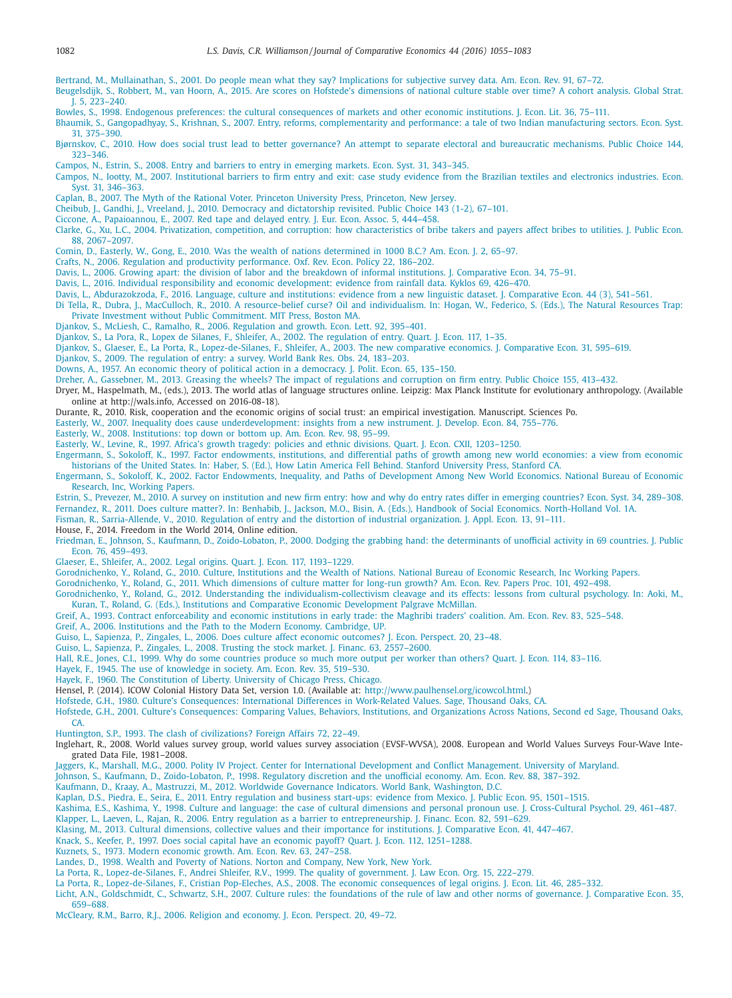- <span id="page-27-0"></span>[Bertrand,](http://refhub.elsevier.com/S0147-5967(16)30061-0/sbref0014) M., [Mullainathan,](http://refhub.elsevier.com/S0147-5967(16)30061-0/sbref0014) S., 2001. Do people mean what they say? [Implications](http://refhub.elsevier.com/S0147-5967(16)30061-0/sbref0014) for subjective survey data. Am. Econ. Rev. 91, 67–72.
- [Beugelsdijk,](http://refhub.elsevier.com/S0147-5967(16)30061-0/sbref0015) S., [Robbert,](http://refhub.elsevier.com/S0147-5967(16)30061-0/sbref0015) M., van [Hoorn,](http://refhub.elsevier.com/S0147-5967(16)30061-0/sbref0015) A., 2015. Are scores on Hofstede's dimensions of national culture stable over time? A cohort analysis. Global Strat. J. 5, 223–240.
- [Bowles,](http://refhub.elsevier.com/S0147-5967(16)30061-0/sbref0016) S., 1998. Endogenous preferences: the cultural [consequences](http://refhub.elsevier.com/S0147-5967(16)30061-0/sbref0016) of markets and other economic institutions. J. Econ. Lit. 36, 75–111.
- [Bhaumik,](http://refhub.elsevier.com/S0147-5967(16)30061-0/sbref0017) S., [Gangopadhyay,](http://refhub.elsevier.com/S0147-5967(16)30061-0/sbref0017) S., [Krishnan,](http://refhub.elsevier.com/S0147-5967(16)30061-0/sbref0017) S., 2007. [Entry, reforms, complementarity](http://refhub.elsevier.com/S0147-5967(16)30061-0/sbref0017) and performance: a tale of two Indian manufacturing sectors. Econ. Syst. 31, 375–390.
- [Bjørnskov,](http://refhub.elsevier.com/S0147-5967(16)30061-0/sbref0018) C., 2010. How does social trust lead to better governance? An attempt to separate electoral and bureaucratic [mechanisms.](http://refhub.elsevier.com/S0147-5967(16)30061-0/sbref0018) Public Choice 144, 323–346.
- [Campos,](http://refhub.elsevier.com/S0147-5967(16)30061-0/sbref0019) N., [Estrin,](http://refhub.elsevier.com/S0147-5967(16)30061-0/sbref0019) S., 2008. Entry and barriers to entry in [emerging](http://refhub.elsevier.com/S0147-5967(16)30061-0/sbref0019) markets. Econ. Syst. 31, 343–345.
- [Campos,](http://refhub.elsevier.com/S0147-5967(16)30061-0/sbref0020) N., [Iootty,](http://refhub.elsevier.com/S0147-5967(16)30061-0/sbref0020) M., 2007. [Institutional](http://refhub.elsevier.com/S0147-5967(16)30061-0/sbref0020) barriers to firm entry and exit: case study evidence from the Brazilian textiles and electronics industries. Econ. Syst. 31, 346–363.
- [Caplan,](http://refhub.elsevier.com/S0147-5967(16)30061-0/sbref0021) B., 2007. The Myth of the Rational Voter. Princeton [University](http://refhub.elsevier.com/S0147-5967(16)30061-0/sbref0021) Press, Princeton, New Jersey.
- [Cheibub,](http://refhub.elsevier.com/S0147-5967(16)30061-0/sbref0022) J., [Gandhi,](http://refhub.elsevier.com/S0147-5967(16)30061-0/sbref0022) J., [Vreeland,](http://refhub.elsevier.com/S0147-5967(16)30061-0/sbref0022) J., 2010. Democracy and [dictatorship](http://refhub.elsevier.com/S0147-5967(16)30061-0/sbref0022) revisited. Public Choice 143 (1-2), 67–101.
- [Ciccone,](http://refhub.elsevier.com/S0147-5967(16)30061-0/sbref0023) A., [Papaioannou,](http://refhub.elsevier.com/S0147-5967(16)30061-0/sbref0023) E., 2007. Red tape and delayed entry. J. Eur. Econ. Assoc. 5, [444–458.](http://refhub.elsevier.com/S0147-5967(16)30061-0/sbref0023)
- [Clarke,](http://refhub.elsevier.com/S0147-5967(16)30061-0/sbref0024) G., Xu, [L.C.,](http://refhub.elsevier.com/S0147-5967(16)30061-0/sbref0024) 2004. Privatization, competition, and corruption: how [characteristics](http://refhub.elsevier.com/S0147-5967(16)30061-0/sbref0024) of bribe takers and payers affect bribes to utilities. J. Public Econ. 88, 2067–2097.
- [Comin,](http://refhub.elsevier.com/S0147-5967(16)30061-0/sbref0025) D., [Easterly,](http://refhub.elsevier.com/S0147-5967(16)30061-0/sbref0025) W., [Gong,](http://refhub.elsevier.com/S0147-5967(16)30061-0/sbref0025) E., 2010. Was the wealth of nations [determined](http://refhub.elsevier.com/S0147-5967(16)30061-0/sbref0025) in 1000 B.C.? Am. Econ. J. 2, 65–97.
- [Crafts,](http://refhub.elsevier.com/S0147-5967(16)30061-0/sbref0026) N., 2006. Regulation and productivity [performance.](http://refhub.elsevier.com/S0147-5967(16)30061-0/sbref0026) Oxf. Rev. Econ. Policy 22, 186–202.
- [Davis,](http://refhub.elsevier.com/S0147-5967(16)30061-0/sbref0027) L., 2006. Growing apart: the division of labor and the breakdown of informal institutions. J. [Comparative](http://refhub.elsevier.com/S0147-5967(16)30061-0/sbref0027) Econ. 34, 75–91.
- [Davis,](http://refhub.elsevier.com/S0147-5967(16)30061-0/sbref0028) L., 2016. Individual responsibility and economic [development:](http://refhub.elsevier.com/S0147-5967(16)30061-0/sbref0028) evidence from rainfall data. Kyklos 69, 426–470.
- [Davis,](http://refhub.elsevier.com/S0147-5967(16)30061-0/sbref0029) L., [Abdurazokzoda,](http://refhub.elsevier.com/S0147-5967(16)30061-0/sbref0029) F., 2016. Language, culture and institutions: evidence from a new linguistic dataset. J. [Comparative](http://refhub.elsevier.com/S0147-5967(16)30061-0/sbref0029) Econ. 44 (3), 541–561.
- Di [Tella,](http://refhub.elsevier.com/S0147-5967(16)30061-0/sbref0039a) R., [Dubra,](http://refhub.elsevier.com/S0147-5967(16)30061-0/sbref0039a) J., [MacCulloch,](http://refhub.elsevier.com/S0147-5967(16)30061-0/sbref0039a) R., 2010. A [resource-belief](http://refhub.elsevier.com/S0147-5967(16)30061-0/sbref0039a) curse? Oil and individualism. In: Hogan, W., Federico, S. (Eds.), The Natural Resources Trap: Private Investment without Public Commitment. MIT Press, Boston MA.
- [Djankov,](http://refhub.elsevier.com/S0147-5967(16)30061-0/sbref0030) S., [McLiesh,](http://refhub.elsevier.com/S0147-5967(16)30061-0/sbref0030) C., [Ramalho,](http://refhub.elsevier.com/S0147-5967(16)30061-0/sbref0030) R., 2006. [Regulation](http://refhub.elsevier.com/S0147-5967(16)30061-0/sbref0030) and growth. Econ. Lett. 92, 395–401.
- [Djankov,](http://refhub.elsevier.com/S0147-5967(16)30061-0/sbref0031) S., La [Pora,](http://refhub.elsevier.com/S0147-5967(16)30061-0/sbref0031) R., Lopex de [Silanes,](http://refhub.elsevier.com/S0147-5967(16)30061-0/sbref0031) F., [Shleifer,](http://refhub.elsevier.com/S0147-5967(16)30061-0/sbref0031) A., 2002. The [regulation](http://refhub.elsevier.com/S0147-5967(16)30061-0/sbref0031) of entry. Quart. J. Econ. 117, 1–35.
- [Djankov,](http://refhub.elsevier.com/S0147-5967(16)30061-0/sbref0032) S., [Glaeser,](http://refhub.elsevier.com/S0147-5967(16)30061-0/sbref0032) E., La [Porta,](http://refhub.elsevier.com/S0147-5967(16)30061-0/sbref0032) R., [Lopez-de-Silanes,](http://refhub.elsevier.com/S0147-5967(16)30061-0/sbref0032) F., [Shleifer,](http://refhub.elsevier.com/S0147-5967(16)30061-0/sbref0032) A., 2003. The new comparative economics. J. [Comparative](http://refhub.elsevier.com/S0147-5967(16)30061-0/sbref0032) Econ. 31, 595–619.
- [Djankov,](http://refhub.elsevier.com/S0147-5967(16)30061-0/sbref0033) S., 2009. The [regulation](http://refhub.elsevier.com/S0147-5967(16)30061-0/sbref0033) of entry: a survey. World Bank Res. Obs. 24, 183–203.
- [Downs,](http://refhub.elsevier.com/S0147-5967(16)30061-0/sbref0034) A., 1957. An economic theory of political action in a [democracy.](http://refhub.elsevier.com/S0147-5967(16)30061-0/sbref0034) J. Polit. Econ. 65, 135–150.
- [Dreher,](http://refhub.elsevier.com/S0147-5967(16)30061-0/sbref0035) A., [Gassebner,](http://refhub.elsevier.com/S0147-5967(16)30061-0/sbref0035) M., 2013. Greasing the wheels? The impact of [regulations](http://refhub.elsevier.com/S0147-5967(16)30061-0/sbref0035) and corruption on firm entry. Public Choice 155, 413–432.
- Dryer, M., Haspelmath, M., (eds.), 2013. The world atlas of language structures online. Leipzig: Max Planck Institute for evolutionary anthropology. (Available online at http://wals.info, Accessed on 2016-08-18).
- Durante, R., 2010. Risk, cooperation and the economic origins of social trust: an empirical investigation. Manuscript. Sciences Po.
- [Easterly,](http://refhub.elsevier.com/S0147-5967(16)30061-0/sbref0036) W., 2007. Inequality does cause [underdevelopment:](http://refhub.elsevier.com/S0147-5967(16)30061-0/sbref0036) insights from a new instrument. J. Develop. Econ. 84, 755–776.
- [Easterly,](http://refhub.elsevier.com/S0147-5967(16)30061-0/sbref0037) W., 2008. [Institutions:](http://refhub.elsevier.com/S0147-5967(16)30061-0/sbref0037) top down or bottom up. Am. Econ. Rev. 98, 95–99.
- [Easterly,](http://refhub.elsevier.com/S0147-5967(16)30061-0/sbref0038) W., [Levine,](http://refhub.elsevier.com/S0147-5967(16)30061-0/sbref0038) R., 1997. Africa's growth tragedy: policies and ethnic divisions. Quart. J. Econ. CXII, [1203–1250.](http://refhub.elsevier.com/S0147-5967(16)30061-0/sbref0038)
- [Engermann,](http://refhub.elsevier.com/S0147-5967(16)30061-0/sbref0039) S., [Sokoloff,](http://refhub.elsevier.com/S0147-5967(16)30061-0/sbref0039) K., 1997. Factor [endowments, institutions, and](http://refhub.elsevier.com/S0147-5967(16)30061-0/sbref0039) differential paths of growth among new world economies: a view from economic historians of the United States. In: Haber, S. (Ed.), How Latin America Fell Behind. Stanford University Press, Stanford CA.
- [Engermann,](http://refhub.elsevier.com/S0147-5967(16)30061-0/sbref0040) S., [Sokoloff,](http://refhub.elsevier.com/S0147-5967(16)30061-0/sbref0040) K., 2002. Factor [Endowments,](http://refhub.elsevier.com/S0147-5967(16)30061-0/sbref0040) Inequality, and Paths of Development Among New World Economics. National Bureau of Economic Research, Inc, Working Papers.
- [Estrin,](http://refhub.elsevier.com/S0147-5967(16)30061-0/sbref0041) S., [Prevezer,](http://refhub.elsevier.com/S0147-5967(16)30061-0/sbref0041) M., 2010. A survey on institution and new firm entry: how and why do entry rates differ in emerging [countries?](http://refhub.elsevier.com/S0147-5967(16)30061-0/sbref0041) Econ. Syst. 34, 289–308. [Fernandez,](http://refhub.elsevier.com/S0147-5967(16)30061-0/sbref0042) R., 2011. Does culture matter?. In: Benhabib, J., Jackson, M.O., Bisin, A. (Eds.), Handbook of Social Economics. [North-Holland](http://refhub.elsevier.com/S0147-5967(16)30061-0/sbref0042) Vol. 1A.
- [Fisman,](http://refhub.elsevier.com/S0147-5967(16)30061-0/sbref0043) R., [Sarria-Allende,](http://refhub.elsevier.com/S0147-5967(16)30061-0/sbref0043) V., 2010. Regulation of entry and the distortion of industrial [organization.](http://refhub.elsevier.com/S0147-5967(16)30061-0/sbref0043) J. Appl. Econ. 13, 91–111.
- House, F., 2014. Freedom in the World 2014, Online edition.
- [Friedman,](http://refhub.elsevier.com/S0147-5967(16)30061-0/sbref0044) E., [Johnson,](http://refhub.elsevier.com/S0147-5967(16)30061-0/sbref0044) S., [Kaufmann,](http://refhub.elsevier.com/S0147-5967(16)30061-0/sbref0044) D., [Zoido-Lobaton,](http://refhub.elsevier.com/S0147-5967(16)30061-0/sbref0044) P., 2000. Dodging the grabbing hand: the determinants of unofficial activity in 69 countries. J. Public Econ. 76, 459–493.
- [Glaeser,](http://refhub.elsevier.com/S0147-5967(16)30061-0/sbref0045) E., [Shleifer,](http://refhub.elsevier.com/S0147-5967(16)30061-0/sbref0045) A., 2002. Legal origins. Quart. J. Econ. 117, [1193–1229.](http://refhub.elsevier.com/S0147-5967(16)30061-0/sbref0045)
- [Gorodnichenko,](http://refhub.elsevier.com/S0147-5967(16)30061-0/sbref0046) Y., [Roland,](http://refhub.elsevier.com/S0147-5967(16)30061-0/sbref0046) G., 2010. Culture, [Institutions](http://refhub.elsevier.com/S0147-5967(16)30061-0/sbref0046) and the Wealth of Nations. National Bureau of Economic Research, Inc Working Papers.
- [Gorodnichenko,](http://refhub.elsevier.com/S0147-5967(16)30061-0/sbref0047) Y., [Roland,](http://refhub.elsevier.com/S0147-5967(16)30061-0/sbref0047) G., 2011. Which [dimensions](http://refhub.elsevier.com/S0147-5967(16)30061-0/sbref0047) of culture matter for long-run growth? Am. Econ. Rev. Papers Proc. 101, 492–498.
- [Gorodnichenko,](http://refhub.elsevier.com/S0147-5967(16)30061-0/sbref0048) Y., [Roland,](http://refhub.elsevier.com/S0147-5967(16)30061-0/sbref0048) G., 2012. Understanding the [individualism-collectivism](http://refhub.elsevier.com/S0147-5967(16)30061-0/sbref0048) cleavage and its effects: lessons from cultural psychology. In: Aoki, M., Kuran, T., Roland, G. (Eds.), Institutions and Comparative Economic Development Palgrave McMillan.
- [Greif,](http://refhub.elsevier.com/S0147-5967(16)30061-0/sbref0049) A., 1993. Contract [enforceability](http://refhub.elsevier.com/S0147-5967(16)30061-0/sbref0049) and economic institutions in early trade: the Maghribi traders' coalition. Am. Econ. Rev. 83, 525–548.
- [Greif,](http://refhub.elsevier.com/S0147-5967(16)30061-0/sbref0050) A., 2006. [Institutions](http://refhub.elsevier.com/S0147-5967(16)30061-0/sbref0050) and the Path to the Modern Economy. Cambridge, UP.
- [Guiso,](http://refhub.elsevier.com/S0147-5967(16)30061-0/sbref0051) L., [Sapienza,](http://refhub.elsevier.com/S0147-5967(16)30061-0/sbref0051) P., [Zingales,](http://refhub.elsevier.com/S0147-5967(16)30061-0/sbref0051) L., 2006. Does culture affect economic [outcomes?](http://refhub.elsevier.com/S0147-5967(16)30061-0/sbref0051) J. Econ. Perspect. 20, 23–48.
- [Guiso,](http://refhub.elsevier.com/S0147-5967(16)30061-0/sbref0052) L., [Sapienza,](http://refhub.elsevier.com/S0147-5967(16)30061-0/sbref0052) P., [Zingales,](http://refhub.elsevier.com/S0147-5967(16)30061-0/sbref0052) L., 2008. Trusting the stock market. J. Financ. 63, [2557–2600.](http://refhub.elsevier.com/S0147-5967(16)30061-0/sbref0052)
- [Hall,](http://refhub.elsevier.com/S0147-5967(16)30061-0/sbref0053) R.E., [Jones,](http://refhub.elsevier.com/S0147-5967(16)30061-0/sbref0053) C.I., 1999. Why do some [countries](http://refhub.elsevier.com/S0147-5967(16)30061-0/sbref0053) produce so much more output per worker than others? Quart. J. Econ. 114, 83–116.
- [Hayek,](http://refhub.elsevier.com/S0147-5967(16)30061-0/sbref0054) F., 1945. The use of [knowledge](http://refhub.elsevier.com/S0147-5967(16)30061-0/sbref0054) in society. Am. Econ. Rev. 35, 519–530.
- [Hayek,](http://refhub.elsevier.com/S0147-5967(16)30061-0/sbref0055) F., 1960. The [Constitution](http://refhub.elsevier.com/S0147-5967(16)30061-0/sbref0055) of Liberty. University of Chicago Press, Chicago.
- Hensel, P. (2014). ICOW Colonial History Data Set, version 1.0. (Available at: [http://www.paulhensel.org/icowcol.html.](http://www.paulhensel.org/icowcol.html))
- [Hofstede,](http://refhub.elsevier.com/S0147-5967(16)30061-0/sbref0056) G.H., 1980. Culture's [Consequences:](http://refhub.elsevier.com/S0147-5967(16)30061-0/sbref0056) International Differences in Work-Related Values. Sage, Thousand Oaks, CA.
- [Hofstede,](http://refhub.elsevier.com/S0147-5967(16)30061-0/sbref0057) G.H., 2001. Culture's [Consequences:](http://refhub.elsevier.com/S0147-5967(16)30061-0/sbref0057) Comparing Values, Behaviors, Institutions, and Organizations Across Nations, Second ed Sage, Thousand Oaks, CA.
- [Huntington,](http://refhub.elsevier.com/S0147-5967(16)30061-0/sbref0058) S.P., 1993. The clash of [civilizations?](http://refhub.elsevier.com/S0147-5967(16)30061-0/sbref0058) Foreign Affairs 72, 22–49.
- Inglehart, R., 2008. World values survey group, world values survey association (EVSF-WVSA), 2008. European and World Values Surveys Four-Wave Integrated Data File, 1981–2008.
- [Jaggers,](http://refhub.elsevier.com/S0147-5967(16)30061-0/sbref0059) K., [Marshall,](http://refhub.elsevier.com/S0147-5967(16)30061-0/sbref0059) M.G., 2000. Polity IV Project. Center for International Development and Conflict [Management.](http://refhub.elsevier.com/S0147-5967(16)30061-0/sbref0059) University of Maryland.
- [Johnson,](http://refhub.elsevier.com/S0147-5967(16)30061-0/sbref0060) S., [Kaufmann,](http://refhub.elsevier.com/S0147-5967(16)30061-0/sbref0060) D., [Zoido-Lobaton,](http://refhub.elsevier.com/S0147-5967(16)30061-0/sbref0060) P., 1998. [Regulatory](http://refhub.elsevier.com/S0147-5967(16)30061-0/sbref0060) discretion and the unofficial economy. Am. Econ. Rev. 88, 387–392.
- [Kaufmann,](http://refhub.elsevier.com/S0147-5967(16)30061-0/sbref0061) D., [Kraay,](http://refhub.elsevier.com/S0147-5967(16)30061-0/sbref0061) A., [Mastruzzi,](http://refhub.elsevier.com/S0147-5967(16)30061-0/sbref0061) M., 2012. Worldwide Governance Indicators. World Bank, [Washington,](http://refhub.elsevier.com/S0147-5967(16)30061-0/sbref0061) D.C.
- [Kaplan,](http://refhub.elsevier.com/S0147-5967(16)30061-0/sbref0062) D.S., [Piedra,](http://refhub.elsevier.com/S0147-5967(16)30061-0/sbref0062) E., [Seira,](http://refhub.elsevier.com/S0147-5967(16)30061-0/sbref0062) E., 2011. Entry regulation and business start-ups: evidence from Mexico. J. Public Econ. 95, [1501–1515.](http://refhub.elsevier.com/S0147-5967(16)30061-0/sbref0062)
- [Kashima,](http://refhub.elsevier.com/S0147-5967(16)30061-0/sbref0063) E.S., [Kashima,](http://refhub.elsevier.com/S0147-5967(16)30061-0/sbref0063) Y., 1998. Culture and language: the case of cultural dimensions and personal pronoun use. J. [Cross-Cultural](http://refhub.elsevier.com/S0147-5967(16)30061-0/sbref0063) Psychol. 29, 461–487.
- [Klapper,](http://refhub.elsevier.com/S0147-5967(16)30061-0/sbref0064) L., [Laeven,](http://refhub.elsevier.com/S0147-5967(16)30061-0/sbref0064) L., [Rajan,](http://refhub.elsevier.com/S0147-5967(16)30061-0/sbref0064) R., 2006. Entry regulation as a barrier to [entrepreneurship.](http://refhub.elsevier.com/S0147-5967(16)30061-0/sbref0064) J. Financ. Econ. 82, 591–629.
- [Klasing,](http://refhub.elsevier.com/S0147-5967(16)30061-0/sbref0065) M., 2013. Cultural dimensions, collective values and their importance for institutions. J. [Comparative](http://refhub.elsevier.com/S0147-5967(16)30061-0/sbref0065) Econ. 41, 447–467.
- [Knack,](http://refhub.elsevier.com/S0147-5967(16)30061-0/sbref0066) S., [Keefer,](http://refhub.elsevier.com/S0147-5967(16)30061-0/sbref0066) P., 1997. Does social capital have an economic payoff? Quart. J. Econ. 112, [1251–1288.](http://refhub.elsevier.com/S0147-5967(16)30061-0/sbref0066)
- [Kuznets,](http://refhub.elsevier.com/S0147-5967(16)30061-0/sbref0067) S., 1973. Modern [economic](http://refhub.elsevier.com/S0147-5967(16)30061-0/sbref0067) growth. Am. Econ. Rev. 63, 247–258.
- [Landes,](http://refhub.elsevier.com/S0147-5967(16)30061-0/sbref0068) D., 1998. Wealth and Poverty of Nations. Norton and [Company,](http://refhub.elsevier.com/S0147-5967(16)30061-0/sbref0068) New York, New York.
- 
- La [Porta,](http://refhub.elsevier.com/S0147-5967(16)30061-0/sbref0070) R., [Lopez-de-Silanes,](http://refhub.elsevier.com/S0147-5967(16)30061-0/sbref0070) F., Andrei [Shleifer,](http://refhub.elsevier.com/S0147-5967(16)30061-0/sbref0069) R.V., 1999. The quality of [government.](http://refhub.elsevier.com/S0147-5967(16)30061-0/sbref0069) J. Law Econ. Org. 15, 222–279.<br>La Porta, R., Lopez-de-Silanes, F., Cristian [Pop-Eleches,](http://refhub.elsevier.com/S0147-5967(16)30061-0/sbref0070) A.S., 2008. The economic [consequences](http://refhub.elsevier.com/S0147-5967(16)30061-0/sbref0070) of
- [Licht,](http://refhub.elsevier.com/S0147-5967(16)30061-0/sbref0071) A.N., [Goldschmidt,](http://refhub.elsevier.com/S0147-5967(16)30061-0/sbref0071) C., [Schwartz,](http://refhub.elsevier.com/S0147-5967(16)30061-0/sbref0071) S.H., 2007. Culture rules: the foundations of the rule of law and other norms of governance. J. Comparative Econ. 35, 659–688.
- [McCleary,](http://refhub.elsevier.com/S0147-5967(16)30061-0/sbref0072) R.M., [Barro,](http://refhub.elsevier.com/S0147-5967(16)30061-0/sbref0072) R.J., 2006. Religion and [economy.](http://refhub.elsevier.com/S0147-5967(16)30061-0/sbref0072) J. Econ. Perspect. 20, 49–72.